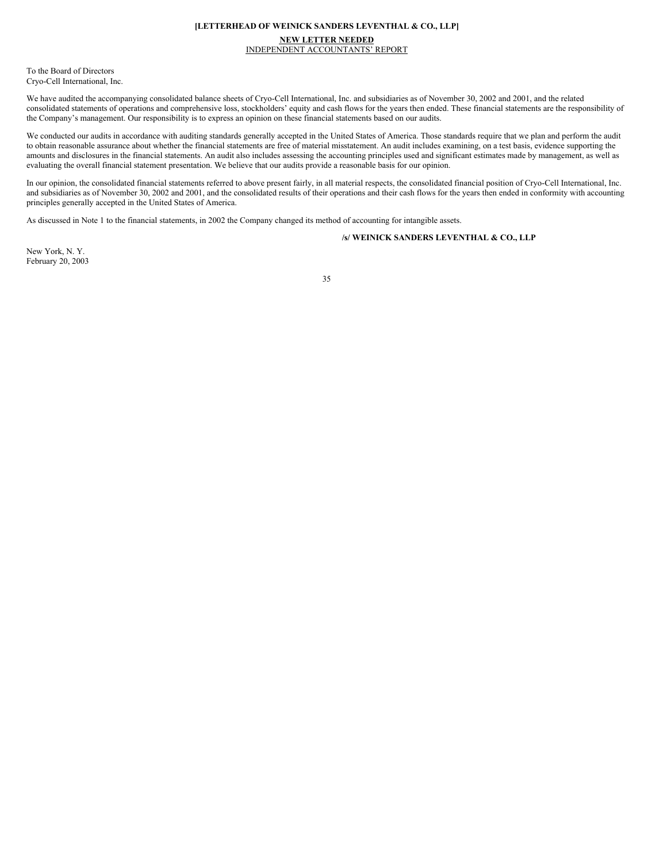#### **[LETTERHEAD OF WEINICK SANDERS LEVENTHAL & CO., LLP]**

# **NEW LETTER NEEDED**

INDEPENDENT ACCOUNTANTS' REPORT

To the Board of Directors Cryo-Cell International, Inc.

We have audited the accompanying consolidated balance sheets of Cryo-Cell International, Inc. and subsidiaries as of November 30, 2002 and 2001, and the related consolidated statements of operations and comprehensive loss, stockholders' equity and cash flows for the years then ended. These financial statements are the responsibility of the Company's management. Our responsibility is to express an opinion on these financial statements based on our audits.

We conducted our audits in accordance with auditing standards generally accepted in the United States of America. Those standards require that we plan and perform the audit to obtain reasonable assurance about whether the financial statements are free of material misstatement. An audit includes examining, on a test basis, evidence supporting the amounts and disclosures in the financial statements. An audit also includes assessing the accounting principles used and significant estimates made by management, as well as evaluating the overall financial statement presentation. We believe that our audits provide a reasonable basis for our opinion.

In our opinion, the consolidated financial statements referred to above present fairly, in all material respects, the consolidated financial position of Cryo-Cell International, Inc. and subsidiaries as of November 30, 2002 and 2001, and the consolidated results of their operations and their cash flows for the years then ended in conformity with accounting principles generally accepted in the United States of America.

As discussed in Note 1 to the financial statements, in 2002 the Company changed its method of accounting for intangible assets.

# **/s/ WEINICK SANDERS LEVENTHAL & CO., LLP**

New York, N. Y. February 20, 2003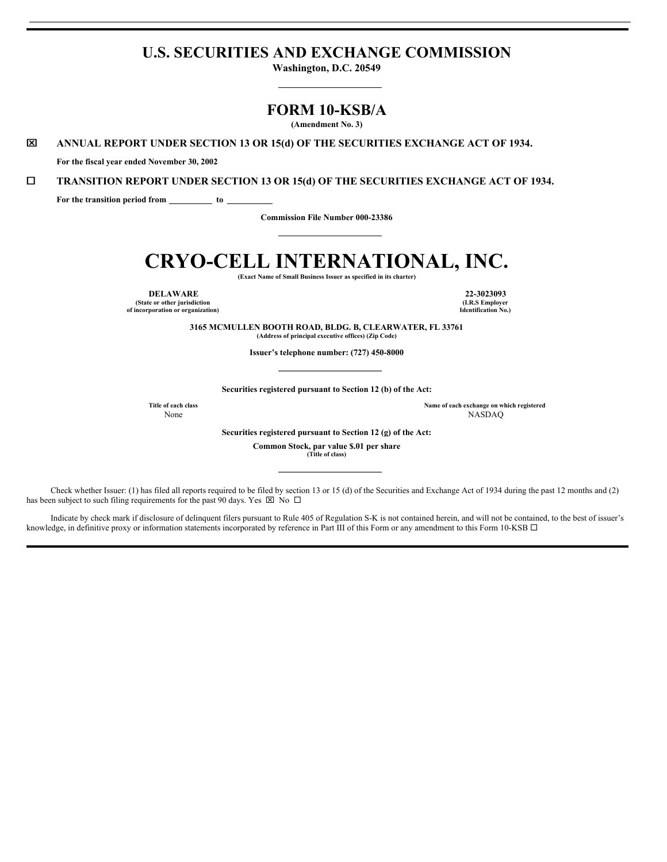# **U.S. SECURITIES AND EXCHANGE COMMISSION**

**Washington, D.C. 20549**

# **FORM 10-KSB/A**

**(Amendment No. 3)**

x **ANNUAL REPORT UNDER SECTION 13 OR 15(d) OF THE SECURITIES EXCHANGE ACT OF 1934.**

**For the fiscal year ended November 30, 2002**

¨ **TRANSITION REPORT UNDER SECTION 13 OR 15(d) OF THE SECURITIES EXCHANGE ACT OF 1934.**

**For the transition period from to**

**Commission File Number 000-23386**

# **CRYO-CELL INTERNATIONAL, INC.**

**(Exact Name of Small Business Issuer as specified in its charter)**

**DELAWARE 22-3023093 (State or other jurisdiction of incorporation or organization)**

**(I.R.S Employer Identification No.)**

**3165 MCMULLEN BOOTH ROAD, BLDG. B, CLEARWATER, FL 33761 (Address of principal executive offices) (Zip Code)**

**Issuer's telephone number: (727) 450-8000**

**Securities registered pursuant to Section 12 (b) of the Act:**

**Title of each class Name of each exchange on which registered** None NASDAQ

**Securities registered pursuant to Section 12 (g) of the Act:**

**Common Stock, par value \$.01 per share**

**(Title of class)**

Check whether Issuer: (1) has filed all reports required to be filed by section 13 or 15 (d) of the Securities and Exchange Act of 1934 during the past 12 months and (2) has been subject to such filing requirements for the past 90 days. Yes  $\boxtimes$  No  $\Box$ 

Indicate by check mark if disclosure of delinquent filers pursuant to Rule 405 of Regulation S-K is not contained herein, and will not be contained, to the best of issuer's knowledge, in definitive proxy or information statements incorporated by reference in Part III of this Form or any amendment to this Form 10-KSB  $\Box$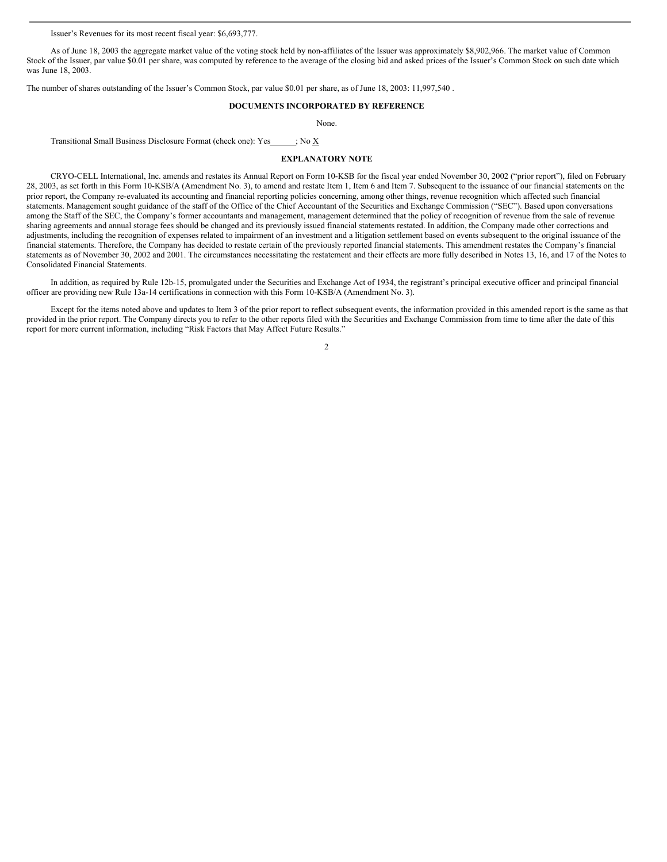Issuer's Revenues for its most recent fiscal year: \$6,693,777.

As of June 18, 2003 the aggregate market value of the voting stock held by non-affiliates of the Issuer was approximately \$8,902,966. The market value of Common Stock of the Issuer, par value \$0.01 per share, was computed by reference to the average of the closing bid and asked prices of the Issuer's Common Stock on such date which was June 18, 2003.

The number of shares outstanding of the Issuer's Common Stock, par value \$0.01 per share, as of June 18, 2003: 11,997,540 .

# **DOCUMENTS INCORPORATED BY REFERENCE**

None.

Transitional Small Business Disclosure Format (check one): Yes ; No X

#### **EXPLANATORY NOTE**

CRYO-CELL International, Inc. amends and restates its Annual Report on Form 10-KSB for the fiscal year ended November 30, 2002 ("prior report"), filed on February 28, 2003, as set forth in this Form 10-KSB/A (Amendment No. 3), to amend and restate Item 1, Item 6 and Item 7. Subsequent to the issuance of our financial statements on the prior report, the Company re-evaluated its accounting and financial reporting policies concerning, among other things, revenue recognition which affected such financial statements. Management sought guidance of the staff of the Office of the Chief Accountant of the Securities and Exchange Commission ("SEC"). Based upon conversations among the Staff of the SEC, the Company's former accountants and management, management determined that the policy of recognition of revenue from the sale of revenue sharing agreements and annual storage fees should be changed and its previously issued financial statements restated. In addition, the Company made other corrections and adjustments, including the recognition of expenses related to impairment of an investment and a litigation settlement based on events subsequent to the original issuance of the financial statements. Therefore, the Company has decided to restate certain of the previously reported financial statements. This amendment restates the Company's financial statements as of November 30, 2002 and 2001. The circumstances necessitating the restatement and their effects are more fully described in Notes 13, 16, and 17 of the Notes to Consolidated Financial Statements.

In addition, as required by Rule 12b-15, promulgated under the Securities and Exchange Act of 1934, the registrant's principal executive officer and principal financial officer are providing new Rule 13a-14 certifications in connection with this Form 10-KSB/A (Amendment No. 3).

Except for the items noted above and updates to Item 3 of the prior report to reflect subsequent events, the information provided in this amended report is the same as that provided in the prior report. The Company directs you to refer to the other reports filed with the Securities and Exchange Commission from time to time after the date of this report for more current information, including "Risk Factors that May Affect Future Results."

 $\overline{\phantom{a}}$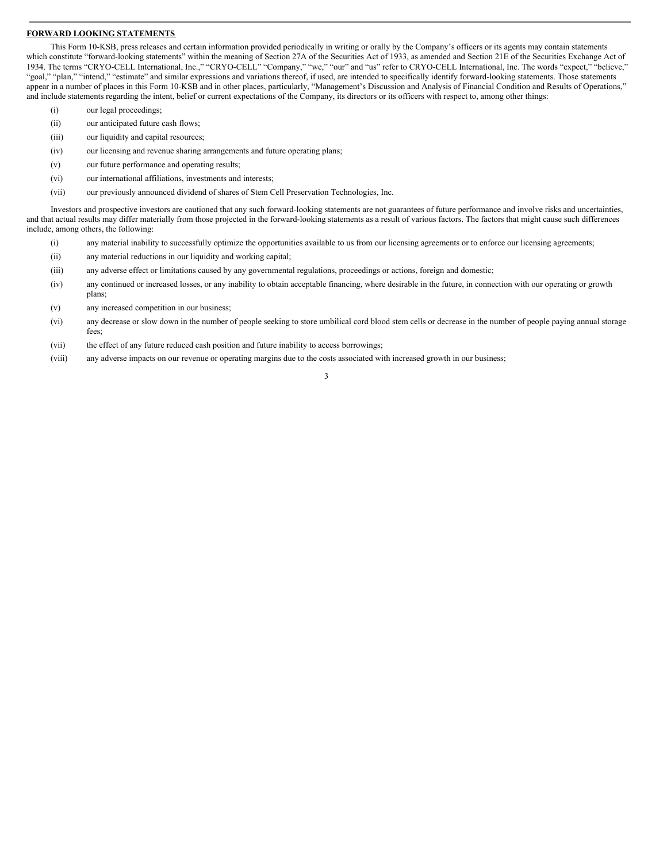# **FORWARD LOOKING STATEMENTS**

This Form 10-KSB, press releases and certain information provided periodically in writing or orally by the Company's officers or its agents may contain statements which constitute "forward-looking statements" within the meaning of Section 27A of the Securities Act of 1933, as amended and Section 21E of the Securities Exchange Act of 1934. The terms "CRYO-CELL International, Inc.," "CRYO-CELL" "Company," "we," "our" and "us" refer to CRYO-CELL International, Inc. The words "expect," "believe," "goal," "plan," "intend," "estimate" and similar expressions and variations thereof, if used, are intended to specifically identify forward-looking statements. Those statements appear in a number of places in this Form 10-KSB and in other places, particularly, "Management's Discussion and Analysis of Financial Condition and Results of Operations," and include statements regarding the intent, belief or current expectations of the Company, its directors or its officers with respect to, among other things:

- (i) our legal proceedings;
- (ii) our anticipated future cash flows;
- (iii) our liquidity and capital resources;
- (iv) our licensing and revenue sharing arrangements and future operating plans;
- (v) our future performance and operating results;
- (vi) our international affiliations, investments and interests;
- (vii) our previously announced dividend of shares of Stem Cell Preservation Technologies, Inc.

Investors and prospective investors are cautioned that any such forward-looking statements are not guarantees of future performance and involve risks and uncertainties, and that actual results may differ materially from those projected in the forward-looking statements as a result of various factors. The factors that might cause such differences include, among others, the following:

- (i) any material inability to successfully optimize the opportunities available to us from our licensing agreements or to enforce our licensing agreements;
- (ii) any material reductions in our liquidity and working capital;
- (iii) any adverse effect or limitations caused by any governmental regulations, proceedings or actions, foreign and domestic;
- (iv) any continued or increased losses, or any inability to obtain acceptable financing, where desirable in the future, in connection with our operating or growth plans;
- (v) any increased competition in our business;
- (vi) any decrease or slow down in the number of people seeking to store umbilical cord blood stem cells or decrease in the number of people paying annual storage fees;
- (vii) the effect of any future reduced cash position and future inability to access borrowings;
- (viii) any adverse impacts on our revenue or operating margins due to the costs associated with increased growth in our business;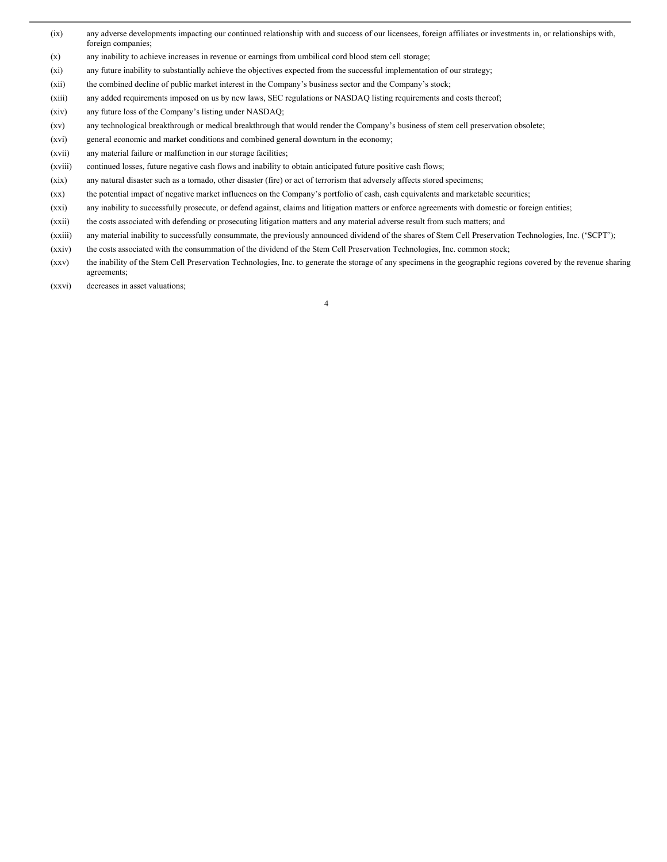- (ix) any adverse developments impacting our continued relationship with and success of our licensees, foreign affiliates or investments in, or relationships with, foreign companies;
- (x) any inability to achieve increases in revenue or earnings from umbilical cord blood stem cell storage;
- (xi) any future inability to substantially achieve the objectives expected from the successful implementation of our strategy;
- (xii) the combined decline of public market interest in the Company's business sector and the Company's stock;
- (xiii) any added requirements imposed on us by new laws, SEC regulations or NASDAQ listing requirements and costs thereof;
- (xiv) any future loss of the Company's listing under NASDAQ;
- (xv) any technological breakthrough or medical breakthrough that would render the Company's business of stem cell preservation obsolete;
- (xvi) general economic and market conditions and combined general downturn in the economy;
- (xvii) any material failure or malfunction in our storage facilities;
- (xviii) continued losses, future negative cash flows and inability to obtain anticipated future positive cash flows;
- (xix) any natural disaster such as a tornado, other disaster (fire) or act of terrorism that adversely affects stored specimens;
- (xx) the potential impact of negative market influences on the Company's portfolio of cash, cash equivalents and marketable securities;
- (xxi) any inability to successfully prosecute, or defend against, claims and litigation matters or enforce agreements with domestic or foreign entities;
- (xxii) the costs associated with defending or prosecuting litigation matters and any material adverse result from such matters; and
- (xxiii) any material inability to successfully consummate, the previously announced dividend of the shares of Stem Cell Preservation Technologies, Inc. ('SCPT');
- (xxiv) the costs associated with the consummation of the dividend of the Stem Cell Preservation Technologies, Inc. common stock;
- (xxv) the inability of the Stem Cell Preservation Technologies, Inc. to generate the storage of any specimens in the geographic regions covered by the revenue sharing agreements;
- (xxvi) decreases in asset valuations;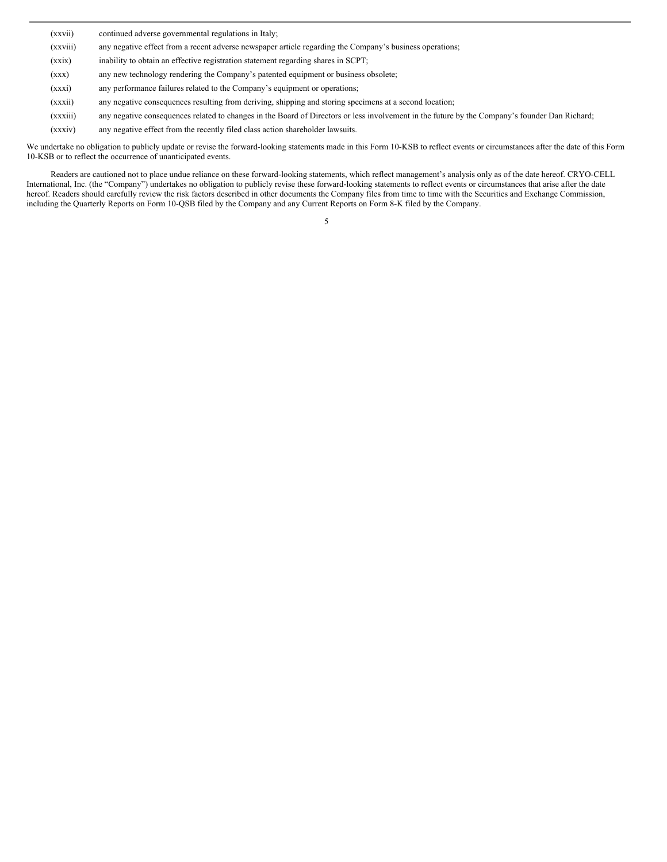| (xxvii)  | continued adverse governmental regulations in Italy;                                                                                           |
|----------|------------------------------------------------------------------------------------------------------------------------------------------------|
| (xxviii) | any negative effect from a recent adverse newspaper article regarding the Company's business operations;                                       |
| (xxix)   | inability to obtain an effective registration statement regarding shares in SCPT;                                                              |
| (xxx)    | any new technology rendering the Company's patented equipment or business obsolete;                                                            |
| (xxxi)   | any performance failures related to the Company's equipment or operations;                                                                     |
| (xxxii)  | any negative consequences resulting from deriving, shipping and storing specimens at a second location;                                        |
| (xxxiii) | any negative consequences related to changes in the Board of Directors or less involvement in the future by the Company's founder Dan Richard; |
| (xxxiv)  | any negative effect from the recently filed class action shareholder lawsuits.                                                                 |

We undertake no obligation to publicly update or revise the forward-looking statements made in this Form 10-KSB to reflect events or circumstances after the date of this Form 10-KSB or to reflect the occurrence of unanticipated events.

Readers are cautioned not to place undue reliance on these forward-looking statements, which reflect management's analysis only as of the date hereof. CRYO-CELL International, Inc. (the "Company") undertakes no obligation to publicly revise these forward-looking statements to reflect events or circumstances that arise after the date hereof. Readers should carefully review the risk factors described in other documents the Company files from time to time with the Securities and Exchange Commission, including the Quarterly Reports on Form 10-QSB filed by the Company and any Current Reports on Form 8-K filed by the Company.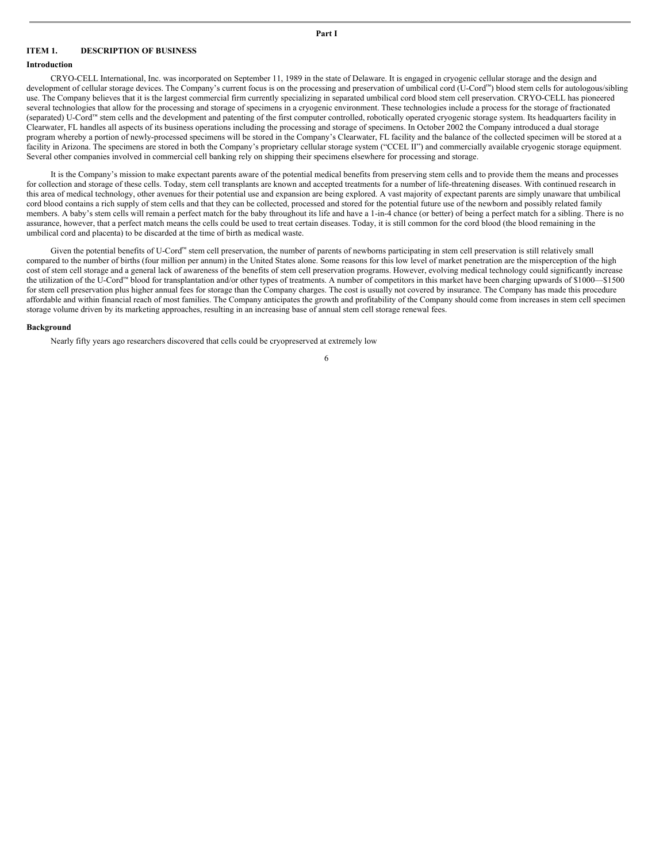#### **ITEM 1. DESCRIPTION OF BUSINESS**

# **Introduction**

CRYO-CELL International, Inc. was incorporated on September 11, 1989 in the state of Delaware. It is engaged in cryogenic cellular storage and the design and development of cellular storage devices. The Company's current focus is on the processing and preservation of umbilical cord (U-Cord™) blood stem cells for autologous/sibling use. The Company believes that it is the largest commercial firm currently specializing in separated umbilical cord blood stem cell preservation. CRYO-CELL has pioneered several technologies that allow for the processing and storage of specimens in a cryogenic environment. These technologies include a process for the storage of fractionated (separated) U-Cord™ stem cells and the development and patenting of the first computer controlled, robotically operated cryogenic storage system. Its headquarters facility in Clearwater, FL handles all aspects of its business operations including the processing and storage of specimens. In October 2002 the Company introduced a dual storage program whereby a portion of newly-processed specimens will be stored in the Company's Clearwater, FL facility and the balance of the collected specimen will be stored at a facility in Arizona. The specimens are stored in both the Company's proprietary cellular storage system ("CCEL II") and commercially available cryogenic storage equipment. Several other companies involved in commercial cell banking rely on shipping their specimens elsewhere for processing and storage.

It is the Company's mission to make expectant parents aware of the potential medical benefits from preserving stem cells and to provide them the means and processes for collection and storage of these cells. Today, stem cell transplants are known and accepted treatments for a number of life-threatening diseases. With continued research in this area of medical technology, other avenues for their potential use and expansion are being explored. A vast majority of expectant parents are simply unaware that umbilical cord blood contains a rich supply of stem cells and that they can be collected, processed and stored for the potential future use of the newborn and possibly related family members. A baby's stem cells will remain a perfect match for the baby throughout its life and have a 1-in-4 chance (or better) of being a perfect match for a sibling. There is no assurance, however, that a perfect match means the cells could be used to treat certain diseases. Today, it is still common for the cord blood (the blood remaining in the umbilical cord and placenta) to be discarded at the time of birth as medical waste.

Given the potential benefits of U-Cord™ stem cell preservation, the number of parents of newborns participating in stem cell preservation is still relatively small compared to the number of births (four million per annum) in the United States alone. Some reasons for this low level of market penetration are the misperception of the high cost of stem cell storage and a general lack of awareness of the benefits of stem cell preservation programs. However, evolving medical technology could significantly increase the utilization of the U-Cord™ blood for transplantation and/or other types of treatments. A number of competitors in this market have been charging upwards of \$1000—\$1500 for stem cell preservation plus higher annual fees for storage than the Company charges. The cost is usually not covered by insurance. The Company has made this procedure affordable and within financial reach of most families. The Company anticipates the growth and profitability of the Company should come from increases in stem cell specimen storage volume driven by its marketing approaches, resulting in an increasing base of annual stem cell storage renewal fees.

#### **Background**

Nearly fifty years ago researchers discovered that cells could be cryopreserved at extremely low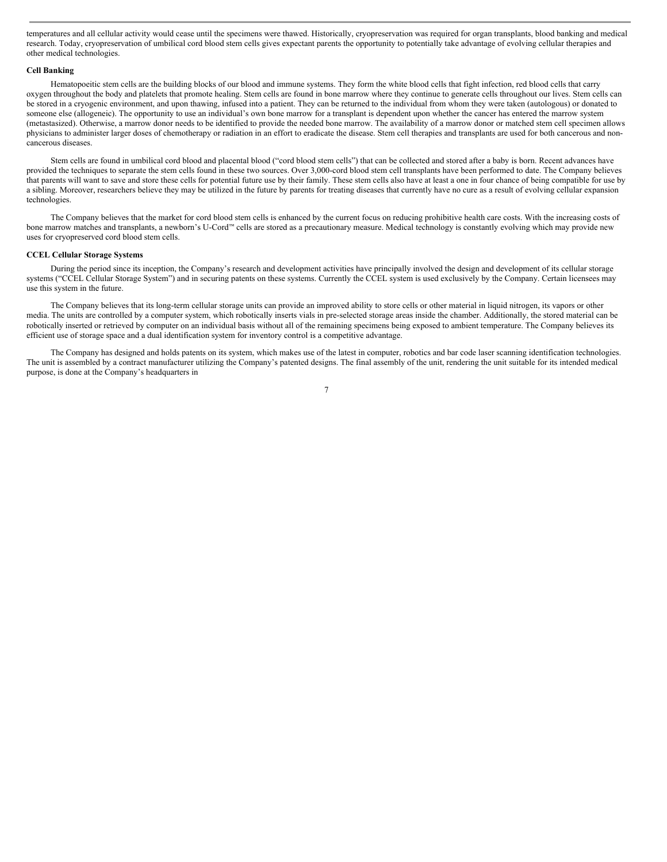temperatures and all cellular activity would cease until the specimens were thawed. Historically, cryopreservation was required for organ transplants, blood banking and medical research. Today, cryopreservation of umbilical cord blood stem cells gives expectant parents the opportunity to potentially take advantage of evolving cellular therapies and other medical technologies.

#### **Cell Banking**

Hematopoeitic stem cells are the building blocks of our blood and immune systems. They form the white blood cells that fight infection, red blood cells that carry oxygen throughout the body and platelets that promote healing. Stem cells are found in bone marrow where they continue to generate cells throughout our lives. Stem cells can be stored in a cryogenic environment, and upon thawing, infused into a patient. They can be returned to the individual from whom they were taken (autologous) or donated to someone else (allogeneic). The opportunity to use an individual's own bone marrow for a transplant is dependent upon whether the cancer has entered the marrow system (metastasized). Otherwise, a marrow donor needs to be identified to provide the needed bone marrow. The availability of a marrow donor or matched stem cell specimen allows physicians to administer larger doses of chemotherapy or radiation in an effort to eradicate the disease. Stem cell therapies and transplants are used for both cancerous and noncancerous diseases.

Stem cells are found in umbilical cord blood and placental blood ("cord blood stem cells") that can be collected and stored after a baby is born. Recent advances have provided the techniques to separate the stem cells found in these two sources. Over 3,000-cord blood stem cell transplants have been performed to date. The Company believes that parents will want to save and store these cells for potential future use by their family. These stem cells also have at least a one in four chance of being compatible for use by a sibling. Moreover, researchers believe they may be utilized in the future by parents for treating diseases that currently have no cure as a result of evolving cellular expansion technologies.

The Company believes that the market for cord blood stem cells is enhanced by the current focus on reducing prohibitive health care costs. With the increasing costs of bone marrow matches and transplants, a newborn's U-Cord™ cells are stored as a precautionary measure. Medical technology is constantly evolving which may provide new uses for cryopreserved cord blood stem cells.

# **CCEL Cellular Storage Systems**

During the period since its inception, the Company's research and development activities have principally involved the design and development of its cellular storage systems ("CCEL Cellular Storage System") and in securing patents on these systems. Currently the CCEL system is used exclusively by the Company. Certain licensees may use this system in the future.

The Company believes that its long-term cellular storage units can provide an improved ability to store cells or other material in liquid nitrogen, its vapors or other media. The units are controlled by a computer system, which robotically inserts vials in pre-selected storage areas inside the chamber. Additionally, the stored material can be robotically inserted or retrieved by computer on an individual basis without all of the remaining specimens being exposed to ambient temperature. The Company believes its efficient use of storage space and a dual identification system for inventory control is a competitive advantage.

The Company has designed and holds patents on its system, which makes use of the latest in computer, robotics and bar code laser scanning identification technologies. The unit is assembled by a contract manufacturer utilizing the Company's patented designs. The final assembly of the unit, rendering the unit suitable for its intended medical purpose, is done at the Company's headquarters in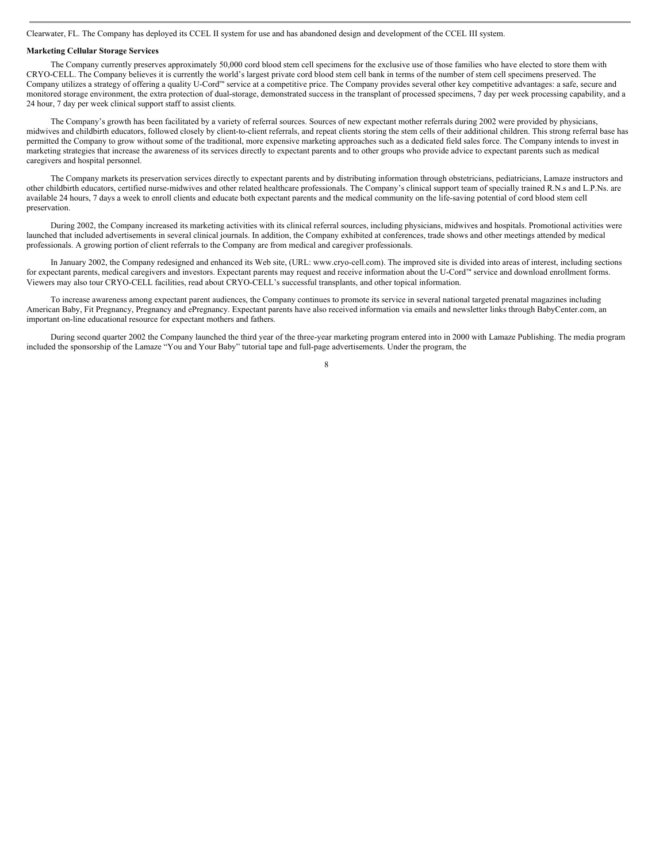Clearwater, FL. The Company has deployed its CCEL II system for use and has abandoned design and development of the CCEL III system.

#### **Marketing Cellular Storage Services**

The Company currently preserves approximately 50,000 cord blood stem cell specimens for the exclusive use of those families who have elected to store them with CRYO-CELL. The Company believes it is currently the world's largest private cord blood stem cell bank in terms of the number of stem cell specimens preserved. The Company utilizes a strategy of offering a quality U-Cord™ service at a competitive price. The Company provides several other key competitive advantages: a safe, secure and monitored storage environment, the extra protection of dual-storage, demonstrated success in the transplant of processed specimens, 7 day per week processing capability, and a 24 hour, 7 day per week clinical support staff to assist clients.

The Company's growth has been facilitated by a variety of referral sources. Sources of new expectant mother referrals during 2002 were provided by physicians, midwives and childbirth educators, followed closely by client-to-client referrals, and repeat clients storing the stem cells of their additional children. This strong referral base has permitted the Company to grow without some of the traditional, more expensive marketing approaches such as a dedicated field sales force. The Company intends to invest in marketing strategies that increase the awareness of its services directly to expectant parents and to other groups who provide advice to expectant parents such as medical caregivers and hospital personnel.

The Company markets its preservation services directly to expectant parents and by distributing information through obstetricians, pediatricians, Lamaze instructors and other childbirth educators, certified nurse-midwives and other related healthcare professionals. The Company's clinical support team of specially trained R.N.s and L.P.Ns. are available 24 hours, 7 days a week to enroll clients and educate both expectant parents and the medical community on the life-saving potential of cord blood stem cell preservation.

During 2002, the Company increased its marketing activities with its clinical referral sources, including physicians, midwives and hospitals. Promotional activities were launched that included advertisements in several clinical journals. In addition, the Company exhibited at conferences, trade shows and other meetings attended by medical professionals. A growing portion of client referrals to the Company are from medical and caregiver professionals.

In January 2002, the Company redesigned and enhanced its Web site, (URL: www.cryo-cell.com). The improved site is divided into areas of interest, including sections for expectant parents, medical caregivers and investors. Expectant parents may request and receive information about the U-Cord™ service and download enrollment forms. Viewers may also tour CRYO-CELL facilities, read about CRYO-CELL's successful transplants, and other topical information.

To increase awareness among expectant parent audiences, the Company continues to promote its service in several national targeted prenatal magazines including American Baby, Fit Pregnancy, Pregnancy and ePregnancy. Expectant parents have also received information via emails and newsletter links through BabyCenter.com, an important on-line educational resource for expectant mothers and fathers.

During second quarter 2002 the Company launched the third year of the three-year marketing program entered into in 2000 with Lamaze Publishing. The media program included the sponsorship of the Lamaze "You and Your Baby" tutorial tape and full-page advertisements. Under the program, the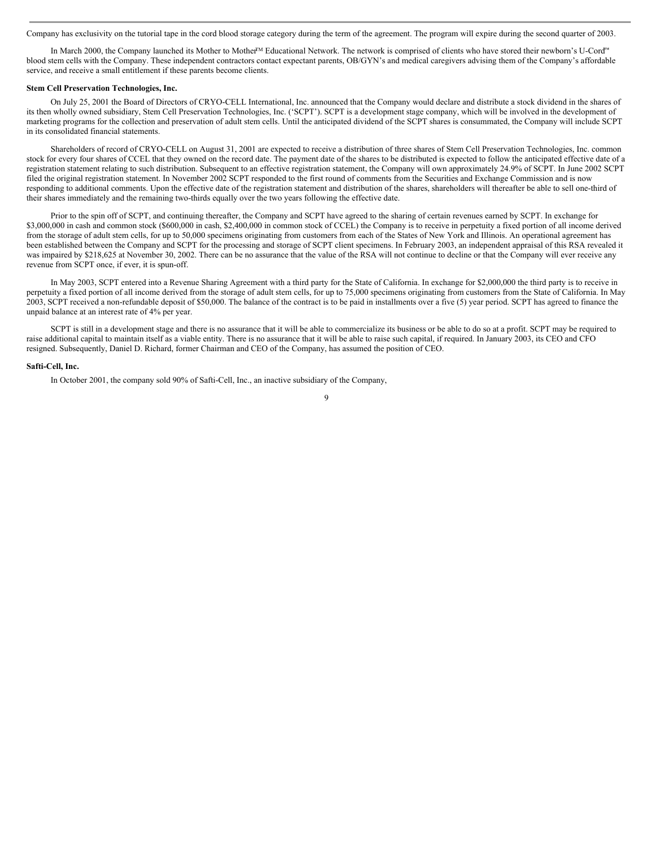Company has exclusivity on the tutorial tape in the cord blood storage category during the term of the agreement. The program will expire during the second quarter of 2003.

In March 2000, the Company launched its Mother to Mother™ Educational Network. The network is comprised of clients who have stored their newborn's U-Cord™ blood stem cells with the Company. These independent contractors contact expectant parents, OB/GYN's and medical caregivers advising them of the Company's affordable service, and receive a small entitlement if these parents become clients.

# **Stem Cell Preservation Technologies, Inc.**

On July 25, 2001 the Board of Directors of CRYO-CELL International, Inc. announced that the Company would declare and distribute a stock dividend in the shares of its then wholly owned subsidiary, Stem Cell Preservation Technologies, Inc. ('SCPT'). SCPT is a development stage company, which will be involved in the development of marketing programs for the collection and preservation of adult stem cells. Until the anticipated dividend of the SCPT shares is consummated, the Company will include SCPT in its consolidated financial statements.

Shareholders of record of CRYO-CELL on August 31, 2001 are expected to receive a distribution of three shares of Stem Cell Preservation Technologies, Inc. common stock for every four shares of CCEL that they owned on the record date. The payment date of the shares to be distributed is expected to follow the anticipated effective date of a registration statement relating to such distribution. Subsequent to an effective registration statement, the Company will own approximately 24.9% of SCPT. In June 2002 SCPT filed the original registration statement. In November 2002 SCPT responded to the first round of comments from the Securities and Exchange Commission and is now responding to additional comments. Upon the effective date of the registration statement and distribution of the shares, shareholders will thereafter be able to sell one-third of their shares immediately and the remaining two-thirds equally over the two years following the effective date.

Prior to the spin off of SCPT, and continuing thereafter, the Company and SCPT have agreed to the sharing of certain revenues earned by SCPT. In exchange for \$3,000,000 in cash and common stock (\$600,000 in cash, \$2,400,000 in common stock of CCEL) the Company is to receive in perpetuity a fixed portion of all income derived from the storage of adult stem cells, for up to 50,000 specimens originating from customers from each of the States of New York and Illinois. An operational agreement has been established between the Company and SCPT for the processing and storage of SCPT client specimens. In February 2003, an independent appraisal of this RSA revealed it was impaired by \$218,625 at November 30, 2002. There can be no assurance that the value of the RSA will not continue to decline or that the Company will ever receive any revenue from SCPT once, if ever, it is spun-off.

In May 2003, SCPT entered into a Revenue Sharing Agreement with a third party for the State of California. In exchange for \$2,000,000 the third party is to receive in perpetuity a fixed portion of all income derived from the storage of adult stem cells, for up to 75,000 specimens originating from customers from the State of California. In May 2003, SCPT received a non-refundable deposit of \$50,000. The balance of the contract is to be paid in installments over a five (5) year period. SCPT has agreed to finance the unpaid balance at an interest rate of 4% per year.

SCPT is still in a development stage and there is no assurance that it will be able to commercialize its business or be able to do so at a profit. SCPT may be required to raise additional capital to maintain itself as a viable entity. There is no assurance that it will be able to raise such capital, if required. In January 2003, its CEO and CFO resigned. Subsequently, Daniel D. Richard, former Chairman and CEO of the Company, has assumed the position of CEO.

#### **Safti-Cell, Inc.**

In October 2001, the company sold 90% of Safti-Cell, Inc., an inactive subsidiary of the Company,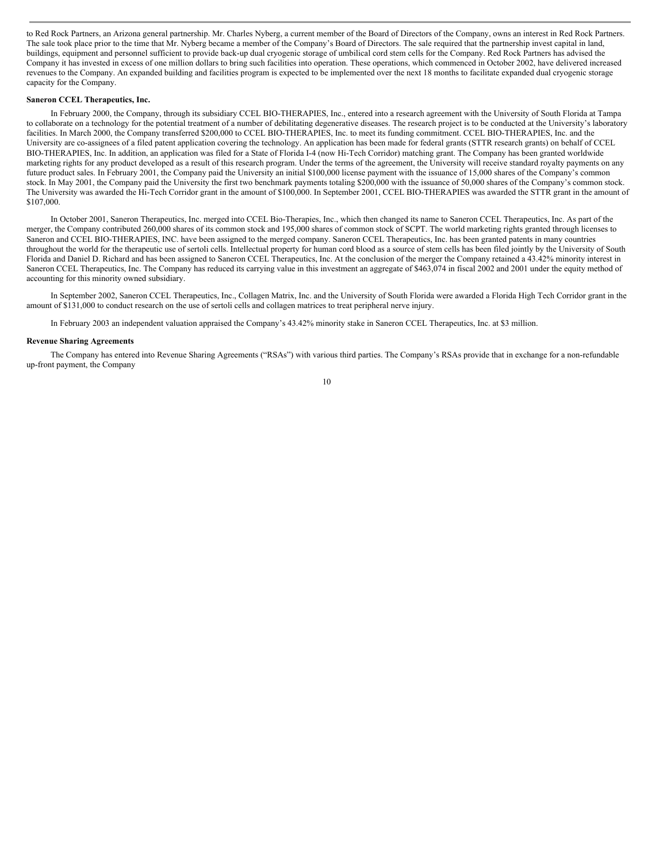to Red Rock Partners, an Arizona general partnership. Mr. Charles Nyberg, a current member of the Board of Directors of the Company, owns an interest in Red Rock Partners. The sale took place prior to the time that Mr. Nyberg became a member of the Company's Board of Directors. The sale required that the partnership invest capital in land, buildings, equipment and personnel sufficient to provide back-up dual cryogenic storage of umbilical cord stem cells for the Company. Red Rock Partners has advised the Company it has invested in excess of one million dollars to bring such facilities into operation. These operations, which commenced in October 2002, have delivered increased revenues to the Company. An expanded building and facilities program is expected to be implemented over the next 18 months to facilitate expanded dual cryogenic storage capacity for the Company.

# **Saneron CCEL Therapeutics, Inc.**

In February 2000, the Company, through its subsidiary CCEL BIO-THERAPIES, Inc., entered into a research agreement with the University of South Florida at Tampa to collaborate on a technology for the potential treatment of a number of debilitating degenerative diseases. The research project is to be conducted at the University's laboratory facilities. In March 2000, the Company transferred \$200,000 to CCEL BIO-THERAPIES, Inc. to meet its funding commitment. CCEL BIO-THERAPIES, Inc. and the University are co-assignees of a filed patent application covering the technology. An application has been made for federal grants (STTR research grants) on behalf of CCEL BIO-THERAPIES, Inc. In addition, an application was filed for a State of Florida I-4 (now Hi-Tech Corridor) matching grant. The Company has been granted worldwide marketing rights for any product developed as a result of this research program. Under the terms of the agreement, the University will receive standard royalty payments on any future product sales. In February 2001, the Company paid the University an initial \$100,000 license payment with the issuance of 15,000 shares of the Company's common stock. In May 2001, the Company paid the University the first two benchmark payments totaling \$200,000 with the issuance of 50,000 shares of the Company's common stock. The University was awarded the Hi-Tech Corridor grant in the amount of \$100,000. In September 2001, CCEL BIO-THERAPIES was awarded the STTR grant in the amount of \$107,000.

In October 2001, Saneron Therapeutics, Inc. merged into CCEL Bio-Therapies, Inc., which then changed its name to Saneron CCEL Therapeutics, Inc. As part of the merger, the Company contributed 260,000 shares of its common stock and 195,000 shares of common stock of SCPT. The world marketing rights granted through licenses to Saneron and CCEL BIO-THERAPIES, INC. have been assigned to the merged company. Saneron CCEL Therapeutics, Inc. has been granted patents in many countries throughout the world for the therapeutic use of sertoli cells. Intellectual property for human cord blood as a source of stem cells has been filed jointly by the University of South Florida and Daniel D. Richard and has been assigned to Saneron CCEL Therapeutics, Inc. At the conclusion of the merger the Company retained a 43.42% minority interest in Saneron CCEL Therapeutics, Inc. The Company has reduced its carrying value in this investment an aggregate of \$463,074 in fiscal 2002 and 2001 under the equity method of accounting for this minority owned subsidiary.

In September 2002, Saneron CCEL Therapeutics, Inc., Collagen Matrix, Inc. and the University of South Florida were awarded a Florida High Tech Corridor grant in the amount of \$131,000 to conduct research on the use of sertoli cells and collagen matrices to treat peripheral nerve injury.

In February 2003 an independent valuation appraised the Company's 43.42% minority stake in Saneron CCEL Therapeutics, Inc. at \$3 million.

#### **Revenue Sharing Agreements**

The Company has entered into Revenue Sharing Agreements ("RSAs") with various third parties. The Company's RSAs provide that in exchange for a non-refundable up-front payment, the Company

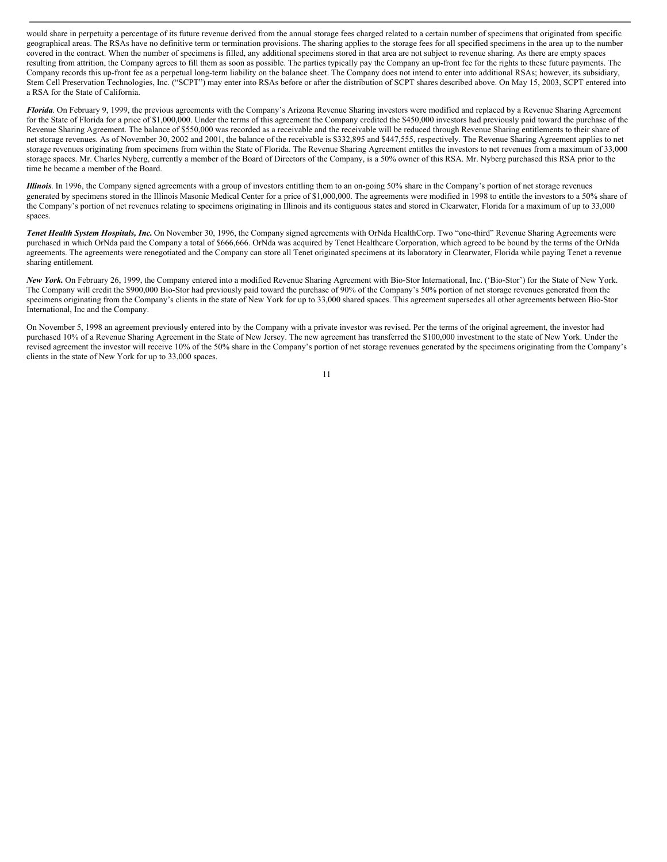would share in perpetuity a percentage of its future revenue derived from the annual storage fees charged related to a certain number of specimens that originated from specific geographical areas. The RSAs have no definitive term or termination provisions. The sharing applies to the storage fees for all specified specimens in the area up to the number covered in the contract. When the number of specimens is filled, any additional specimens stored in that area are not subject to revenue sharing. As there are empty spaces resulting from attrition, the Company agrees to fill them as soon as possible. The parties typically pay the Company an up-front fee for the rights to these future payments. The Company records this up-front fee as a perpetual long-term liability on the balance sheet. The Company does not intend to enter into additional RSAs; however, its subsidiary, Stem Cell Preservation Technologies, Inc. ("SCPT") may enter into RSAs before or after the distribution of SCPT shares described above. On May 15, 2003, SCPT entered into a RSA for the State of California.

*Florida*. On February 9, 1999, the previous agreements with the Company's Arizona Revenue Sharing investors were modified and replaced by a Revenue Sharing Agreement for the State of Florida for a price of \$1,000,000. Under the terms of this agreement the Company credited the \$450,000 investors had previously paid toward the purchase of the Revenue Sharing Agreement. The balance of \$550,000 was recorded as a receivable and the receivable will be reduced through Revenue Sharing entitlements to their share of net storage revenues. As of November 30, 2002 and 2001, the balance of the receivable is \$332,895 and \$447,555, respectively. The Revenue Sharing Agreement applies to net storage revenues originating from specimens from within the State of Florida. The Revenue Sharing Agreement entitles the investors to net revenues from a maximum of 33,000 storage spaces. Mr. Charles Nyberg, currently a member of the Board of Directors of the Company, is a 50% owner of this RSA. Mr. Nyberg purchased this RSA prior to the time he became a member of the Board.

*Illinois*. In 1996, the Company signed agreements with a group of investors entitling them to an on-going 50% share in the Company's portion of net storage revenues generated by specimens stored in the Illinois Masonic Medical Center for a price of \$1,000,000. The agreements were modified in 1998 to entitle the investors to a 50% share of the Company's portion of net revenues relating to specimens originating in Illinois and its contiguous states and stored in Clearwater, Florida for a maximum of up to 33,000 spaces.

*Tenet Health System Hospitals, Inc.* On November 30, 1996, the Company signed agreements with OrNda HealthCorp. Two "one-third" Revenue Sharing Agreements were purchased in which OrNda paid the Company a total of \$666,666. OrNda was acquired by Tenet Healthcare Corporation, which agreed to be bound by the terms of the OrNda agreements. The agreements were renegotiated and the Company can store all Tenet originated specimens at its laboratory in Clearwater, Florida while paying Tenet a revenue sharing entitlement.

*New York.* On February 26, 1999, the Company entered into a modified Revenue Sharing Agreement with Bio-Stor International, Inc. ('Bio-Stor') for the State of New York. The Company will credit the \$900,000 Bio-Stor had previously paid toward the purchase of 90% of the Company's 50% portion of net storage revenues generated from the specimens originating from the Company's clients in the state of New York for up to 33,000 shared spaces. This agreement supersedes all other agreements between Bio-Stor International, Inc and the Company.

On November 5, 1998 an agreement previously entered into by the Company with a private investor was revised. Per the terms of the original agreement, the investor had purchased 10% of a Revenue Sharing Agreement in the State of New Jersey. The new agreement has transferred the \$100,000 investment to the state of New York. Under the revised agreement the investor will receive 10% of the 50% share in the Company's portion of net storage revenues generated by the specimens originating from the Company's clients in the state of New York for up to 33,000 spaces.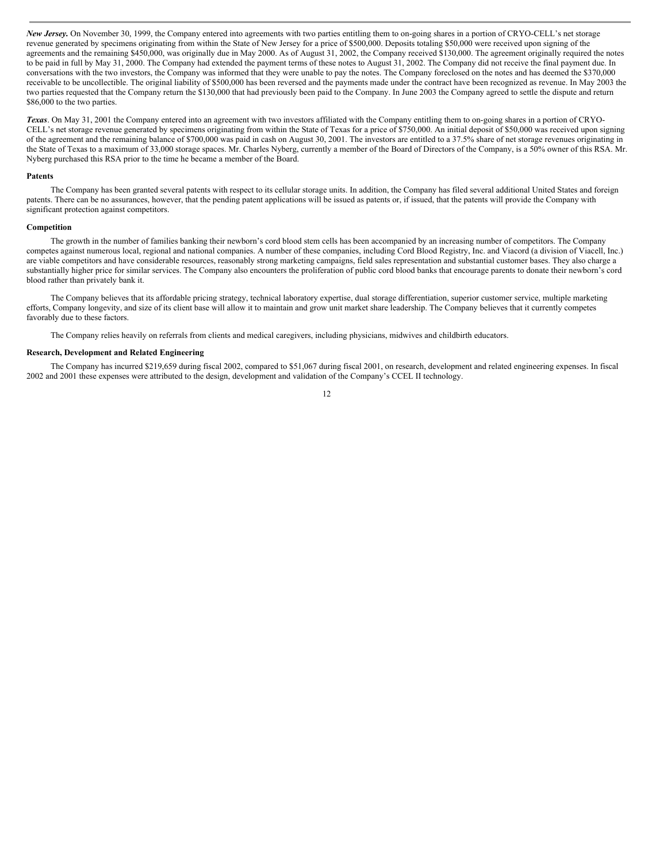*New Jersey.* On November 30, 1999, the Company entered into agreements with two parties entitling them to on-going shares in a portion of CRYO-CELL's net storage revenue generated by specimens originating from within the State of New Jersey for a price of \$500,000. Deposits totaling \$50,000 were received upon signing of the agreements and the remaining \$450,000, was originally due in May 2000. As of August 31, 2002, the Company received \$130,000. The agreement originally required the notes to be paid in full by May 31, 2000. The Company had extended the payment terms of these notes to August 31, 2002. The Company did not receive the final payment due. In conversations with the two investors, the Company was informed that they were unable to pay the notes. The Company foreclosed on the notes and has deemed the \$370,000 receivable to be uncollectible. The original liability of \$500,000 has been reversed and the payments made under the contract have been recognized as revenue. In May 2003 the two parties requested that the Company return the \$130,000 that had previously been paid to the Company. In June 2003 the Company agreed to settle the dispute and return \$86,000 to the two parties.

*Texas*. On May 31, 2001 the Company entered into an agreement with two investors affiliated with the Company entitling them to on-going shares in a portion of CRYO-CELL's net storage revenue generated by specimens originating from within the State of Texas for a price of \$750,000. An initial deposit of \$50,000 was received upon signing of the agreement and the remaining balance of \$700,000 was paid in cash on August 30, 2001. The investors are entitled to a 37.5% share of net storage revenues originating in the State of Texas to a maximum of 33,000 storage spaces. Mr. Charles Nyberg, currently a member of the Board of Directors of the Company, is a 50% owner of this RSA. Mr. Nyberg purchased this RSA prior to the time he became a member of the Board.

#### **Patents**

The Company has been granted several patents with respect to its cellular storage units. In addition, the Company has filed several additional United States and foreign patents. There can be no assurances, however, that the pending patent applications will be issued as patents or, if issued, that the patents will provide the Company with significant protection against competitors.

#### **Competition**

The growth in the number of families banking their newborn's cord blood stem cells has been accompanied by an increasing number of competitors. The Company competes against numerous local, regional and national companies. A number of these companies, including Cord Blood Registry, Inc. and Viacord (a division of Viacell, Inc.) are viable competitors and have considerable resources, reasonably strong marketing campaigns, field sales representation and substantial customer bases. They also charge a substantially higher price for similar services. The Company also encounters the proliferation of public cord blood banks that encourage parents to donate their newborn's cord blood rather than privately bank it.

The Company believes that its affordable pricing strategy, technical laboratory expertise, dual storage differentiation, superior customer service, multiple marketing efforts, Company longevity, and size of its client base will allow it to maintain and grow unit market share leadership. The Company believes that it currently competes favorably due to these factors.

The Company relies heavily on referrals from clients and medical caregivers, including physicians, midwives and childbirth educators.

# **Research, Development and Related Engineering**

The Company has incurred \$219,659 during fiscal 2002, compared to \$51,067 during fiscal 2001, on research, development and related engineering expenses. In fiscal 2002 and 2001 these expenses were attributed to the design, development and validation of the Company's CCEL II technology.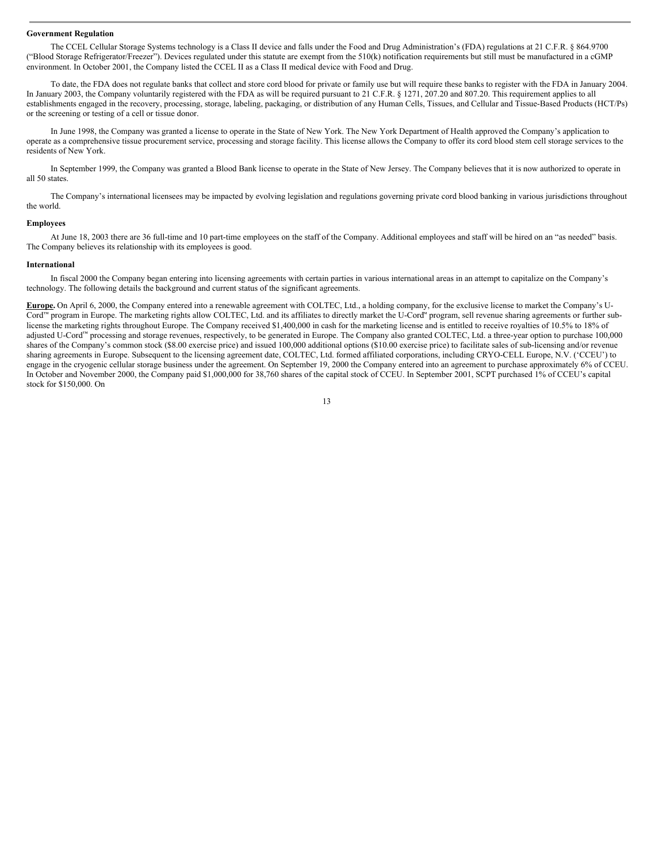#### **Government Regulation**

The CCEL Cellular Storage Systems technology is a Class II device and falls under the Food and Drug Administration's (FDA) regulations at 21 C.F.R. § 864.9700 ("Blood Storage Refrigerator/Freezer"). Devices regulated under this statute are exempt from the 510(k) notification requirements but still must be manufactured in a cGMP environment. In October 2001, the Company listed the CCEL II as a Class II medical device with Food and Drug.

To date, the FDA does not regulate banks that collect and store cord blood for private or family use but will require these banks to register with the FDA in January 2004. In January 2003, the Company voluntarily registered with the FDA as will be required pursuant to 21 C.F.R. § 1271, 207.20 and 807.20. This requirement applies to all establishments engaged in the recovery, processing, storage, labeling, packaging, or distribution of any Human Cells, Tissues, and Cellular and Tissue-Based Products (HCT/Ps) or the screening or testing of a cell or tissue donor.

In June 1998, the Company was granted a license to operate in the State of New York. The New York Department of Health approved the Company's application to operate as a comprehensive tissue procurement service, processing and storage facility. This license allows the Company to offer its cord blood stem cell storage services to the residents of New York.

In September 1999, the Company was granted a Blood Bank license to operate in the State of New Jersey. The Company believes that it is now authorized to operate in all 50 states.

The Company's international licensees may be impacted by evolving legislation and regulations governing private cord blood banking in various jurisdictions throughout the world.

#### **Employees**

At June 18, 2003 there are 36 full-time and 10 part-time employees on the staff of the Company. Additional employees and staff will be hired on an "as needed" basis. The Company believes its relationship with its employees is good.

#### **International**

In fiscal 2000 the Company began entering into licensing agreements with certain parties in various international areas in an attempt to capitalize on the Company's technology. The following details the background and current status of the significant agreements.

**Europe.** On April 6, 2000, the Company entered into a renewable agreement with COLTEC, Ltd., a holding company, for the exclusive license to market the Company's U-Cord<sup>™</sup> program in Europe. The marketing rights allow COLTEC, Ltd. and its affiliates to directly market the U-Cord<sup>™</sup> program, sell revenue sharing agreements or further sublicense the marketing rights throughout Europe. The Company received \$1,400,000 in cash for the marketing license and is entitled to receive royalties of 10.5% to 18% of adjusted U-Cord™ processing and storage revenues, respectively, to be generated in Europe. The Company also granted COLTEC, Ltd. a three-year option to purchase 100,000 shares of the Company's common stock (\$8.00 exercise price) and issued 100,000 additional options (\$10.00 exercise price) to facilitate sales of sub-licensing and/or revenue sharing agreements in Europe. Subsequent to the licensing agreement date, COLTEC, Ltd. formed affiliated corporations, including CRYO-CELL Europe, N.V. ('CCEU') to engage in the cryogenic cellular storage business under the agreement. On September 19, 2000 the Company entered into an agreement to purchase approximately 6% of CCEU. In October and November 2000, the Company paid \$1,000,000 for 38,760 shares of the capital stock of CCEU. In September 2001, SCPT purchased 1% of CCEU's capital stock for \$150,000. On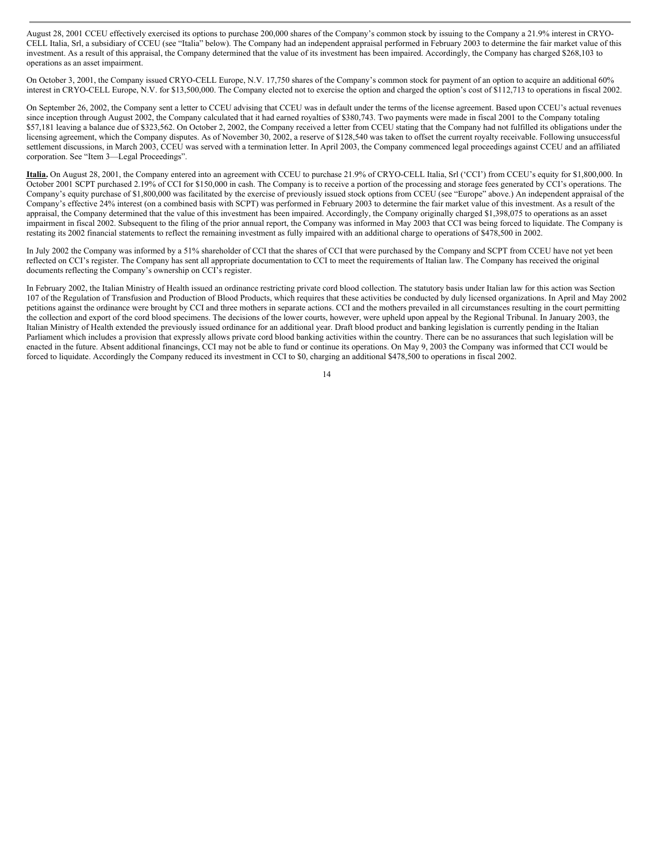August 28, 2001 CCEU effectively exercised its options to purchase 200,000 shares of the Company's common stock by issuing to the Company a 21.9% interest in CRYO-CELL Italia, Srl, a subsidiary of CCEU (see "Italia" below). The Company had an independent appraisal performed in February 2003 to determine the fair market value of this investment. As a result of this appraisal, the Company determined that the value of its investment has been impaired. Accordingly, the Company has charged \$268,103 to operations as an asset impairment.

On October 3, 2001, the Company issued CRYO-CELL Europe, N.V. 17,750 shares of the Company's common stock for payment of an option to acquire an additional 60% interest in CRYO-CELL Europe, N.V. for \$13,500,000. The Company elected not to exercise the option and charged the option's cost of \$112,713 to operations in fiscal 2002.

On September 26, 2002, the Company sent a letter to CCEU advising that CCEU was in default under the terms of the license agreement. Based upon CCEU's actual revenues since inception through August 2002, the Company calculated that it had earned royalties of \$380,743. Two payments were made in fiscal 2001 to the Company totaling \$57,181 leaving a balance due of \$323,562. On October 2, 2002, the Company received a letter from CCEU stating that the Company had not fulfilled its obligations under the licensing agreement, which the Company disputes. As of November 30, 2002, a reserve of \$128,540 was taken to offset the current royalty receivable. Following unsuccessful settlement discussions, in March 2003, CCEU was served with a termination letter. In April 2003, the Company commenced legal proceedings against CCEU and an affiliated corporation. See "Item 3—Legal Proceedings".

**Italia.** On August 28, 2001, the Company entered into an agreement with CCEU to purchase 21.9% of CRYO-CELL Italia, Srl ('CCI') from CCEU's equity for \$1,800,000. In October 2001 SCPT purchased 2.19% of CCI for \$150,000 in cash. The Company is to receive a portion of the processing and storage fees generated by CCI's operations. The Company's equity purchase of \$1,800,000 was facilitated by the exercise of previously issued stock options from CCEU (see "Europe" above.) An independent appraisal of the Company's effective 24% interest (on a combined basis with SCPT) was performed in February 2003 to determine the fair market value of this investment. As a result of the appraisal, the Company determined that the value of this investment has been impaired. Accordingly, the Company originally charged \$1,398,075 to operations as an asset impairment in fiscal 2002. Subsequent to the filing of the prior annual report, the Company was informed in May 2003 that CCI was being forced to liquidate. The Company is restating its 2002 financial statements to reflect the remaining investment as fully impaired with an additional charge to operations of \$478,500 in 2002.

In July 2002 the Company was informed by a 51% shareholder of CCI that the shares of CCI that were purchased by the Company and SCPT from CCEU have not yet been reflected on CCI's register. The Company has sent all appropriate documentation to CCI to meet the requirements of Italian law. The Company has received the original documents reflecting the Company's ownership on CCI's register.

In February 2002, the Italian Ministry of Health issued an ordinance restricting private cord blood collection. The statutory basis under Italian law for this action was Section 107 of the Regulation of Transfusion and Production of Blood Products, which requires that these activities be conducted by duly licensed organizations. In April and May 2002 petitions against the ordinance were brought by CCI and three mothers in separate actions. CCI and the mothers prevailed in all circumstances resulting in the court permitting the collection and export of the cord blood specimens. The decisions of the lower courts, however, were upheld upon appeal by the Regional Tribunal. In January 2003, the Italian Ministry of Health extended the previously issued ordinance for an additional year. Draft blood product and banking legislation is currently pending in the Italian Parliament which includes a provision that expressly allows private cord blood banking activities within the country. There can be no assurances that such legislation will be enacted in the future. Absent additional financings, CCI may not be able to fund or continue its operations. On May 9, 2003 the Company was informed that CCI would be forced to liquidate. Accordingly the Company reduced its investment in CCI to \$0, charging an additional \$478,500 to operations in fiscal 2002.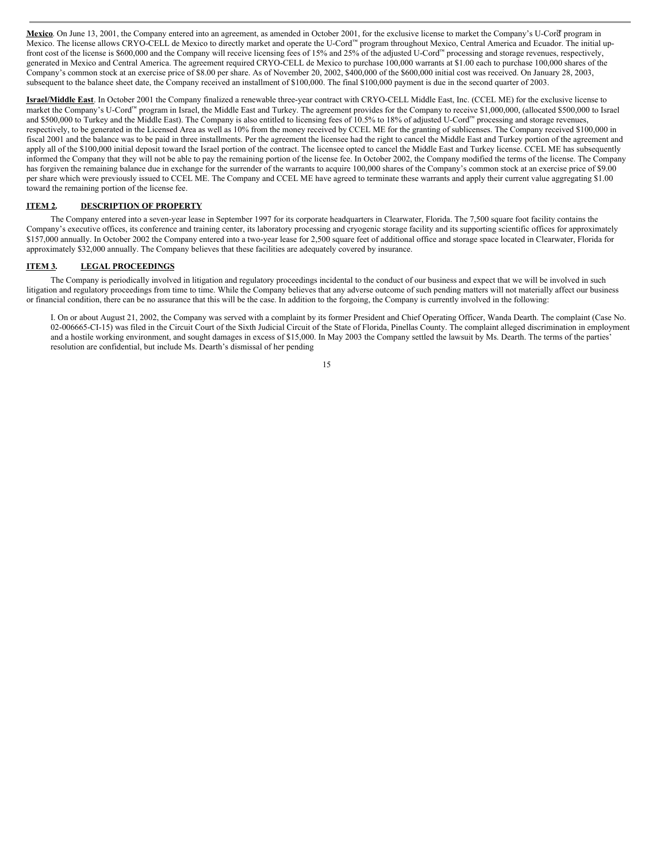**Mexico**. On June 13, 2001, the Company entered into an agreement, as amended in October 2001, for the exclusive license to market the Company's U-Cord™ program in Mexico. The license allows CRYO-CELL de Mexico to directly market and operate the U-Cord™ program throughout Mexico, Central America and Ecuador. The initial upfront cost of the license is \$600,000 and the Company will receive licensing fees of 15% and 25% of the adjusted U-Cord™ processing and storage revenues, respectively, generated in Mexico and Central America. The agreement required CRYO-CELL de Mexico to purchase 100,000 warrants at \$1.00 each to purchase 100,000 shares of the Company's common stock at an exercise price of \$8.00 per share. As of November 20, 2002, \$400,000 of the \$600,000 initial cost was received. On January 28, 2003, subsequent to the balance sheet date, the Company received an installment of \$100,000. The final \$100,000 payment is due in the second quarter of 2003.

**Israel/Middle East**. In October 2001 the Company finalized a renewable three-year contract with CRYO-CELL Middle East, Inc. (CCEL ME) for the exclusive license to market the Company's U-Cord™ program in Israel, the Middle East and Turkey. The agreement provides for the Company to receive \$1,000,000, (allocated \$500,000 to Israel and \$500,000 to Turkey and the Middle East). The Company is also entitled to licensing fees of 10.5% to 18% of adjusted U-Cord™ processing and storage revenues, respectively, to be generated in the Licensed Area as well as 10% from the money received by CCEL ME for the granting of sublicenses. The Company received \$100,000 in fiscal 2001 and the balance was to be paid in three installments. Per the agreement the licensee had the right to cancel the Middle East and Turkey portion of the agreement and apply all of the \$100,000 initial deposit toward the Israel portion of the contract. The licensee opted to cancel the Middle East and Turkey license. CCEL ME has subsequently informed the Company that they will not be able to pay the remaining portion of the license fee. In October 2002, the Company modified the terms of the license. The Company has forgiven the remaining balance due in exchange for the surrender of the warrants to acquire 100,000 shares of the Company's common stock at an exercise price of \$9.00 per share which were previously issued to CCEL ME. The Company and CCEL ME have agreed to terminate these warrants and apply their current value aggregating \$1.00 toward the remaining portion of the license fee.

# **ITEM 2. DESCRIPTION OF PROPERTY**

The Company entered into a seven-year lease in September 1997 for its corporate headquarters in Clearwater, Florida. The 7,500 square foot facility contains the Company's executive offices, its conference and training center, its laboratory processing and cryogenic storage facility and its supporting scientific offices for approximately \$157,000 annually. In October 2002 the Company entered into a two-year lease for 2,500 square feet of additional office and storage space located in Clearwater, Florida for approximately \$32,000 annually. The Company believes that these facilities are adequately covered by insurance.

### **ITEM 3. LEGAL PROCEEDINGS**

The Company is periodically involved in litigation and regulatory proceedings incidental to the conduct of our business and expect that we will be involved in such litigation and regulatory proceedings from time to time. While the Company believes that any adverse outcome of such pending matters will not materially affect our business or financial condition, there can be no assurance that this will be the case. In addition to the forgoing, the Company is currently involved in the following:

I. On or about August 21, 2002, the Company was served with a complaint by its former President and Chief Operating Officer, Wanda Dearth. The complaint (Case No. 02-006665-CI-15) was filed in the Circuit Court of the Sixth Judicial Circuit of the State of Florida, Pinellas County. The complaint alleged discrimination in employment and a hostile working environment, and sought damages in excess of \$15,000. In May 2003 the Company settled the lawsuit by Ms. Dearth. The terms of the parties' resolution are confidential, but include Ms. Dearth's dismissal of her pending

<sup>15</sup>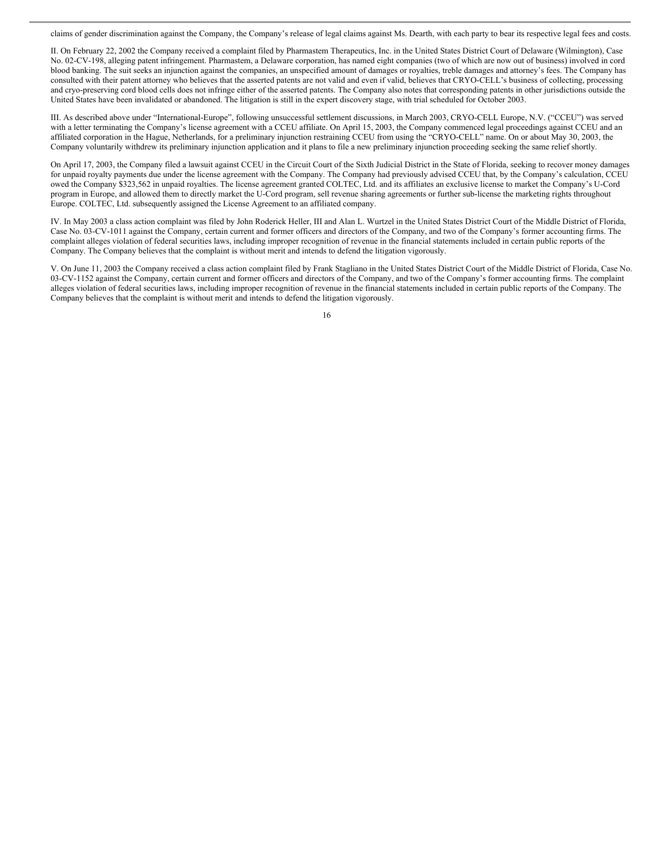claims of gender discrimination against the Company, the Company's release of legal claims against Ms. Dearth, with each party to bear its respective legal fees and costs.

II. On February 22, 2002 the Company received a complaint filed by Pharmastem Therapeutics, Inc. in the United States District Court of Delaware (Wilmington), Case No. 02-CV-198, alleging patent infringement. Pharmastem, a Delaware corporation, has named eight companies (two of which are now out of business) involved in cord blood banking. The suit seeks an injunction against the companies, an unspecified amount of damages or royalties, treble damages and attorney's fees. The Company has consulted with their patent attorney who believes that the asserted patents are not valid and even if valid, believes that CRYO-CELL's business of collecting, processing and cryo-preserving cord blood cells does not infringe either of the asserted patents. The Company also notes that corresponding patents in other jurisdictions outside the United States have been invalidated or abandoned. The litigation is still in the expert discovery stage, with trial scheduled for October 2003.

III. As described above under "International-Europe", following unsuccessful settlement discussions, in March 2003, CRYO-CELL Europe, N.V. ("CCEU") was served with a letter terminating the Company's license agreement with a CCEU affiliate. On April 15, 2003, the Company commenced legal proceedings against CCEU and an affiliated corporation in the Hague, Netherlands, for a preliminary injunction restraining CCEU from using the "CRYO-CELL" name. On or about May 30, 2003, the Company voluntarily withdrew its preliminary injunction application and it plans to file a new preliminary injunction proceeding seeking the same relief shortly.

On April 17, 2003, the Company filed a lawsuit against CCEU in the Circuit Court of the Sixth Judicial District in the State of Florida, seeking to recover money damages for unpaid royalty payments due under the license agreement with the Company. The Company had previously advised CCEU that, by the Company's calculation, CCEU owed the Company \$323,562 in unpaid royalties. The license agreement granted COLTEC, Ltd. and its affiliates an exclusive license to market the Company's U-Cord program in Europe, and allowed them to directly market the U-Cord program, sell revenue sharing agreements or further sub-license the marketing rights throughout Europe. COLTEC, Ltd. subsequently assigned the License Agreement to an affiliated company.

IV. In May 2003 a class action complaint was filed by John Roderick Heller, III and Alan L. Wurtzel in the United States District Court of the Middle District of Florida, Case No. 03-CV-1011 against the Company, certain current and former officers and directors of the Company, and two of the Company's former accounting firms. The complaint alleges violation of federal securities laws, including improper recognition of revenue in the financial statements included in certain public reports of the Company. The Company believes that the complaint is without merit and intends to defend the litigation vigorously.

V. On June 11, 2003 the Company received a class action complaint filed by Frank Stagliano in the United States District Court of the Middle District of Florida, Case No. 03-CV-1152 against the Company, certain current and former officers and directors of the Company, and two of the Company's former accounting firms. The complaint alleges violation of federal securities laws, including improper recognition of revenue in the financial statements included in certain public reports of the Company. The Company believes that the complaint is without merit and intends to defend the litigation vigorously.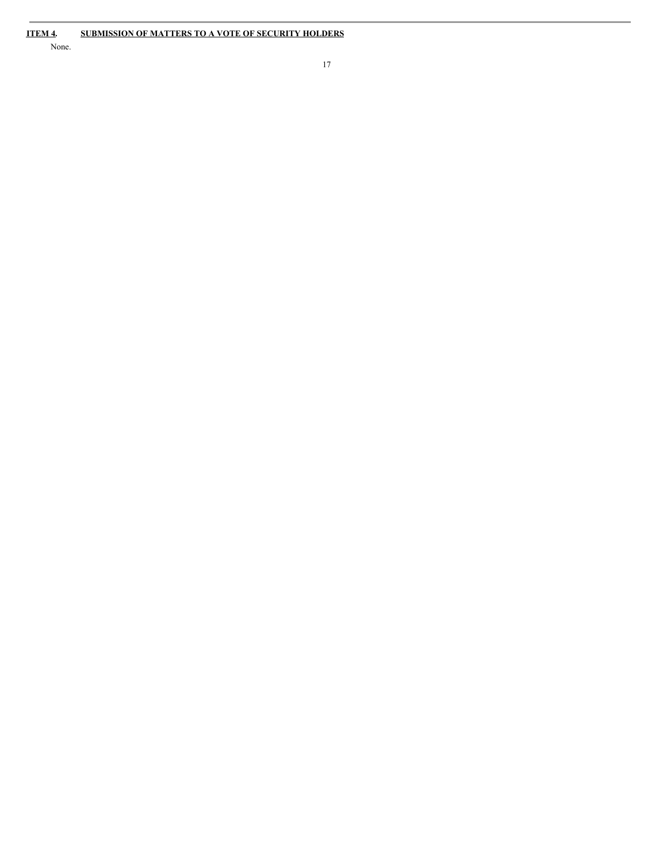None.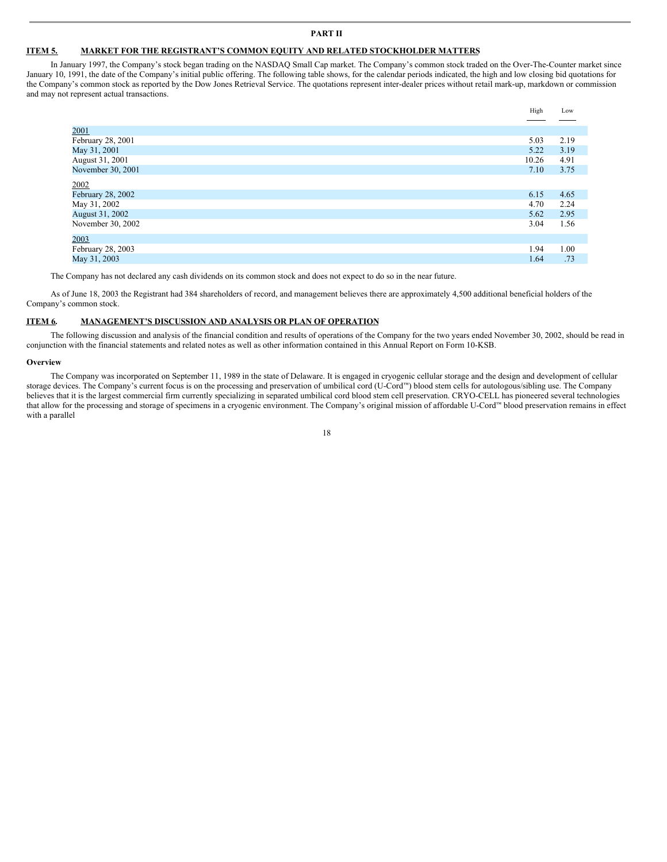### **PART II**

#### **ITEM 5. MARKET FOR THE REGISTRANT'S COMMON EQUITY AND RELATED STOCKHOLDER MATTERS**

In January 1997, the Company's stock began trading on the NASDAQ Small Cap market. The Company's common stock traded on the Over-The-Counter market since January 10, 1991, the date of the Company's initial public offering. The following table shows, for the calendar periods indicated, the high and low closing bid quotations for the Company's common stock as reported by the Dow Jones Retrieval Service. The quotations represent inter-dealer prices without retail mark-up, markdown or commission and may not represent actual transactions.

|                   | High  | Low  |
|-------------------|-------|------|
|                   |       |      |
| 2001              |       |      |
| February 28, 2001 | 5.03  | 2.19 |
| May 31, 2001      | 5.22  | 3.19 |
| August 31, 2001   | 10.26 | 4.91 |
| November 30, 2001 | 7.10  | 3.75 |
| 2002              |       |      |
| February 28, 2002 | 6.15  | 4.65 |
| May 31, 2002      | 4.70  | 2.24 |
| August 31, 2002   | 5.62  | 2.95 |
| November 30, 2002 | 3.04  | 1.56 |
| 2003              |       |      |
| February 28, 2003 | 1.94  | 1.00 |
| May 31, 2003      | 1.64  | .73  |

The Company has not declared any cash dividends on its common stock and does not expect to do so in the near future.

As of June 18, 2003 the Registrant had 384 shareholders of record, and management believes there are approximately 4,500 additional beneficial holders of the Company's common stock.

# **ITEM 6. MANAGEMENT'S DISCUSSION AND ANALYSIS OR PLAN OF OPERATION**

The following discussion and analysis of the financial condition and results of operations of the Company for the two years ended November 30, 2002, should be read in conjunction with the financial statements and related notes as well as other information contained in this Annual Report on Form 10-KSB.

#### **Overview**

The Company was incorporated on September 11, 1989 in the state of Delaware. It is engaged in cryogenic cellular storage and the design and development of cellular storage devices. The Company's current focus is on the processing and preservation of umbilical cord (U-Cord™) blood stem cells for autologous/sibling use. The Company believes that it is the largest commercial firm currently specializing in separated umbilical cord blood stem cell preservation. CRYO-CELL has pioneered several technologies that allow for the processing and storage of specimens in a cryogenic environment. The Company's original mission of affordable U-Cord™ blood preservation remains in effect with a parallel

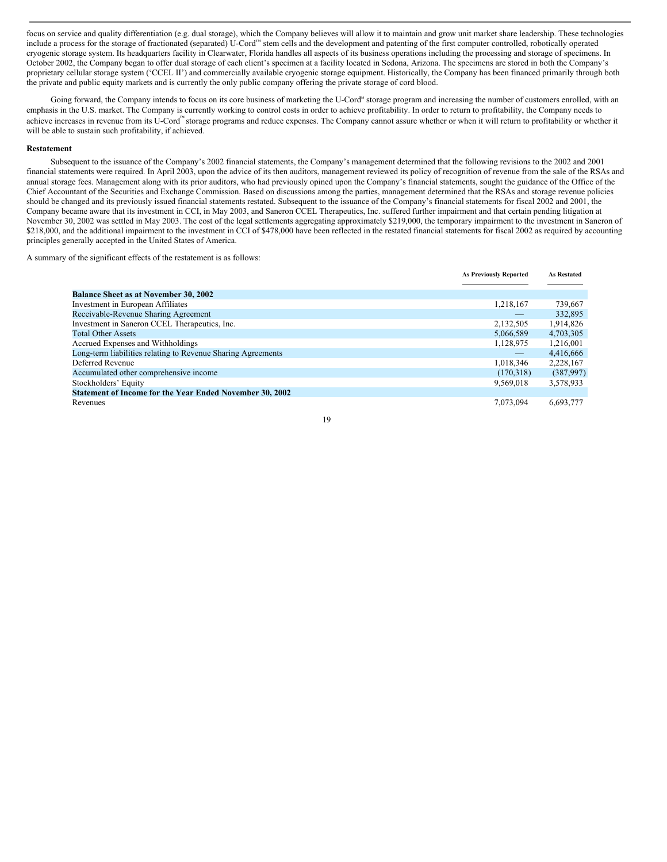focus on service and quality differentiation (e.g. dual storage), which the Company believes will allow it to maintain and grow unit market share leadership. These technologies include a process for the storage of fractionated (separated) U-Cord™ stem cells and the development and patenting of the first computer controlled, robotically operated cryogenic storage system. Its headquarters facility in Clearwater, Florida handles all aspects of its business operations including the processing and storage of specimens. In October 2002, the Company began to offer dual storage of each client's specimen at a facility located in Sedona, Arizona. The specimens are stored in both the Company's proprietary cellular storage system ('CCEL II') and commercially available cryogenic storage equipment. Historically, the Company has been financed primarily through both the private and public equity markets and is currently the only public company offering the private storage of cord blood.

Going forward, the Company intends to focus on its core business of marketing the U-Cord<sup>™</sup> storage program and increasing the number of customers enrolled, with an emphasis in the U.S. market. The Company is currently working to control costs in order to achieve profitability. In order to return to profitability, the Company needs to achieve increases in revenue from its U-Cord™ storage programs and reduce expenses. The Company cannot assure whether or when it will return to profitability or whether it will be able to sustain such profitability, if achieved.

### **Restatement**

Subsequent to the issuance of the Company's 2002 financial statements, the Company's management determined that the following revisions to the 2002 and 2001 financial statements were required. In April 2003, upon the advice of its then auditors, management reviewed its policy of recognition of revenue from the sale of the RSAs and annual storage fees. Management along with its prior auditors, who had previously opined upon the Company's financial statements, sought the guidance of the Office of the Chief Accountant of the Securities and Exchange Commission. Based on discussions among the parties, management determined that the RSAs and storage revenue policies should be changed and its previously issued financial statements restated. Subsequent to the issuance of the Company's financial statements for fiscal 2002 and 2001, the Company became aware that its investment in CCI, in May 2003, and Saneron CCEL Therapeutics, Inc. suffered further impairment and that certain pending litigation at November 30, 2002 was settled in May 2003. The cost of the legal settlements aggregating approximately \$219,000, the temporary impairment to the investment in Saneron of \$218,000, and the additional impairment to the investment in CCI of \$478,000 have been reflected in the restated financial statements for fiscal 2002 as required by accounting principles generally accepted in the United States of America.

A summary of the significant effects of the restatement is as follows:

| <b>As Previously Reported</b> | <b>As Restated</b> |
|-------------------------------|--------------------|
|                               |                    |
|                               |                    |
| 1,218,167                     | 739,667            |
|                               | 332,895            |
| 2,132,505                     | 1,914,826          |
| 5,066,589                     | 4,703,305          |
| 1,128,975                     | 1,216,001          |
|                               | 4,416,666          |
| 1,018,346                     | 2,228,167          |
| (170,318)                     | (387,997)          |
| 9.569.018                     | 3,578,933          |
|                               |                    |
| 7.073.094                     | 6,693,777          |
|                               |                    |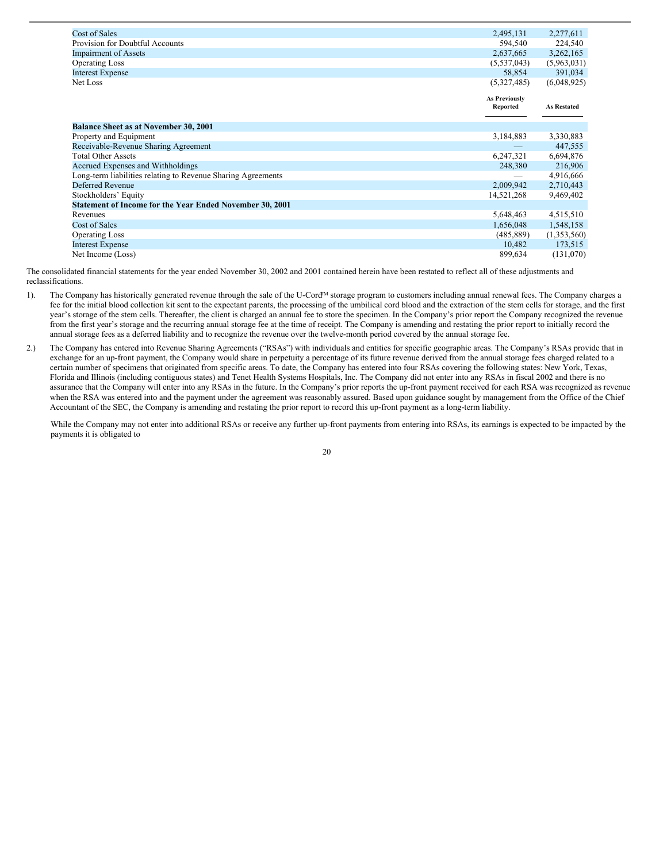| <b>Cost of Sales</b>                                            | 2,495,131                        | 2,277,611          |
|-----------------------------------------------------------------|----------------------------------|--------------------|
| Provision for Doubtful Accounts                                 | 594,540                          | 224,540            |
| <b>Impairment of Assets</b>                                     | 2,637,665                        | 3,262,165          |
| <b>Operating Loss</b>                                           | (5,537,043)                      | (5,963,031)        |
| <b>Interest Expense</b>                                         | 58,854                           | 391,034            |
| Net Loss                                                        | (5,327,485)                      | (6,048,925)        |
|                                                                 | <b>As Previously</b><br>Reported | <b>As Restated</b> |
| <b>Balance Sheet as at November 30, 2001</b>                    |                                  |                    |
| Property and Equipment                                          | 3,184,883                        | 3,330,883          |
| Receivable-Revenue Sharing Agreement                            |                                  | 447,555            |
| <b>Total Other Assets</b>                                       | 6,247,321                        | 6,694,876          |
| Accrued Expenses and Withholdings                               | 248,380                          | 216,906            |
| Long-term liabilities relating to Revenue Sharing Agreements    |                                  | 4,916,666          |
| <b>Deferred Revenue</b>                                         | 2,009,942                        | 2,710,443          |
| Stockholders' Equity                                            | 14,521,268                       | 9,469,402          |
| <b>Statement of Income for the Year Ended November 30, 2001</b> |                                  |                    |
| Revenues                                                        | 5,648,463                        | 4,515,510          |
| Cost of Sales                                                   | 1,656,048                        | 1,548,158          |
| <b>Operating Loss</b>                                           | (485, 889)                       | (1,353,560)        |
| <b>Interest Expense</b>                                         | 10,482                           | 173,515            |
| Net Income (Loss)                                               | 899,634                          | (131,070)          |

The consolidated financial statements for the year ended November 30, 2002 and 2001 contained herein have been restated to reflect all of these adjustments and reclassifications.

- 1). The Company has historically generated revenue through the sale of the U-Cord™ storage program to customers including annual renewal fees. The Company charges a fee for the initial blood collection kit sent to the expectant parents, the processing of the umbilical cord blood and the extraction of the stem cells for storage, and the first year's storage of the stem cells. Thereafter, the client is charged an annual fee to store the specimen. In the Company's prior report the Company recognized the revenue from the first year's storage and the recurring annual storage fee at the time of receipt. The Company is amending and restating the prior report to initially record the annual storage fees as a deferred liability and to recognize the revenue over the twelve-month period covered by the annual storage fee.
- 2.) The Company has entered into Revenue Sharing Agreements ("RSAs") with individuals and entities for specific geographic areas. The Company's RSAs provide that in exchange for an up-front payment, the Company would share in perpetuity a percentage of its future revenue derived from the annual storage fees charged related to a certain number of specimens that originated from specific areas. To date, the Company has entered into four RSAs covering the following states: New York, Texas, Florida and Illinois (including contiguous states) and Tenet Health Systems Hospitals, Inc. The Company did not enter into any RSAs in fiscal 2002 and there is no assurance that the Company will enter into any RSAs in the future. In the Company's prior reports the up-front payment received for each RSA was recognized as revenue when the RSA was entered into and the payment under the agreement was reasonably assured. Based upon guidance sought by management from the Office of the Chief Accountant of the SEC, the Company is amending and restating the prior report to record this up-front payment as a long-term liability.

While the Company may not enter into additional RSAs or receive any further up-front payments from entering into RSAs, its earnings is expected to be impacted by the payments it is obligated to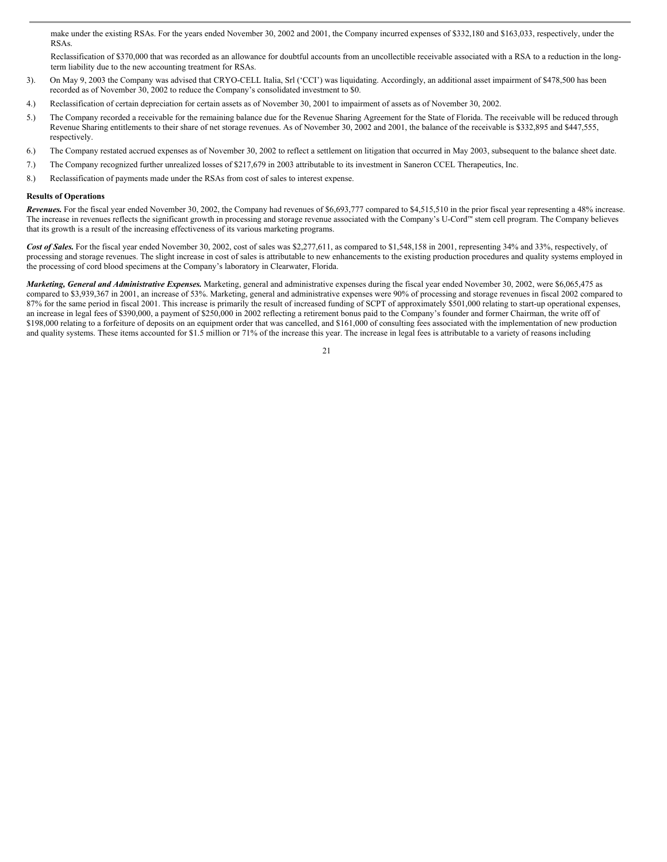make under the existing RSAs. For the years ended November 30, 2002 and 2001, the Company incurred expenses of \$332,180 and \$163,033, respectively, under the RSAs.

Reclassification of \$370,000 that was recorded as an allowance for doubtful accounts from an uncollectible receivable associated with a RSA to a reduction in the longterm liability due to the new accounting treatment for RSAs.

- 3). On May 9, 2003 the Company was advised that CRYO-CELL Italia, Srl ('CCI') was liquidating. Accordingly, an additional asset impairment of \$478,500 has been recorded as of November 30, 2002 to reduce the Company's consolidated investment to \$0.
- 4.) Reclassification of certain depreciation for certain assets as of November 30, 2001 to impairment of assets as of November 30, 2002.
- 5.) The Company recorded a receivable for the remaining balance due for the Revenue Sharing Agreement for the State of Florida. The receivable will be reduced through Revenue Sharing entitlements to their share of net storage revenues. As of November 30, 2002 and 2001, the balance of the receivable is \$332,895 and \$447,555, respectively.
- 6.) The Company restated accrued expenses as of November 30, 2002 to reflect a settlement on litigation that occurred in May 2003, subsequent to the balance sheet date.
- 7.) The Company recognized further unrealized losses of \$217,679 in 2003 attributable to its investment in Saneron CCEL Therapeutics, Inc.
- 8.) Reclassification of payments made under the RSAs from cost of sales to interest expense.

# **Results of Operations**

*Revenues.* For the fiscal year ended November 30, 2002, the Company had revenues of \$6,693,777 compared to \$4,515,510 in the prior fiscal year representing a 48% increase. The increase in revenues reflects the significant growth in processing and storage revenue associated with the Company's U-Cord™ stem cell program. The Company believes that its growth is a result of the increasing effectiveness of its various marketing programs.

Cost of Sales. For the fiscal year ended November 30, 2002, cost of sales was \$2,277,611, as compared to \$1,548,158 in 2001, representing 34% and 33%, respectively, of processing and storage revenues. The slight increase in cost of sales is attributable to new enhancements to the existing production procedures and quality systems employed in the processing of cord blood specimens at the Company's laboratory in Clearwater, Florida.

*Marketing, General and Administrative Expenses.* Marketing, general and administrative expenses during the fiscal year ended November 30, 2002, were \$6,065,475 as compared to \$3,939,367 in 2001, an increase of 53%. Marketing, general and administrative expenses were 90% of processing and storage revenues in fiscal 2002 compared to 87% for the same period in fiscal 2001. This increase is primarily the result of increased funding of SCPT of approximately \$501,000 relating to start-up operational expenses, an increase in legal fees of \$390,000, a payment of \$250,000 in 2002 reflecting a retirement bonus paid to the Company's founder and former Chairman, the write off of \$198,000 relating to a forfeiture of deposits on an equipment order that was cancelled, and \$161,000 of consulting fees associated with the implementation of new production and quality systems. These items accounted for \$1.5 million or 71% of the increase this year. The increase in legal fees is attributable to a variety of reasons including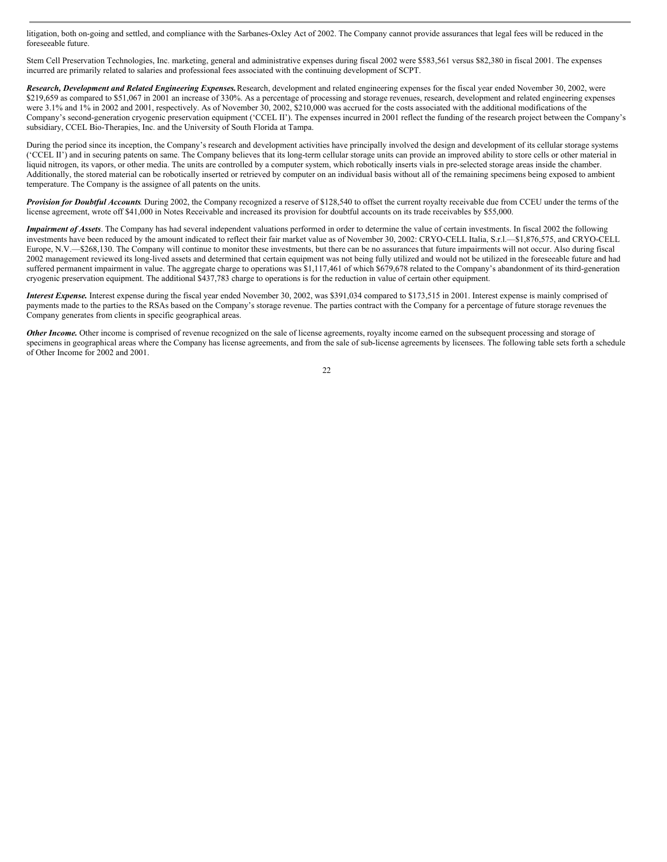litigation, both on-going and settled, and compliance with the Sarbanes-Oxley Act of 2002. The Company cannot provide assurances that legal fees will be reduced in the foreseeable future.

Stem Cell Preservation Technologies, Inc. marketing, general and administrative expenses during fiscal 2002 were \$583,561 versus \$82,380 in fiscal 2001. The expenses incurred are primarily related to salaries and professional fees associated with the continuing development of SCPT.

*Research, Development and Related Engineering Expenses.*Research, development and related engineering expenses for the fiscal year ended November 30, 2002, were \$219,659 as compared to \$51,067 in 2001 an increase of 330%. As a percentage of processing and storage revenues, research, development and related engineering expenses were 3.1% and 1% in 2002 and 2001, respectively. As of November 30, 2002, \$210,000 was accrued for the costs associated with the additional modifications of the Company's second-generation cryogenic preservation equipment ('CCEL II'). The expenses incurred in 2001 reflect the funding of the research project between the Company's subsidiary, CCEL Bio-Therapies, Inc. and the University of South Florida at Tampa.

During the period since its inception, the Company's research and development activities have principally involved the design and development of its cellular storage systems ('CCEL II') and in securing patents on same. The Company believes that its long-term cellular storage units can provide an improved ability to store cells or other material in liquid nitrogen, its vapors, or other media. The units are controlled by a computer system, which robotically inserts vials in pre-selected storage areas inside the chamber. Additionally, the stored material can be robotically inserted or retrieved by computer on an individual basis without all of the remaining specimens being exposed to ambient temperature. The Company is the assignee of all patents on the units.

*Provision for Doubtful Accounts.* During 2002, the Company recognized a reserve of \$128,540 to offset the current royalty receivable due from CCEU under the terms of the license agreement, wrote off \$41,000 in Notes Receivable and increased its provision for doubtful accounts on its trade receivables by \$55,000.

*Impairment of Assets*. The Company has had several independent valuations performed in order to determine the value of certain investments. In fiscal 2002 the following investments have been reduced by the amount indicated to reflect their fair market value as of November 30, 2002: CRYO-CELL Italia, S.r.l.—\$1,876,575, and CRYO-CELL Europe, N.V.—\$268,130. The Company will continue to monitor these investments, but there can be no assurances that future impairments will not occur. Also during fiscal 2002 management reviewed its long-lived assets and determined that certain equipment was not being fully utilized and would not be utilized in the foreseeable future and had suffered permanent impairment in value. The aggregate charge to operations was \$1,117,461 of which \$679,678 related to the Company's abandonment of its third-generation cryogenic preservation equipment. The additional \$437,783 charge to operations is for the reduction in value of certain other equipment.

*Interest Expense.* Interest expense during the fiscal year ended November 30, 2002, was \$391,034 compared to \$173,515 in 2001. Interest expense is mainly comprised of payments made to the parties to the RSAs based on the Company's storage revenue. The parties contract with the Company for a percentage of future storage revenues the Company generates from clients in specific geographical areas.

**Other Income.** Other income is comprised of revenue recognized on the sale of license agreements, royalty income earned on the subsequent processing and storage of specimens in geographical areas where the Company has license agreements, and from the sale of sub-license agreements by licensees. The following table sets forth a schedule of Other Income for 2002 and 2001.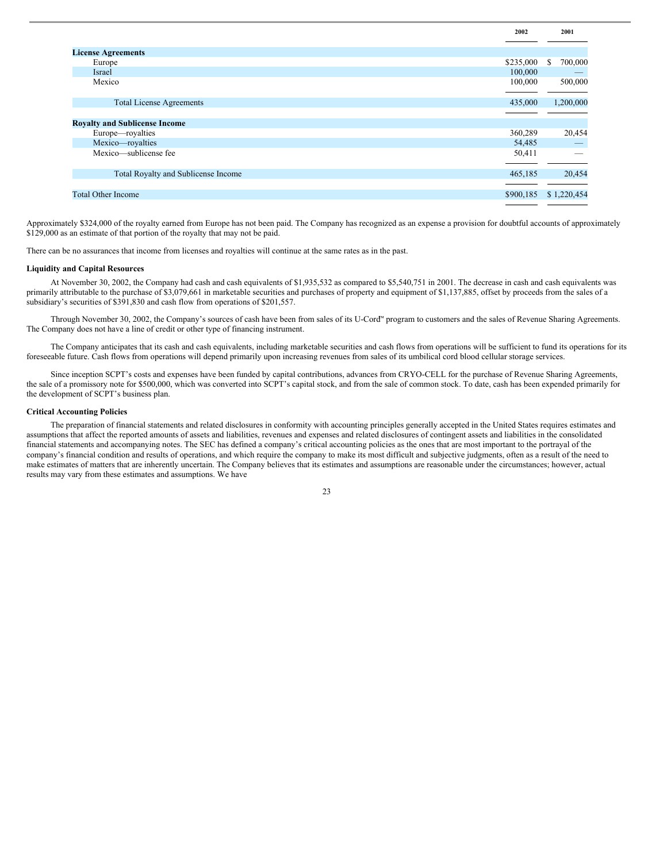|                                      | 2002      | 2001          |
|--------------------------------------|-----------|---------------|
|                                      |           |               |
| <b>License Agreements</b>            |           |               |
| Europe                               | \$235,000 | 700,000<br>S. |
| Israel                               | 100,000   |               |
| Mexico                               | 100,000   | 500,000       |
|                                      |           |               |
| <b>Total License Agreements</b>      | 435,000   | 1,200,000     |
|                                      |           |               |
| <b>Royalty and Sublicense Income</b> |           |               |
| Europe—royalties                     | 360,289   | 20,454        |
| Mexico-royalties                     | 54,485    |               |
| Mexico—sublicense fee                | 50,411    |               |
|                                      |           |               |
| Total Royalty and Sublicense Income  | 465,185   | 20,454        |
|                                      |           |               |
| <b>Total Other Income</b>            |           | \$1,220,454   |
|                                      |           |               |

Approximately \$324,000 of the royalty earned from Europe has not been paid. The Company has recognized as an expense a provision for doubtful accounts of approximately \$129,000 as an estimate of that portion of the royalty that may not be paid.

There can be no assurances that income from licenses and royalties will continue at the same rates as in the past.

# **Liquidity and Capital Resources**

At November 30, 2002, the Company had cash and cash equivalents of \$1,935,532 as compared to \$5,540,751 in 2001. The decrease in cash and cash equivalents was primarily attributable to the purchase of \$3,079,661 in marketable securities and purchases of property and equipment of \$1,137,885, offset by proceeds from the sales of a subsidiary's securities of \$391,830 and cash flow from operations of \$201,557.

Through November 30, 2002, the Company's sources of cash have been from sales of its U-Cord™ program to customers and the sales of Revenue Sharing Agreements. The Company does not have a line of credit or other type of financing instrument.

The Company anticipates that its cash and cash equivalents, including marketable securities and cash flows from operations will be sufficient to fund its operations for its foreseeable future. Cash flows from operations will depend primarily upon increasing revenues from sales of its umbilical cord blood cellular storage services.

Since inception SCPT's costs and expenses have been funded by capital contributions, advances from CRYO-CELL for the purchase of Revenue Sharing Agreements, the sale of a promissory note for \$500,000, which was converted into SCPT's capital stock, and from the sale of common stock. To date, cash has been expended primarily for the development of SCPT's business plan.

# **Critical Accounting Policies**

The preparation of financial statements and related disclosures in conformity with accounting principles generally accepted in the United States requires estimates and assumptions that affect the reported amounts of assets and liabilities, revenues and expenses and related disclosures of contingent assets and liabilities in the consolidated financial statements and accompanying notes. The SEC has defined a company's critical accounting policies as the ones that are most important to the portrayal of the company's financial condition and results of operations, and which require the company to make its most difficult and subjective judgments, often as a result of the need to make estimates of matters that are inherently uncertain. The Company believes that its estimates and assumptions are reasonable under the circumstances; however, actual results may vary from these estimates and assumptions. We have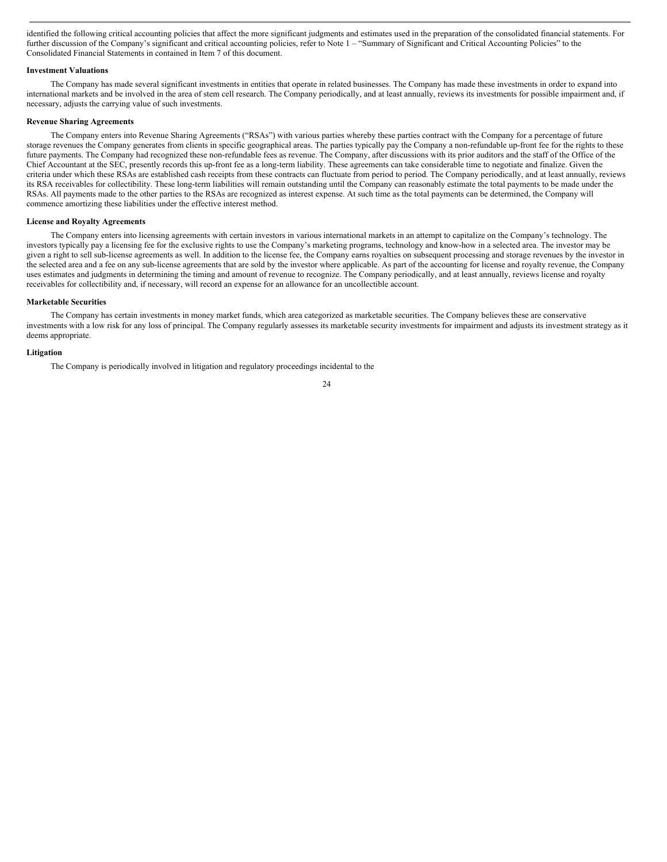identified the following critical accounting policies that affect the more significant judgments and estimates used in the preparation of the consolidated financial statements. For further discussion of the Company's significant and critical accounting policies, refer to Note 1 – "Summary of Significant and Critical Accounting Policies" to the Consolidated Financial Statements in contained in Item 7 of this document.

#### **Investment Valuations**

The Company has made several significant investments in entities that operate in related businesses. The Company has made these investments in order to expand into international markets and be involved in the area of stem cell research. The Company periodically, and at least annually, reviews its investments for possible impairment and, if necessary, adjusts the carrying value of such investments.

#### **Revenue Sharing Agreements**

The Company enters into Revenue Sharing Agreements ("RSAs") with various parties whereby these parties contract with the Company for a percentage of future storage revenues the Company generates from clients in specific geographical areas. The parties typically pay the Company a non-refundable up-front fee for the rights to these future payments. The Company had recognized these non-refundable fees as revenue. The Company, after discussions with its prior auditors and the staff of the Office of the Chief Accountant at the SEC, presently records this up-front fee as a long-term liability. These agreements can take considerable time to negotiate and finalize. Given the criteria under which these RSAs are established cash receipts from these contracts can fluctuate from period to period. The Company periodically, and at least annually, reviews its RSA receivables for collectibility. These long-term liabilities will remain outstanding until the Company can reasonably estimate the total payments to be made under the RSAs. All payments made to the other parties to the RSAs are recognized as interest expense. At such time as the total payments can be determined, the Company will commence amortizing these liabilities under the effective interest method.

# **License and Royalty Agreements**

The Company enters into licensing agreements with certain investors in various international markets in an attempt to capitalize on the Company's technology. The investors typically pay a licensing fee for the exclusive rights to use the Company's marketing programs, technology and know-how in a selected area. The investor may be given a right to sell sub-license agreements as well. In addition to the license fee, the Company earns royalties on subsequent processing and storage revenues by the investor in the selected area and a fee on any sub-license agreements that are sold by the investor where applicable. As part of the accounting for license and royalty revenue, the Company uses estimates and judgments in determining the timing and amount of revenue to recognize. The Company periodically, and at least annually, reviews license and royalty receivables for collectibility and, if necessary, will record an expense for an allowance for an uncollectible account.

### **Marketable Securities**

The Company has certain investments in money market funds, which area categorized as marketable securities. The Company believes these are conservative investments with a low risk for any loss of principal. The Company regularly assesses its marketable security investments for impairment and adjusts its investment strategy as it deems appropriate.

# **Litigation**

The Company is periodically involved in litigation and regulatory proceedings incidental to the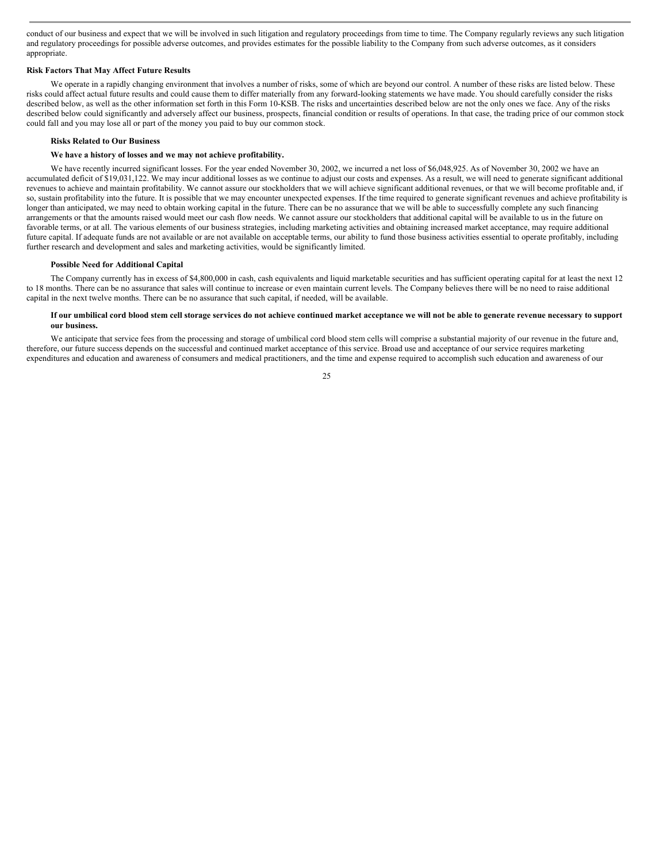conduct of our business and expect that we will be involved in such litigation and regulatory proceedings from time to time. The Company regularly reviews any such litigation and regulatory proceedings for possible adverse outcomes, and provides estimates for the possible liability to the Company from such adverse outcomes, as it considers appropriate.

#### **Risk Factors That May Affect Future Results**

We operate in a rapidly changing environment that involves a number of risks, some of which are beyond our control. A number of these risks are listed below. These risks could affect actual future results and could cause them to differ materially from any forward-looking statements we have made. You should carefully consider the risks described below, as well as the other information set forth in this Form 10-KSB. The risks and uncertainties described below are not the only ones we face. Any of the risks described below could significantly and adversely affect our business, prospects, financial condition or results of operations. In that case, the trading price of our common stock could fall and you may lose all or part of the money you paid to buy our common stock.

#### **Risks Related to Our Business**

# **We have a history of losses and we may not achieve profitability.**

We have recently incurred significant losses. For the year ended November 30, 2002, we incurred a net loss of \$6,048,925. As of November 30, 2002 we have an accumulated deficit of \$19,031,122. We may incur additional losses as we continue to adjust our costs and expenses. As a result, we will need to generate significant additional revenues to achieve and maintain profitability. We cannot assure our stockholders that we will achieve significant additional revenues, or that we will become profitable and, if so, sustain profitability into the future. It is possible that we may encounter unexpected expenses. If the time required to generate significant revenues and achieve profitability is longer than anticipated, we may need to obtain working capital in the future. There can be no assurance that we will be able to successfully complete any such financing arrangements or that the amounts raised would meet our cash flow needs. We cannot assure our stockholders that additional capital will be available to us in the future on favorable terms, or at all. The various elements of our business strategies, including marketing activities and obtaining increased market acceptance, may require additional future capital. If adequate funds are not available or are not available on acceptable terms, our ability to fund those business activities essential to operate profitably, including further research and development and sales and marketing activities, would be significantly limited.

#### **Possible Need for Additional Capital**

The Company currently has in excess of \$4,800,000 in cash, cash equivalents and liquid marketable securities and has sufficient operating capital for at least the next 12 to 18 months. There can be no assurance that sales will continue to increase or even maintain current levels. The Company believes there will be no need to raise additional capital in the next twelve months. There can be no assurance that such capital, if needed, will be available.

# If our umbilical cord blood stem cell storage services do not achieve continued market acceptance we will not be able to generate revenue necessary to support **our business.**

We anticipate that service fees from the processing and storage of umbilical cord blood stem cells will comprise a substantial majority of our revenue in the future and, therefore, our future success depends on the successful and continued market acceptance of this service. Broad use and acceptance of our service requires marketing expenditures and education and awareness of consumers and medical practitioners, and the time and expense required to accomplish such education and awareness of our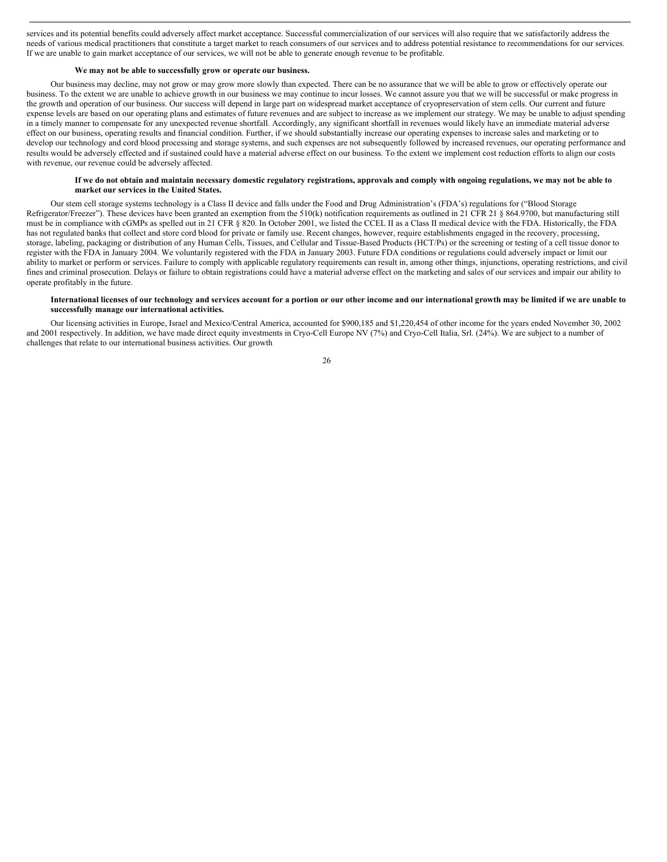services and its potential benefits could adversely affect market acceptance. Successful commercialization of our services will also require that we satisfactorily address the needs of various medical practitioners that constitute a target market to reach consumers of our services and to address potential resistance to recommendations for our services. If we are unable to gain market acceptance of our services, we will not be able to generate enough revenue to be profitable.

# **We may not be able to successfully grow or operate our business.**

Our business may decline, may not grow or may grow more slowly than expected. There can be no assurance that we will be able to grow or effectively operate our business. To the extent we are unable to achieve growth in our business we may continue to incur losses. We cannot assure you that we will be successful or make progress in the growth and operation of our business. Our success will depend in large part on widespread market acceptance of cryopreservation of stem cells. Our current and future expense levels are based on our operating plans and estimates of future revenues and are subject to increase as we implement our strategy. We may be unable to adjust spending in a timely manner to compensate for any unexpected revenue shortfall. Accordingly, any significant shortfall in revenues would likely have an immediate material adverse effect on our business, operating results and financial condition. Further, if we should substantially increase our operating expenses to increase sales and marketing or to develop our technology and cord blood processing and storage systems, and such expenses are not subsequently followed by increased revenues, our operating performance and results would be adversely effected and if sustained could have a material adverse effect on our business. To the extent we implement cost reduction efforts to align our costs with revenue, our revenue could be adversely affected.

# If we do not obtain and maintain necessary domestic regulatory registrations, approvals and comply with ongoing regulations, we may not be able to **market our services in the United States.**

Our stem cell storage systems technology is a Class II device and falls under the Food and Drug Administration's (FDA's) regulations for ("Blood Storage Refrigerator/Freezer"). These devices have been granted an exemption from the 510(k) notification requirements as outlined in 21 CFR 21 § 864.9700, but manufacturing still must be in compliance with cGMPs as spelled out in 21 CFR § 820. In October 2001, we listed the CCEL II as a Class II medical device with the FDA. Historically, the FDA has not regulated banks that collect and store cord blood for private or family use. Recent changes, however, require establishments engaged in the recovery, processing, storage, labeling, packaging or distribution of any Human Cells, Tissues, and Cellular and Tissue-Based Products (HCT/Ps) or the screening or testing of a cell tissue donor to register with the FDA in January 2004. We voluntarily registered with the FDA in January 2003. Future FDA conditions or regulations could adversely impact or limit our ability to market or perform or services. Failure to comply with applicable regulatory requirements can result in, among other things, injunctions, operating restrictions, and civil fines and criminal prosecution. Delays or failure to obtain registrations could have a material adverse effect on the marketing and sales of our services and impair our ability to operate profitably in the future.

# International licenses of our technology and services account for a portion or our other income and our international growth may be limited if we are unable to **successfully manage our international activities.**

Our licensing activities in Europe, Israel and Mexico/Central America, accounted for \$900,185 and \$1,220,454 of other income for the years ended November 30, 2002 and 2001 respectively. In addition, we have made direct equity investments in Cryo-Cell Europe NV (7%) and Cryo-Cell Italia, Srl. (24%). We are subject to a number of challenges that relate to our international business activities. Our growth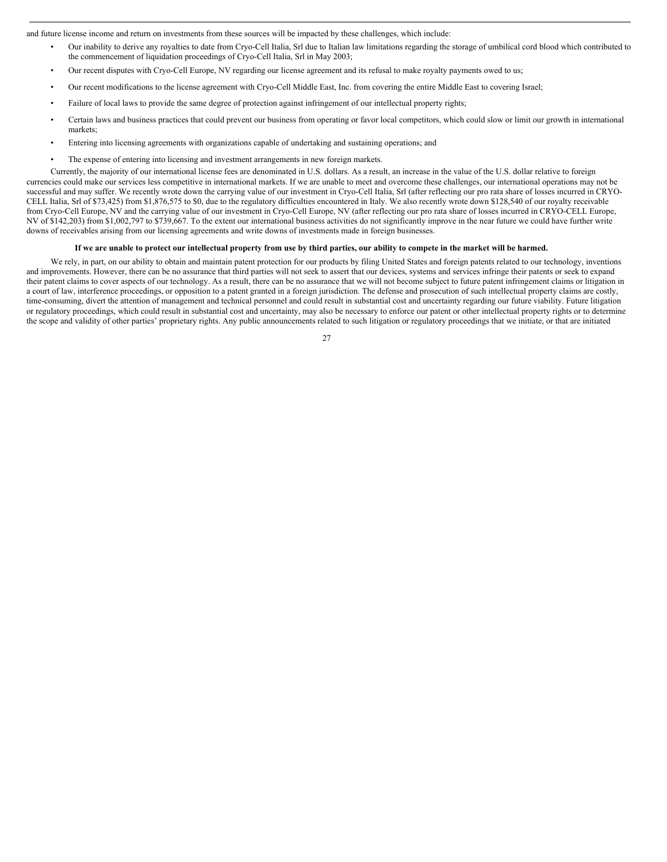and future license income and return on investments from these sources will be impacted by these challenges, which include:

- Our inability to derive any royalties to date from Cryo-Cell Italia, Srl due to Italian law limitations regarding the storage of umbilical cord blood which contributed to the commencement of liquidation proceedings of Cryo-Cell Italia, Srl in May 2003;
- Our recent disputes with Cryo-Cell Europe, NV regarding our license agreement and its refusal to make royalty payments owed to us;
- Our recent modifications to the license agreement with Cryo-Cell Middle East, Inc. from covering the entire Middle East to covering Israel;
- Failure of local laws to provide the same degree of protection against infringement of our intellectual property rights;
- Certain laws and business practices that could prevent our business from operating or favor local competitors, which could slow or limit our growth in international markets;
- Entering into licensing agreements with organizations capable of undertaking and sustaining operations; and
- The expense of entering into licensing and investment arrangements in new foreign markets.

Currently, the majority of our international license fees are denominated in U.S. dollars. As a result, an increase in the value of the U.S. dollar relative to foreign currencies could make our services less competitive in international markets. If we are unable to meet and overcome these challenges, our international operations may not be successful and may suffer. We recently wrote down the carrying value of our investment in Cryo-Cell Italia, Srl (after reflecting our pro rata share of losses incurred in CRYO-CELL Italia, Srl of \$73,425) from \$1,876,575 to \$0, due to the regulatory difficulties encountered in Italy. We also recently wrote down \$128,540 of our royalty receivable from Cryo-Cell Europe, NV and the carrying value of our investment in Cryo-Cell Europe, NV (after reflecting our pro rata share of losses incurred in CRYO-CELL Europe, NV of \$142,203) from \$1,002,797 to \$739,667. To the extent our international business activities do not significantly improve in the near future we could have further write downs of receivables arising from our licensing agreements and write downs of investments made in foreign businesses.

#### If we are unable to protect our intellectual property from use by third parties, our ability to compete in the market will be harmed.

We rely, in part, on our ability to obtain and maintain patent protection for our products by filing United States and foreign patents related to our technology, inventions and improvements. However, there can be no assurance that third parties will not seek to assert that our devices, systems and services infringe their patents or seek to expand their patent claims to cover aspects of our technology. As a result, there can be no assurance that we will not become subject to future patent infringement claims or litigation in a court of law, interference proceedings, or opposition to a patent granted in a foreign jurisdiction. The defense and prosecution of such intellectual property claims are costly, time-consuming, divert the attention of management and technical personnel and could result in substantial cost and uncertainty regarding our future viability. Future litigation or regulatory proceedings, which could result in substantial cost and uncertainty, may also be necessary to enforce our patent or other intellectual property rights or to determine the scope and validity of other parties' proprietary rights. Any public announcements related to such litigation or regulatory proceedings that we initiate, or that are initiated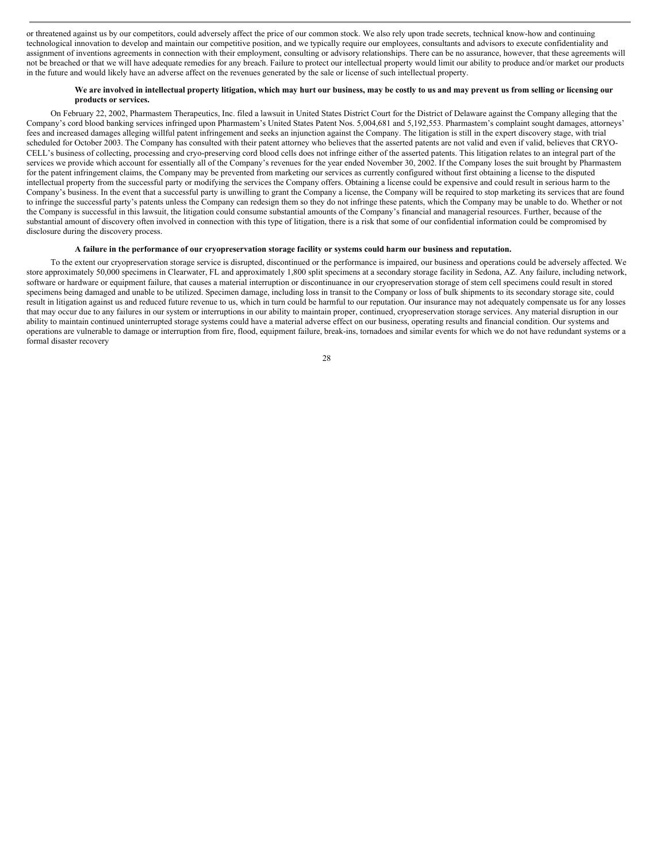or threatened against us by our competitors, could adversely affect the price of our common stock. We also rely upon trade secrets, technical know-how and continuing technological innovation to develop and maintain our competitive position, and we typically require our employees, consultants and advisors to execute confidentiality and assignment of inventions agreements in connection with their employment, consulting or advisory relationships. There can be no assurance, however, that these agreements will not be breached or that we will have adequate remedies for any breach. Failure to protect our intellectual property would limit our ability to produce and/or market our products in the future and would likely have an adverse affect on the revenues generated by the sale or license of such intellectual property.

# We are involved in intellectual property litigation, which may hurt our business, may be costly to us and may prevent us from selling or licensing our **products or services.**

On February 22, 2002, Pharmastem Therapeutics, Inc. filed a lawsuit in United States District Court for the District of Delaware against the Company alleging that the Company's cord blood banking services infringed upon Pharmastem's United States Patent Nos. 5,004,681 and 5,192,553. Pharmastem's complaint sought damages, attorneys' fees and increased damages alleging willful patent infringement and seeks an injunction against the Company. The litigation is still in the expert discovery stage, with trial scheduled for October 2003. The Company has consulted with their patent attorney who believes that the asserted patents are not valid and even if valid, believes that CRYO-CELL's business of collecting, processing and cryo-preserving cord blood cells does not infringe either of the asserted patents. This litigation relates to an integral part of the services we provide which account for essentially all of the Company's revenues for the year ended November 30, 2002. If the Company loses the suit brought by Pharmastem for the patent infringement claims, the Company may be prevented from marketing our services as currently configured without first obtaining a license to the disputed intellectual property from the successful party or modifying the services the Company offers. Obtaining a license could be expensive and could result in serious harm to the Company's business. In the event that a successful party is unwilling to grant the Company a license, the Company will be required to stop marketing its services that are found to infringe the successful party's patents unless the Company can redesign them so they do not infringe these patents, which the Company may be unable to do. Whether or not the Company is successful in this lawsuit, the litigation could consume substantial amounts of the Company's financial and managerial resources. Further, because of the substantial amount of discovery often involved in connection with this type of litigation, there is a risk that some of our confidential information could be compromised by disclosure during the discovery process.

#### A failure in the performance of our cryopreservation storage facility or systems could harm our business and reputation.

To the extent our cryopreservation storage service is disrupted, discontinued or the performance is impaired, our business and operations could be adversely affected. We store approximately 50,000 specimens in Clearwater, FL and approximately 1,800 split specimens at a secondary storage facility in Sedona, AZ. Any failure, including network, software or hardware or equipment failure, that causes a material interruption or discontinuance in our cryopreservation storage of stem cell specimens could result in stored specimens being damaged and unable to be utilized. Specimen damage, including loss in transit to the Company or loss of bulk shipments to its secondary storage site, could result in litigation against us and reduced future revenue to us, which in turn could be harmful to our reputation. Our insurance may not adequately compensate us for any losses that may occur due to any failures in our system or interruptions in our ability to maintain proper, continued, cryopreservation storage services. Any material disruption in our ability to maintain continued uninterrupted storage systems could have a material adverse effect on our business, operating results and financial condition. Our systems and operations are vulnerable to damage or interruption from fire, flood, equipment failure, break-ins, tornadoes and similar events for which we do not have redundant systems or a formal disaster recovery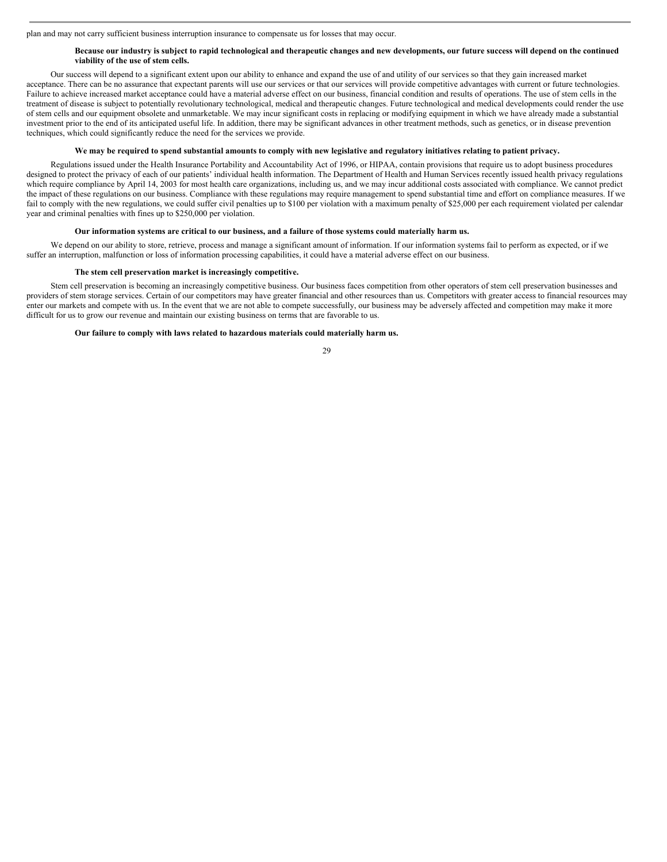plan and may not carry sufficient business interruption insurance to compensate us for losses that may occur.

#### Because our industry is subject to rapid technological and therapeutic changes and new developments, our future success will depend on the continued **viability of the use of stem cells.**

Our success will depend to a significant extent upon our ability to enhance and expand the use of and utility of our services so that they gain increased market acceptance. There can be no assurance that expectant parents will use our services or that our services will provide competitive advantages with current or future technologies. Failure to achieve increased market acceptance could have a material adverse effect on our business, financial condition and results of operations. The use of stem cells in the treatment of disease is subject to potentially revolutionary technological, medical and therapeutic changes. Future technological and medical developments could render the use of stem cells and our equipment obsolete and unmarketable. We may incur significant costs in replacing or modifying equipment in which we have already made a substantial investment prior to the end of its anticipated useful life. In addition, there may be significant advances in other treatment methods, such as genetics, or in disease prevention techniques, which could significantly reduce the need for the services we provide.

#### We may be required to spend substantial amounts to comply with new legislative and regulatory initiatives relating to patient privacy.

Regulations issued under the Health Insurance Portability and Accountability Act of 1996, or HIPAA, contain provisions that require us to adopt business procedures designed to protect the privacy of each of our patients' individual health information. The Department of Health and Human Services recently issued health privacy regulations which require compliance by April 14, 2003 for most health care organizations, including us, and we may incur additional costs associated with compliance. We cannot predict the impact of these regulations on our business. Compliance with these regulations may require management to spend substantial time and effort on compliance measures. If we fail to comply with the new regulations, we could suffer civil penalties up to \$100 per violation with a maximum penalty of \$25,000 per each requirement violated per calendar year and criminal penalties with fines up to \$250,000 per violation.

# Our information systems are critical to our business, and a failure of those systems could materially harm us.

We depend on our ability to store, retrieve, process and manage a significant amount of information. If our information systems fail to perform as expected, or if we suffer an interruption, malfunction or loss of information processing capabilities, it could have a material adverse effect on our business.

#### **The stem cell preservation market is increasingly competitive.**

Stem cell preservation is becoming an increasingly competitive business. Our business faces competition from other operators of stem cell preservation businesses and providers of stem storage services. Certain of our competitors may have greater financial and other resources than us. Competitors with greater access to financial resources may enter our markets and compete with us. In the event that we are not able to compete successfully, our business may be adversely affected and competition may make it more difficult for us to grow our revenue and maintain our existing business on terms that are favorable to us.

# **Our failure to comply with laws related to hazardous materials could materially harm us.**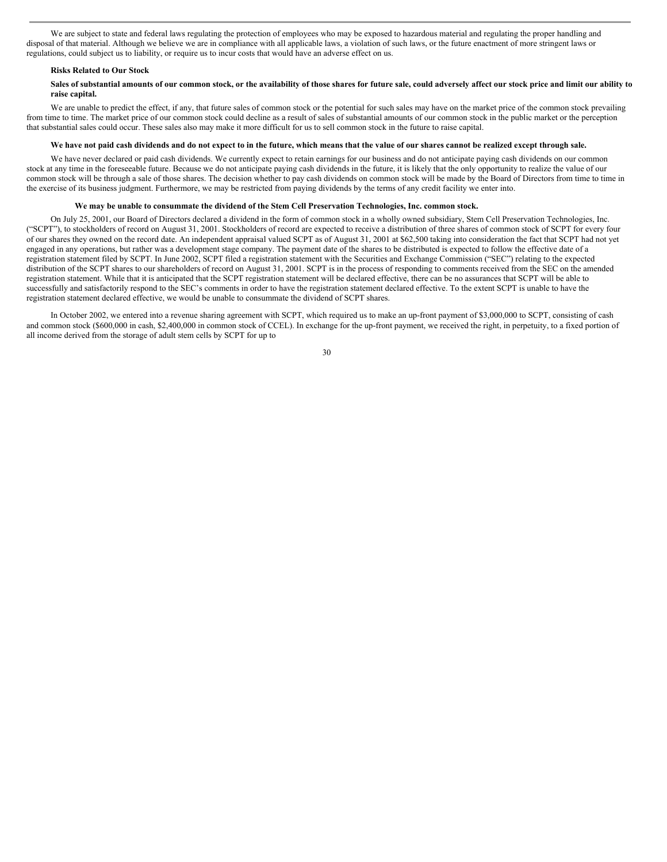We are subject to state and federal laws regulating the protection of employees who may be exposed to hazardous material and regulating the proper handling and disposal of that material. Although we believe we are in compliance with all applicable laws, a violation of such laws, or the future enactment of more stringent laws or regulations, could subject us to liability, or require us to incur costs that would have an adverse effect on us.

#### **Risks Related to Our Stock**

# Sales of substantial amounts of our common stock, or the availability of those shares for future sale, could adversely affect our stock price and limit our ability to **raise capital.**

We are unable to predict the effect, if any, that future sales of common stock or the potential for such sales may have on the market price of the common stock prevailing from time to time. The market price of our common stock could decline as a result of sales of substantial amounts of our common stock in the public market or the perception that substantial sales could occur. These sales also may make it more difficult for us to sell common stock in the future to raise capital.

#### We have not paid cash dividends and do not expect to in the future, which means that the value of our shares cannot be realized except through sale.

We have never declared or paid cash dividends. We currently expect to retain earnings for our business and do not anticipate paying cash dividends on our common stock at any time in the foreseeable future. Because we do not anticipate paying cash dividends in the future, it is likely that the only opportunity to realize the value of our common stock will be through a sale of those shares. The decision whether to pay cash dividends on common stock will be made by the Board of Directors from time to time in the exercise of its business judgment. Furthermore, we may be restricted from paying dividends by the terms of any credit facility we enter into.

#### We may be unable to consummate the dividend of the Stem Cell Preservation Technologies, Inc. common stock.

On July 25, 2001, our Board of Directors declared a dividend in the form of common stock in a wholly owned subsidiary, Stem Cell Preservation Technologies, Inc. ("SCPT"), to stockholders of record on August 31, 2001. Stockholders of record are expected to receive a distribution of three shares of common stock of SCPT for every four of our shares they owned on the record date. An independent appraisal valued SCPT as of August 31, 2001 at \$62,500 taking into consideration the fact that SCPT had not yet engaged in any operations, but rather was a development stage company. The payment date of the shares to be distributed is expected to follow the effective date of a registration statement filed by SCPT. In June 2002, SCPT filed a registration statement with the Securities and Exchange Commission ("SEC") relating to the expected distribution of the SCPT shares to our shareholders of record on August 31, 2001. SCPT is in the process of responding to comments received from the SEC on the amended registration statement. While that it is anticipated that the SCPT registration statement will be declared effective, there can be no assurances that SCPT will be able to successfully and satisfactorily respond to the SEC's comments in order to have the registration statement declared effective. To the extent SCPT is unable to have the registration statement declared effective, we would be unable to consummate the dividend of SCPT shares.

In October 2002, we entered into a revenue sharing agreement with SCPT, which required us to make an up-front payment of \$3,000,000 to SCPT, consisting of cash and common stock (\$600,000 in cash, \$2,400,000 in common stock of CCEL). In exchange for the up-front payment, we received the right, in perpetuity, to a fixed portion of all income derived from the storage of adult stem cells by SCPT for up to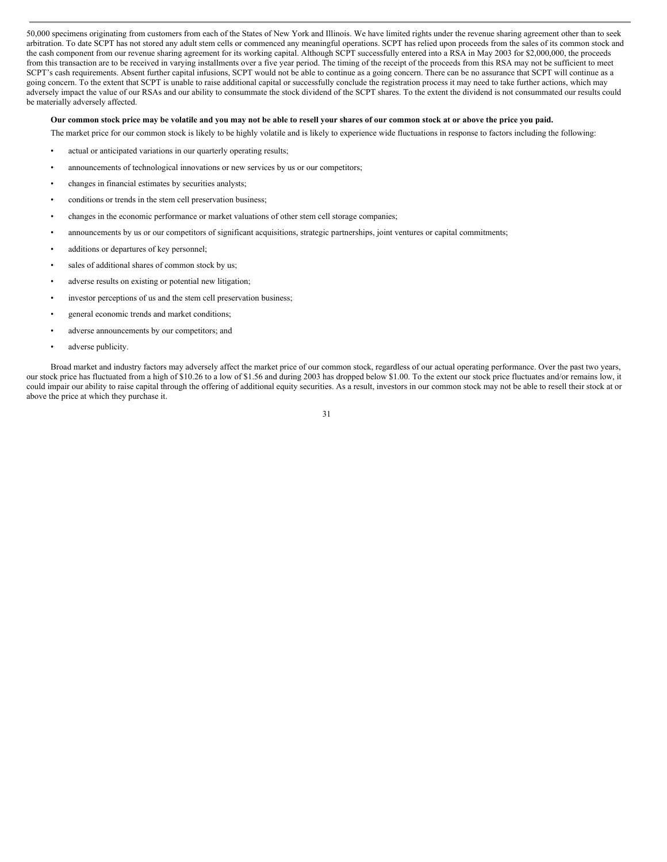50,000 specimens originating from customers from each of the States of New York and Illinois. We have limited rights under the revenue sharing agreement other than to seek arbitration. To date SCPT has not stored any adult stem cells or commenced any meaningful operations. SCPT has relied upon proceeds from the sales of its common stock and the cash component from our revenue sharing agreement for its working capital. Although SCPT successfully entered into a RSA in May 2003 for \$2,000,000, the proceeds from this transaction are to be received in varying installments over a five year period. The timing of the receipt of the proceeds from this RSA may not be sufficient to meet SCPT's cash requirements. Absent further capital infusions, SCPT would not be able to continue as a going concern. There can be no assurance that SCPT will continue as a going concern. To the extent that SCPT is unable to raise additional capital or successfully conclude the registration process it may need to take further actions, which may adversely impact the value of our RSAs and our ability to consummate the stock dividend of the SCPT shares. To the extent the dividend is not consummated our results could be materially adversely affected.

# Our common stock price may be volatile and you may not be able to resell your shares of our common stock at or above the price you paid.

The market price for our common stock is likely to be highly volatile and is likely to experience wide fluctuations in response to factors including the following:

- actual or anticipated variations in our quarterly operating results;
- announcements of technological innovations or new services by us or our competitors;
- changes in financial estimates by securities analysts;
- conditions or trends in the stem cell preservation business;
- changes in the economic performance or market valuations of other stem cell storage companies;
- announcements by us or our competitors of significant acquisitions, strategic partnerships, joint ventures or capital commitments;
- additions or departures of key personnel;
- sales of additional shares of common stock by us;
- adverse results on existing or potential new litigation;
- investor perceptions of us and the stem cell preservation business;
- general economic trends and market conditions;
- adverse announcements by our competitors; and
- adverse publicity.

Broad market and industry factors may adversely affect the market price of our common stock, regardless of our actual operating performance. Over the past two years, our stock price has fluctuated from a high of \$10.26 to a low of \$1.56 and during 2003 has dropped below \$1.00. To the extent our stock price fluctuates and/or remains low, it could impair our ability to raise capital through the offering of additional equity securities. As a result, investors in our common stock may not be able to resell their stock at or above the price at which they purchase it.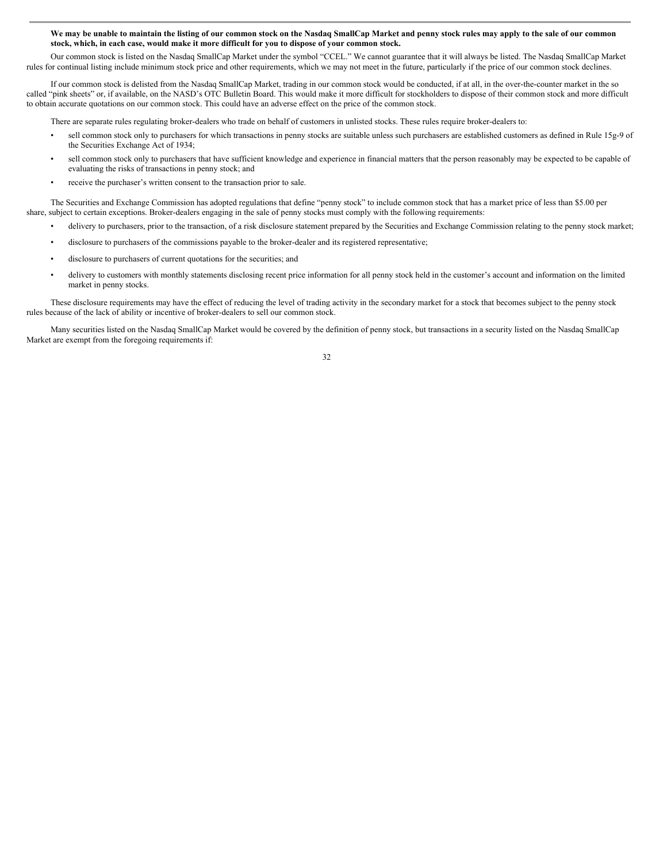#### We may be unable to maintain the listing of our common stock on the Nasdaq SmallCap Market and penny stock rules may apply to the sale of our common **stock, which, in each case, would make it more difficult for you to dispose of your common stock.**

Our common stock is listed on the Nasdaq SmallCap Market under the symbol "CCEL." We cannot guarantee that it will always be listed. The Nasdaq SmallCap Market rules for continual listing include minimum stock price and other requirements, which we may not meet in the future, particularly if the price of our common stock declines.

If our common stock is delisted from the Nasdaq SmallCap Market, trading in our common stock would be conducted, if at all, in the over-the-counter market in the so called "pink sheets" or, if available, on the NASD's OTC Bulletin Board. This would make it more difficult for stockholders to dispose of their common stock and more difficult to obtain accurate quotations on our common stock. This could have an adverse effect on the price of the common stock.

There are separate rules regulating broker-dealers who trade on behalf of customers in unlisted stocks. These rules require broker-dealers to:

- sell common stock only to purchasers for which transactions in penny stocks are suitable unless such purchasers are established customers as defined in Rule 15g-9 of the Securities Exchange Act of 1934;
- sell common stock only to purchasers that have sufficient knowledge and experience in financial matters that the person reasonably may be expected to be capable of evaluating the risks of transactions in penny stock; and
- receive the purchaser's written consent to the transaction prior to sale.

The Securities and Exchange Commission has adopted regulations that define "penny stock" to include common stock that has a market price of less than \$5.00 per share, subject to certain exceptions. Broker-dealers engaging in the sale of penny stocks must comply with the following requirements:

- delivery to purchasers, prior to the transaction, of a risk disclosure statement prepared by the Securities and Exchange Commission relating to the penny stock market;
- disclosure to purchasers of the commissions payable to the broker-dealer and its registered representative;
- disclosure to purchasers of current quotations for the securities; and
- delivery to customers with monthly statements disclosing recent price information for all penny stock held in the customer's account and information on the limited market in penny stocks.

These disclosure requirements may have the effect of reducing the level of trading activity in the secondary market for a stock that becomes subject to the penny stock rules because of the lack of ability or incentive of broker-dealers to sell our common stock.

Many securities listed on the Nasdaq SmallCap Market would be covered by the definition of penny stock, but transactions in a security listed on the Nasdaq SmallCap Market are exempt from the foregoing requirements if: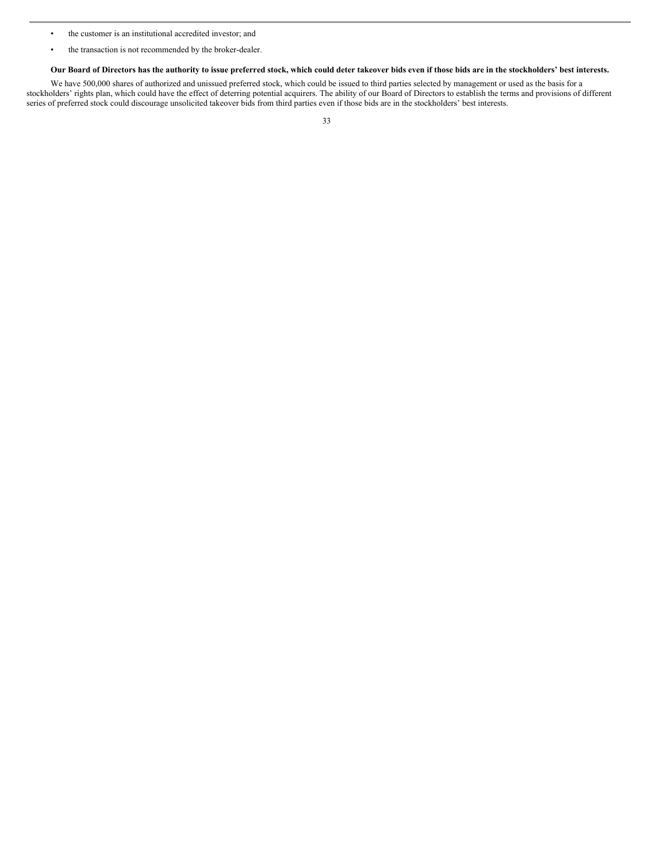- the customer is an institutional accredited investor; and
- the transaction is not recommended by the broker-dealer.

Our Board of Directors has the authority to issue preferred stock, which could deter takeover bids even if those bids are in the stockholders' best interests.

We have 500,000 shares of authorized and unissued preferred stock, which could be issued to third parties selected by management or used as the basis for a stockholders' rights plan, which could have the effect of deterring potential acquirers. The ability of our Board of Directors to establish the terms and provisions of different series of preferred stock could discourage unsolicited takeover bids from third parties even if those bids are in the stockholders' best interests.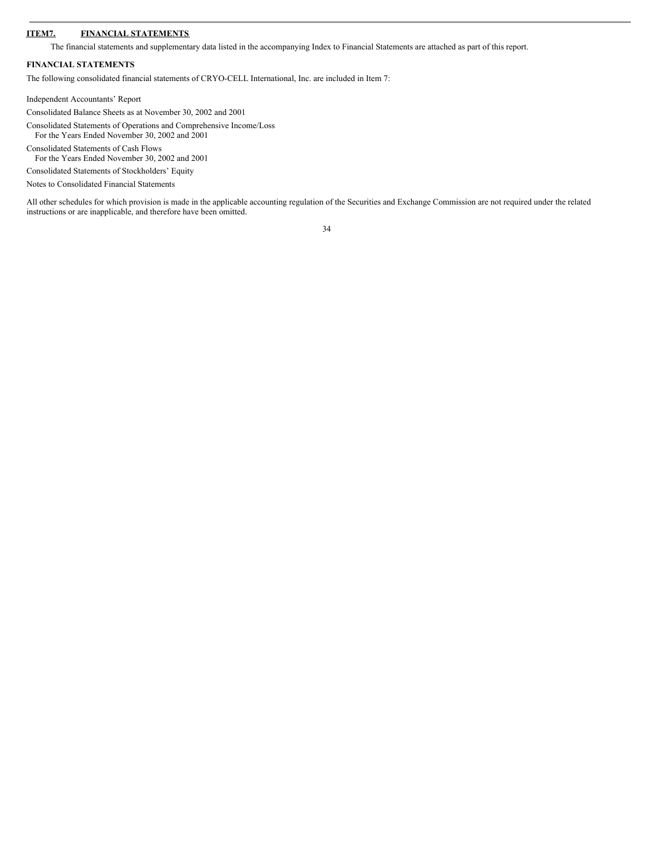# **ITEM7. FINANCIAL STATEMENTS**

The financial statements and supplementary data listed in the accompanying Index to Financial Statements are attached as part of this report.

# **FINANCIAL STATEMENTS**

The following consolidated financial statements of CRYO-CELL International, Inc. are included in Item 7:

Independent Accountants' Report

Consolidated Balance Sheets as at November 30, 2002 and 2001

Consolidated Statements of Operations and Comprehensive Income/Loss For the Years Ended November 30, 2002 and 2001

Consolidated Statements of Cash Flows

For the Years Ended November 30, 2002 and 2001

Consolidated Statements of Stockholders' Equity

Notes to Consolidated Financial Statements

All other schedules for which provision is made in the applicable accounting regulation of the Securities and Exchange Commission are not required under the related instructions or are inapplicable, and therefore have been omitted.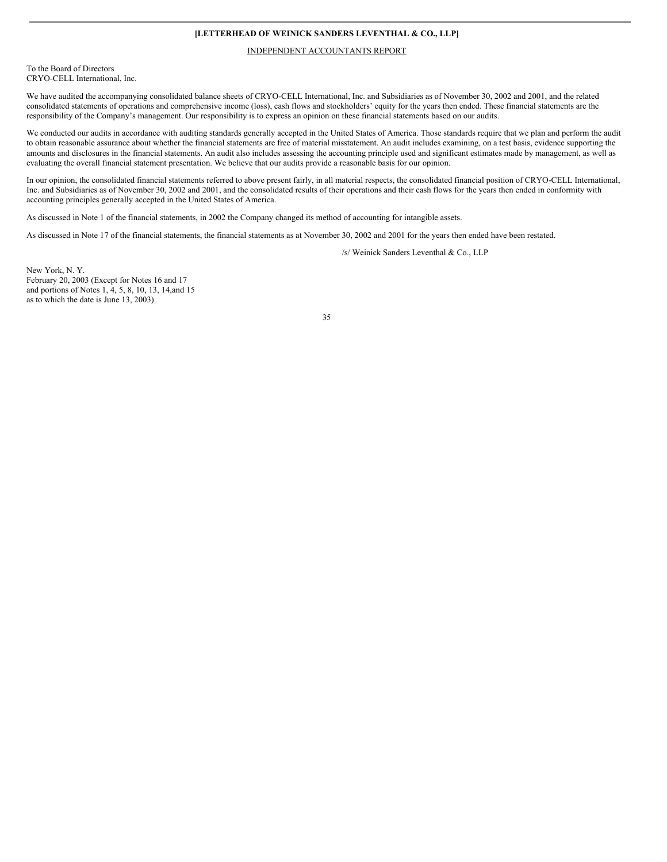# **[LETTERHEAD OF WEINICK SANDERS LEVENTHAL & CO., LLP]**

#### INDEPENDENT ACCOUNTANTS REPORT

To the Board of Directors CRYO-CELL International, Inc.

We have audited the accompanying consolidated balance sheets of CRYO-CELL International, Inc. and Subsidiaries as of November 30, 2002 and 2001, and the related consolidated statements of operations and comprehensive income (loss), cash flows and stockholders' equity for the years then ended. These financial statements are the responsibility of the Company's management. Our responsibility is to express an opinion on these financial statements based on our audits.

We conducted our audits in accordance with auditing standards generally accepted in the United States of America. Those standards require that we plan and perform the audit to obtain reasonable assurance about whether the financial statements are free of material misstatement. An audit includes examining, on a test basis, evidence supporting the amounts and disclosures in the financial statements. An audit also includes assessing the accounting principle used and significant estimates made by management, as well as evaluating the overall financial statement presentation. We believe that our audits provide a reasonable basis for our opinion.

In our opinion, the consolidated financial statements referred to above present fairly, in all material respects, the consolidated financial position of CRYO-CELL International, Inc. and Subsidiaries as of November 30, 2002 and 2001, and the consolidated results of their operations and their cash flows for the years then ended in conformity with accounting principles generally accepted in the United States of America.

As discussed in Note 1 of the financial statements, in 2002 the Company changed its method of accounting for intangible assets.

As discussed in Note 17 of the financial statements, the financial statements as at November 30, 2002 and 2001 for the years then ended have been restated.

/s/ Weinick Sanders Leventhal & Co., LLP

New York, N. Y. February 20, 2003 (Except for Notes 16 and 17 and portions of Notes 1, 4, 5, 8, 10, 13, 14,and 15 as to which the date is June 13, 2003)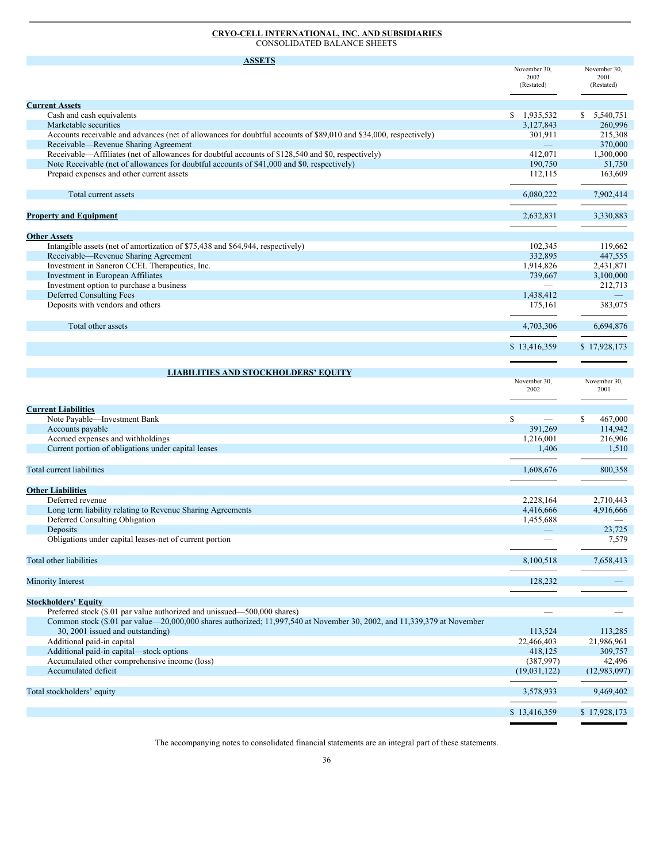#### **CRYO-CELL INTERNATIONAL, INC. AND SUBSIDIARIES** CONSOLIDATED BALANCE SHEETS

| <b>ASSETS</b>                                                                                                                              |                      |                      |
|--------------------------------------------------------------------------------------------------------------------------------------------|----------------------|----------------------|
|                                                                                                                                            | November 30,         | November 30,         |
|                                                                                                                                            | 2002<br>(Restated)   | 2001<br>(Restated)   |
|                                                                                                                                            |                      |                      |
| <b>Current Assets</b>                                                                                                                      |                      |                      |
| Cash and cash equivalents                                                                                                                  | \$1,935,532          | \$5,540,751          |
| Marketable securities                                                                                                                      | 3,127,843            | 260,996              |
| Accounts receivable and advances (net of allowances for doubtful accounts of \$89,010 and \$34,000, respectively)                          | 301,911              | 215,308              |
| Receivable-Revenue Sharing Agreement<br>Receivable—Affiliates (net of allowances for doubtful accounts of \$128,540 and \$0, respectively) | 412,071              | 370,000<br>1,300,000 |
| Note Receivable (net of allowances for doubtful accounts of \$41,000 and \$0, respectively)                                                | 190,750              | 51,750               |
| Prepaid expenses and other current assets                                                                                                  | 112,115              | 163,609              |
|                                                                                                                                            |                      |                      |
| Total current assets                                                                                                                       | 6,080,222            | 7,902,414            |
|                                                                                                                                            |                      |                      |
| <b>Property and Equipment</b>                                                                                                              | 2,632,831            | 3,330,883            |
| <b>Other Assets</b>                                                                                                                        |                      |                      |
| Intangible assets (net of amortization of \$75,438 and \$64,944, respectively)                                                             | 102,345              | 119,662              |
| Receivable-Revenue Sharing Agreement                                                                                                       | 332,895              | 447,555              |
| Investment in Saneron CCEL Therapeutics, Inc.                                                                                              | 1,914,826            | 2,431,871            |
| Investment in European Affiliates                                                                                                          | 739,667              | 3,100,000            |
| Investment option to purchase a business                                                                                                   |                      | 212,713              |
| Deferred Consulting Fees                                                                                                                   | 1,438,412            |                      |
| Deposits with vendors and others                                                                                                           | 175,161              | 383,075              |
| Total other assets                                                                                                                         | 4,703,306            | 6,694,876            |
|                                                                                                                                            |                      |                      |
|                                                                                                                                            | \$13,416,359         | \$17,928,173         |
|                                                                                                                                            |                      |                      |
| <b>LIABILITIES AND STOCKHOLDERS' EQUITY</b>                                                                                                |                      |                      |
|                                                                                                                                            | November 30,<br>2002 | November 30,<br>2001 |
|                                                                                                                                            |                      |                      |
| <b>Current Liabilities</b>                                                                                                                 |                      |                      |
| Note Payable-Investment Bank                                                                                                               | S                    | S.<br>467,000        |
| Accounts payable                                                                                                                           | 391,269              | 114,942              |
| Accrued expenses and withholdings<br>Current portion of obligations under capital leases                                                   | 1,216,001            | 216,906              |
|                                                                                                                                            | 1,406                | 1,510                |
| Total current liabilities                                                                                                                  | 1,608,676            | 800,358              |
|                                                                                                                                            |                      |                      |
| <b>Other Liabilities</b>                                                                                                                   |                      |                      |
| Deferred revenue                                                                                                                           | 2,228,164            | 2,710,443            |
| Long term liability relating to Revenue Sharing Agreements                                                                                 | 4,416,666            | 4,916,666            |
| Deferred Consulting Obligation                                                                                                             | 1,455,688            |                      |
| Deposits<br>Obligations under capital leases-net of current portion                                                                        |                      | 23,725               |
|                                                                                                                                            |                      | 7,579                |
| Total other liabilities                                                                                                                    | 8,100,518            | 7,658,413            |
|                                                                                                                                            |                      |                      |
| <b>Minority Interest</b>                                                                                                                   | 128,232              |                      |
| <b>Stockholders' Equity</b>                                                                                                                |                      |                      |
| Preferred stock (\$.01 par value authorized and unissued—500,000 shares)                                                                   |                      |                      |
| Common stock (\$.01 par value—20,000,000 shares authorized; 11,997,540 at November 30, 2002, and 11,339,379 at November                    |                      |                      |
| 30, 2001 issued and outstanding)                                                                                                           | 113,524              | 113,285              |
| Additional paid-in capital                                                                                                                 | 22,466,403           | 21,986,961           |
| Additional paid-in capital—stock options                                                                                                   | 418,125              | 309,757              |
| Accumulated other comprehensive income (loss)                                                                                              | (387,997)            | 42,496               |
| Accumulated deficit                                                                                                                        | (19,031,122)         | (12,983,097)         |
| Total stockholders' equity                                                                                                                 | 3,578,933            | 9,469,402            |
|                                                                                                                                            |                      |                      |
|                                                                                                                                            | \$13,416,359         | \$17,928,173         |

The accompanying notes to consolidated financial statements are an integral part of these statements.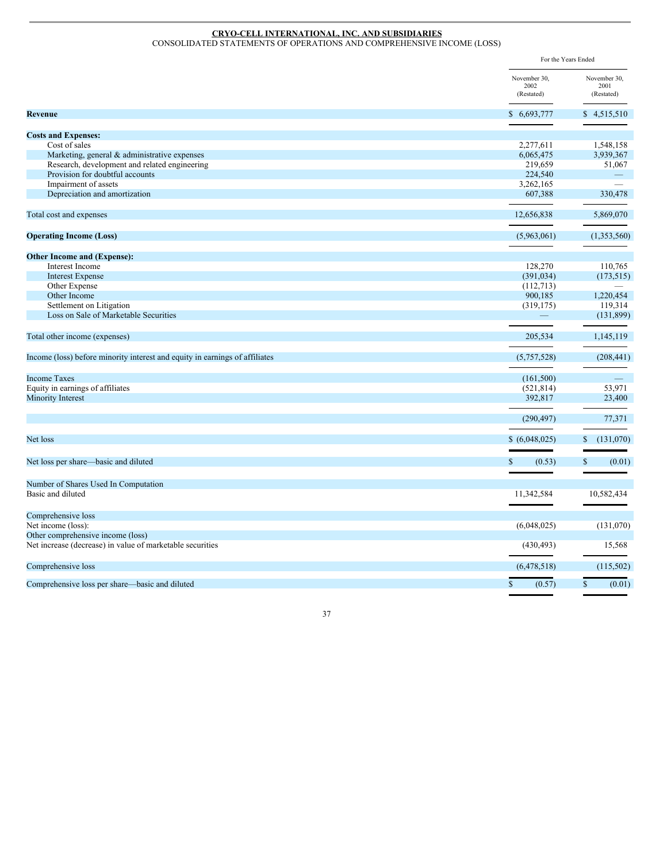#### **CRYO-CELL INTERNATIONAL, INC. AND SUBSIDIARIES** CONSOLIDATED STATEMENTS OF OPERATIONS AND COMPREHENSIVE INCOME (LOSS)

|                                                                             | For the Years Ended                |                                    |
|-----------------------------------------------------------------------------|------------------------------------|------------------------------------|
|                                                                             | November 30,<br>2002<br>(Restated) | November 30,<br>2001<br>(Restated) |
| Revenue                                                                     | \$6,693,777                        | \$4,515,510                        |
| <b>Costs and Expenses:</b>                                                  |                                    |                                    |
| Cost of sales                                                               | 2,277,611                          | 1,548,158                          |
| Marketing, general & administrative expenses                                | 6,065,475                          | 3,939,367                          |
| Research, development and related engineering                               | 219,659                            | 51,067                             |
| Provision for doubtful accounts                                             | 224,540                            |                                    |
| Impairment of assets                                                        | 3,262,165                          |                                    |
| Depreciation and amortization                                               | 607,388                            | 330,478                            |
| Total cost and expenses                                                     | 12,656,838                         | 5,869,070                          |
| <b>Operating Income (Loss)</b>                                              | (5,963,061)                        | (1,353,560)                        |
|                                                                             |                                    |                                    |
| <b>Other Income and (Expense):</b>                                          |                                    |                                    |
| Interest Income                                                             | 128,270                            | 110,765                            |
| <b>Interest Expense</b>                                                     | (391, 034)                         | (173, 515)                         |
| Other Expense                                                               | (112,713)                          |                                    |
| Other Income                                                                | 900,185                            | 1,220,454                          |
| Settlement on Litigation<br>Loss on Sale of Marketable Securities           | (319, 175)                         | 119,314<br>(131,899)               |
| Total other income (expenses)                                               | 205,534                            | 1,145,119                          |
| Income (loss) before minority interest and equity in earnings of affiliates | (5,757,528)                        | (208, 441)                         |
|                                                                             |                                    |                                    |
| <b>Income Taxes</b>                                                         | (161,500)                          |                                    |
| Equity in earnings of affiliates                                            | (521, 814)                         | 53,971                             |
| <b>Minority Interest</b>                                                    | 392,817                            | 23,400                             |
|                                                                             | (290, 497)                         | 77,371                             |
| Net loss                                                                    | \$ (6,048,025)                     | (131,070)<br>S                     |
| Net loss per share—basic and diluted                                        | (0.53)<br><sup>\$</sup>            | $\mathcal{S}$<br>(0.01)            |
|                                                                             |                                    |                                    |
| Number of Shares Used In Computation<br>Basic and diluted                   | 11,342,584                         | 10,582,434                         |
| Comprehensive loss                                                          |                                    |                                    |
| Net income (loss):                                                          | (6,048,025)                        | (131,070)                          |
| Other comprehensive income (loss)                                           |                                    |                                    |
| Net increase (decrease) in value of marketable securities                   | (430, 493)                         | 15,568                             |
| Comprehensive loss                                                          | (6,478,518)                        | (115, 502)                         |
| Comprehensive loss per share—basic and diluted                              | (0.57)<br>$\mathbf{\$}$            | $\mathbb{S}$<br>(0.01)             |
|                                                                             |                                    |                                    |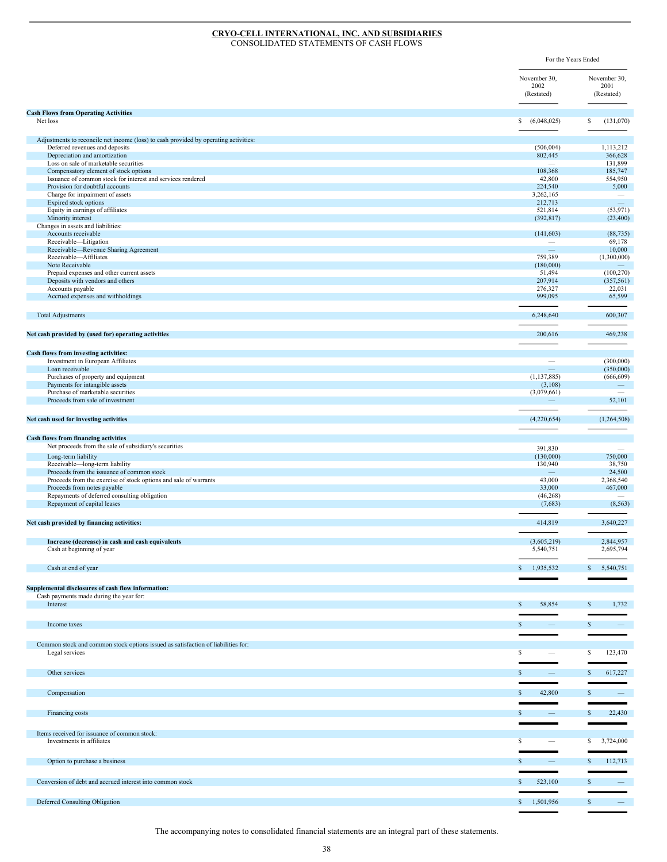#### **CRYO-CELL INTERNATIONAL, INC. AND SUBSIDIARIES** CONSOLIDATED STATEMENTS OF CASH FLOWS

For the Years Ended November 30, 2002 (Restated) November 30, 2001 (Restated) **Cash Flows from Operating Activities** Net loss \$ (6,048,025) \$ (131,070) Adjustments to reconcile net income (loss) to cash provided by operating activities: Deferred revenues and deposits and approximation to the control of the control of the control of the control of the control of the control of the control of the control of the control of the control of the control of the c Depreciation and amortization and amortization and amortization and amortization and amortization and amortization and amortization and amortization and amortization and amortization and amortization and amortization and a Loss on sale of marketable securities and the securities and the securities and the securities and the securities on sale of marketable securities and the securities on the securities on the securities of the securities of Compensatory element of stock options Issuance of common stock for interest and services rendered 42,800 554,950 Provision for doubtful accounts 224,540<br>  $\frac{224,540}{3,262,165}$ Charge for impairment of assets Expired stock options 212,713 **212,713** 221,713 221,713 221,713 221,713 221,713 221,713 221,713 221,713 221,713 221,713 221,713 221,713 221,713 221,713 221,713 221,2713 221,2713 221,2713 221,2713 221,2713 221,2713 221,2713 Expired stock options<br>  $\begin{array}{ccc}\n 212,713 & \text{---} \\
 521,814 & 53,971\n \end{array}$ (33,971)
(33,971)
(33,400)
(32,817)
(32,400) Minority interest (392,817) (23,400) Changes in assets and liabilities: Accounts receivable (141,603) (88,735) (88,735) Receivable—Litigation — 69,178<br>Receivable—Revenue Sharing Agreement 10,000 Receivable—Revenue Sharing Agreement Receivable—Affiliates 759,389 (1,300,000) Note Receivable **180,000** — Case of the Contract of the Contract of the Contract of the Contract of the Contract of the Contract of the Contract of the Contract of the Contract of the Contract of the Contract of the Contra Prepaid expenses and other current assets (100,270)<br>
Deposits with vendors and others (357,561)<br>
Specifics 51,494 (100,270)<br>
(357,561) Deposits with vendors and others Accounts payable 22,031 22,031 Accrued expenses and withholdings 65,599 65,599 Total Adjustments 6,248,640 600,307 **Net cash provided by (used for) operating activities** 200,616 469,238 **Cash flows from investing activities:** Investment in European Affiliates (300,000) = (300,000) = (300,000) = (300,000) = (300,000) = (300,000) = (350 Loan receivable — (350,000) Purchases of property and equipment (1,137,885) (666,609) (666,609) (666,609) (666,609) (666,609) (666,609) (666,609) (666,609) (7,137,885) (666,609) (666,609) (666,609) (7,137,885) (666,609) (666,609) (7,137,885) (666,609 Payments for intangible assets (3,108) — and the interval of the control of the control of the control of the control of the control of the control of the control of the control of the control of the control of the control Purchase of marketable securities (3,079,661)  $-$  (3,079,661)  $-$  (3,079,661)  $-$  (3,079,661)  $-$  (3,079,661)  $-$  (3,079,661)  $-$  (3,079,661)  $-$  (3,079,661)  $-$  (3,079,661)  $-$  (3,079,661)  $-$  (3,079,661)  $-$  (3,079,661) Proceeds from sale of investment **Net cash used for investing activities** (4,220,654) (1,264,508) **Cash flows from financing activities**<br>
Net proceeds from the sale of subsidiary's securities **391,830** — 391,830 — 391,830 — 391,830 — 391,830 — 391,830 — 391,830 — 391,830 — 391,830 — 391,830 — 391,830 — 391,830 — 391,83 Long-term liability (130,000) 750,000 750,000 750,000 750,000 750,000 750,000 750,000 750,000 750,000 750,000 750,000 750,000 750,000 750,000 750,000 750,000 750,000 750,000 750,000 750,000 750,000 750,000 750,000 750,000 Receivable—long-term liability 130,940 38,750<br>Proceeds from the issuance of common stock 24.500 Proceeds from the issuance of common stock<br>
Proceeds from the exercise of stock options and sale of warrants
<br>  $\begin{array}{r} 24,500 \\ 2,368,540 \end{array}$ <br>  $\begin{array}{r} 24,500 \\ 43,000 \end{array}$ <br>  $\begin{array}{r} 24,500 \\ 2,368,540 \end{array}$ Proceeds from the exercise of stock options and sale of warrants and the exercise of stock options and sale of warrants and the exercise of stock options and sale of warrants and the exercise of stock options and sale of w Proceeds from notes payable Repayments of deferred consulting obligation (46,268) Repayment of capital leases (7,683) (8,563) **Net cash provided by financing activities:** 414,819 3,640,227 **Increase (decrease) in cash and cash equivalents** (3,605,219) 2,844,957 Cash at beginning of year 5,540,751 2,695,794  $\frac{\text{Cash at end of year}}{\text{S}}$  1,935,532 \$ 5,540,751 **Supplemental disclosures of cash flow information:** Cash payments made during the year for: Interest  $\begin{array}{ccc} 5 & 58,854 & S & 1,732 \end{array}$ Income taxes  $\begin{array}{ccc} S & - & S & - \end{array}$ Common stock and common stock options issued as satisfaction of liabilities for:  $\frac{\text{Legal} \text{ services}}{S}$   $\frac{\text{S}}{S}$   $\frac{\text{S}}{S}$   $\frac{\text{S}}{S}$   $\frac{\text{S}}{S}$   $\frac{\text{S}}{S}$   $\frac{\text{S}}{S}$   $\frac{\text{S}}{S}$   $\frac{\text{S}}{S}$   $\frac{\text{S}}{S}$   $\frac{\text{S}}{S}$   $\frac{\text{S}}{S}$   $\frac{\text{S}}{S}$   $\frac{\text{S}}{S}$   $\frac{\text{S}}{S}$   $\frac{\text{S}}{S}$   $\frac{\text{S$ Other services  $\begin{array}{ccc} \text{S} & - & \text{S} & 617,227 \end{array}$  $\sim$  Compensation  $\sim$   $\sim$  42,800  $\sim$   $\sim$   $\sim$ Financing costs  $\sim$   $\sim$   $\sim$  22,430 Items received for issuance of common stock: Investments in affiliates **and the set of the set of the set of the set of the set of the set of the set of the set of the set of the set of the set of the set of the set of the set of the set of the set of the set of the** Option to purchase a business  $\begin{array}{ccc} 8 & -8 & 112,713 \end{array}$ Conversion of debt and accrued interest into common stock \$ 523,100 \$ 523,100 \$

Deferred Consulting Obligation  $\frac{1}{2}$  = 1,501,956

The accompanying notes to consolidated financial statements are an integral part of these statements.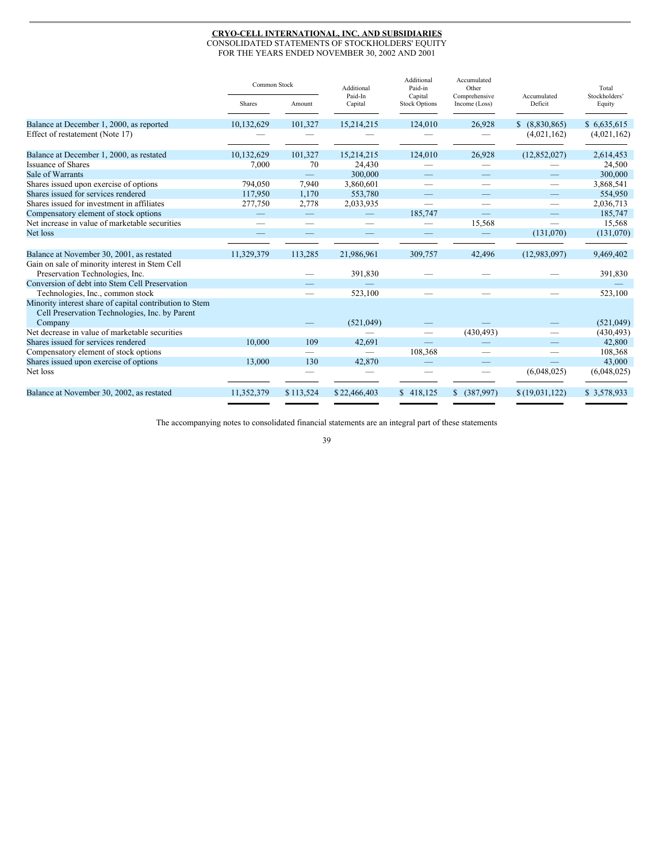# **CRYO-CELL INTERNATIONAL, INC. AND SUBSIDIARIES**

CONSOLIDATED STATEMENTS OF STOCKHOLDERS' EQUITY FOR THE YEARS ENDED NOVEMBER 30, 2002 AND 2001

|                                                                                                           | Common Stock |                          | Additional               | Additional<br>Paid-in           | Accumulated<br>Other           |                        | Total<br>Stockholders' |
|-----------------------------------------------------------------------------------------------------------|--------------|--------------------------|--------------------------|---------------------------------|--------------------------------|------------------------|------------------------|
|                                                                                                           | Shares       | Amount                   | Paid-In<br>Capital       | Capital<br><b>Stock Options</b> | Comprehensive<br>Income (Loss) | Accumulated<br>Deficit | Equity                 |
| Balance at December 1, 2000, as reported                                                                  | 10.132.629   | 101,327                  | 15,214,215               | 124,010                         | 26.928                         | \$ (8,830,865)         | \$6,635,615            |
| Effect of restatement (Note 17)                                                                           |              |                          |                          |                                 |                                | (4,021,162)            | (4,021,162)            |
| Balance at December 1, 2000, as restated                                                                  | 10,132,629   | 101,327                  | 15,214,215               | 124,010                         | 26,928                         | (12, 852, 027)         | 2,614,453              |
| <b>Issuance of Shares</b>                                                                                 | 7,000        | 70                       | 24,430                   |                                 |                                |                        | 24,500                 |
| Sale of Warrants                                                                                          |              |                          | 300,000                  |                                 |                                |                        | 300,000                |
| Shares issued upon exercise of options                                                                    | 794,050      | 7,940                    | 3,860,601                |                                 |                                |                        | 3,868,541              |
| Shares issued for services rendered                                                                       | 117,950      | 1,170                    | 553,780                  |                                 |                                |                        | 554,950                |
| Shares issued for investment in affiliates                                                                | 277,750      | 2,778                    | 2,033,935                |                                 |                                |                        | 2,036,713              |
| Compensatory element of stock options                                                                     |              | $\qquad \qquad -$        |                          | 185,747                         |                                |                        | 185,747                |
| Net increase in value of marketable securities                                                            |              |                          |                          |                                 | 15,568                         |                        | 15,568                 |
| Net loss                                                                                                  |              |                          |                          | $\overline{\phantom{0}}$        |                                | (131,070)              | (131,070)              |
|                                                                                                           |              |                          |                          |                                 |                                |                        |                        |
| Balance at November 30, 2001, as restated                                                                 | 11,329,379   | 113,285                  | 21,986,961               | 309,757                         | 42,496                         | (12,983,097)           | 9,469,402              |
| Gain on sale of minority interest in Stem Cell                                                            |              |                          |                          |                                 |                                |                        |                        |
| Preservation Technologies, Inc.                                                                           |              |                          | 391,830                  |                                 |                                |                        | 391,830                |
| Conversion of debt into Stem Cell Preservation                                                            |              |                          |                          |                                 |                                |                        |                        |
| Technologies, Inc., common stock                                                                          |              |                          | 523,100                  |                                 |                                |                        | 523,100                |
| Minority interest share of capital contribution to Stem<br>Cell Preservation Technologies, Inc. by Parent |              |                          |                          |                                 |                                |                        |                        |
| Company                                                                                                   |              |                          | (521,049)                |                                 |                                |                        | (521,049)              |
| Net decrease in value of marketable securities                                                            |              |                          |                          |                                 | (430, 493)                     |                        | (430, 493)             |
| Shares issued for services rendered                                                                       | 10,000       | 109                      | 42,691                   |                                 |                                |                        | 42,800                 |
| Compensatory element of stock options                                                                     |              | $\overline{\phantom{0}}$ | $\overline{\phantom{0}}$ | 108,368                         |                                |                        | 108,368                |
| Shares issued upon exercise of options                                                                    | 13,000       | 130                      | 42,870                   |                                 |                                |                        | 43,000                 |
| Net loss                                                                                                  |              |                          |                          |                                 |                                | (6,048,025)            | (6,048,025)            |
| Balance at November 30, 2002, as restated                                                                 | 11,352,379   | \$113,524                | \$22,466,403             | \$418,125                       | \$ (387,997)                   | \$(19,031,122)         | \$3,578,933            |

The accompanying notes to consolidated financial statements are an integral part of these statements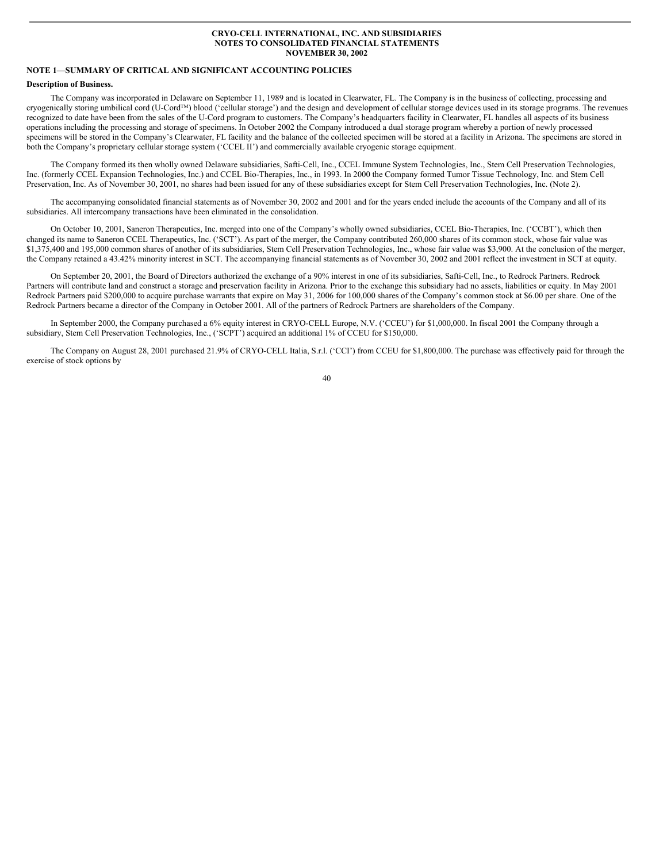## **CRYO-CELL INTERNATIONAL, INC. AND SUBSIDIARIES NOTES TO CONSOLIDATED FINANCIAL STATEMENTS NOVEMBER 30, 2002**

# **NOTE 1—SUMMARY OF CRITICAL AND SIGNIFICANT ACCOUNTING POLICIES**

## **Description of Business.**

The Company was incorporated in Delaware on September 11, 1989 and is located in Clearwater, FL. The Company is in the business of collecting, processing and cryogenically storing umbilical cord (U-Cord<sup>TM</sup>) blood ('cellular storage') and the design and development of cellular storage devices used in its storage programs. The revenues recognized to date have been from the sales of the U-Cord program to customers. The Company's headquarters facility in Clearwater, FL handles all aspects of its business operations including the processing and storage of specimens. In October 2002 the Company introduced a dual storage program whereby a portion of newly processed specimens will be stored in the Company's Clearwater, FL facility and the balance of the collected specimen will be stored at a facility in Arizona. The specimens are stored in both the Company's proprietary cellular storage system ('CCEL II') and commercially available cryogenic storage equipment.

The Company formed its then wholly owned Delaware subsidiaries, Safti-Cell, Inc., CCEL Immune System Technologies, Inc., Stem Cell Preservation Technologies, Inc. (formerly CCEL Expansion Technologies, Inc.) and CCEL Bio-Therapies, Inc., in 1993. In 2000 the Company formed Tumor Tissue Technology, Inc. and Stem Cell Preservation, Inc. As of November 30, 2001, no shares had been issued for any of these subsidiaries except for Stem Cell Preservation Technologies, Inc. (Note 2).

The accompanying consolidated financial statements as of November 30, 2002 and 2001 and for the years ended include the accounts of the Company and all of its subsidiaries. All intercompany transactions have been eliminated in the consolidation.

On October 10, 2001, Saneron Therapeutics, Inc. merged into one of the Company's wholly owned subsidiaries, CCEL Bio-Therapies, Inc. ('CCBT'), which then changed its name to Saneron CCEL Therapeutics, Inc. ('SCT'). As part of the merger, the Company contributed 260,000 shares of its common stock, whose fair value was \$1,375,400 and 195,000 common shares of another of its subsidiaries, Stem Cell Preservation Technologies, Inc., whose fair value was \$3,900. At the conclusion of the merger, the Company retained a 43.42% minority interest in SCT. The accompanying financial statements as of November 30, 2002 and 2001 reflect the investment in SCT at equity.

On September 20, 2001, the Board of Directors authorized the exchange of a 90% interest in one of its subsidiaries, Safti-Cell, Inc., to Redrock Partners. Redrock Partners will contribute land and construct a storage and preservation facility in Arizona. Prior to the exchange this subsidiary had no assets, liabilities or equity. In May 2001 Redrock Partners paid \$200,000 to acquire purchase warrants that expire on May 31, 2006 for 100,000 shares of the Company's common stock at \$6.00 per share. One of the Redrock Partners became a director of the Company in October 2001. All of the partners of Redrock Partners are shareholders of the Company.

In September 2000, the Company purchased a 6% equity interest in CRYO-CELL Europe, N.V. ('CCEU') for \$1,000,000. In fiscal 2001 the Company through a subsidiary, Stem Cell Preservation Technologies, Inc., ('SCPT') acquired an additional 1% of CCEU for \$150,000.

The Company on August 28, 2001 purchased 21.9% of CRYO-CELL Italia, S.r.l. ('CCI') from CCEU for \$1,800,000. The purchase was effectively paid for through the exercise of stock options by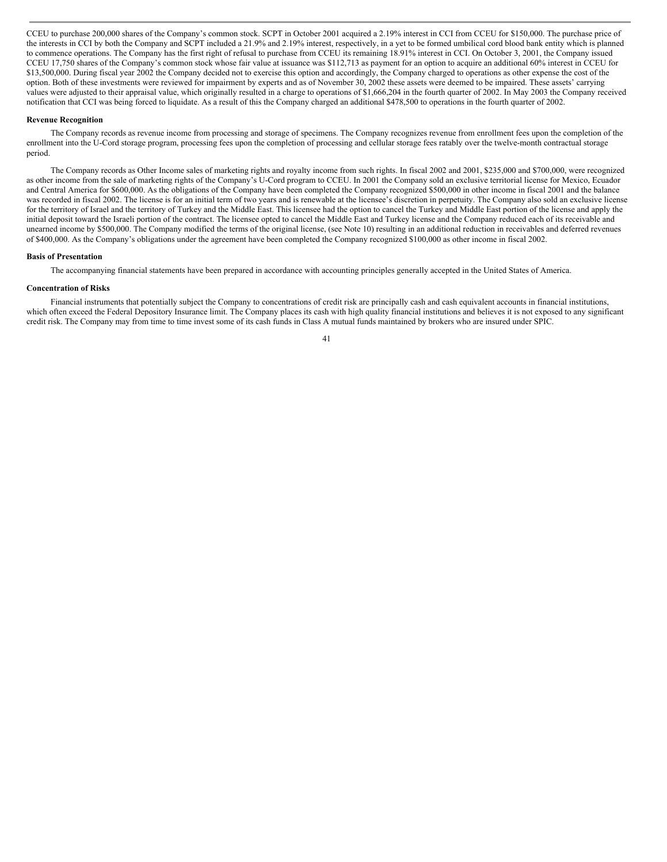CCEU to purchase 200,000 shares of the Company's common stock. SCPT in October 2001 acquired a 2.19% interest in CCI from CCEU for \$150,000. The purchase price of the interests in CCI by both the Company and SCPT included a 21.9% and 2.19% interest, respectively, in a yet to be formed umbilical cord blood bank entity which is planned to commence operations. The Company has the first right of refusal to purchase from CCEU its remaining 18.91% interest in CCI. On October 3, 2001, the Company issued CCEU 17,750 shares of the Company's common stock whose fair value at issuance was \$112,713 as payment for an option to acquire an additional 60% interest in CCEU for \$13,500,000. During fiscal year 2002 the Company decided not to exercise this option and accordingly, the Company charged to operations as other expense the cost of the option. Both of these investments were reviewed for impairment by experts and as of November 30, 2002 these assets were deemed to be impaired. These assets' carrying values were adjusted to their appraisal value, which originally resulted in a charge to operations of \$1,666,204 in the fourth quarter of 2002. In May 2003 the Company received notification that CCI was being forced to liquidate. As a result of this the Company charged an additional \$478,500 to operations in the fourth quarter of 2002.

#### **Revenue Recognition**

The Company records as revenue income from processing and storage of specimens. The Company recognizes revenue from enrollment fees upon the completion of the enrollment into the U-Cord storage program, processing fees upon the completion of processing and cellular storage fees ratably over the twelve-month contractual storage period.

The Company records as Other Income sales of marketing rights and royalty income from such rights. In fiscal 2002 and 2001, \$235,000 and \$700,000, were recognized as other income from the sale of marketing rights of the Company's U-Cord program to CCEU. In 2001 the Company sold an exclusive territorial license for Mexico, Ecuador and Central America for \$600,000. As the obligations of the Company have been completed the Company recognized \$500,000 in other income in fiscal 2001 and the balance was recorded in fiscal 2002. The license is for an initial term of two years and is renewable at the licensee's discretion in perpetuity. The Company also sold an exclusive license for the territory of Israel and the territory of Turkey and the Middle East. This licensee had the option to cancel the Turkey and Middle East portion of the license and apply the initial deposit toward the Israeli portion of the contract. The licensee opted to cancel the Middle East and Turkey license and the Company reduced each of its receivable and unearned income by \$500,000. The Company modified the terms of the original license, (see Note 10) resulting in an additional reduction in receivables and deferred revenues of \$400,000. As the Company's obligations under the agreement have been completed the Company recognized \$100,000 as other income in fiscal 2002.

#### **Basis of Presentation**

The accompanying financial statements have been prepared in accordance with accounting principles generally accepted in the United States of America.

### **Concentration of Risks**

Financial instruments that potentially subject the Company to concentrations of credit risk are principally cash and cash equivalent accounts in financial institutions, which often exceed the Federal Depository Insurance limit. The Company places its cash with high quality financial institutions and believes it is not exposed to any significant credit risk. The Company may from time to time invest some of its cash funds in Class A mutual funds maintained by brokers who are insured under SPIC.

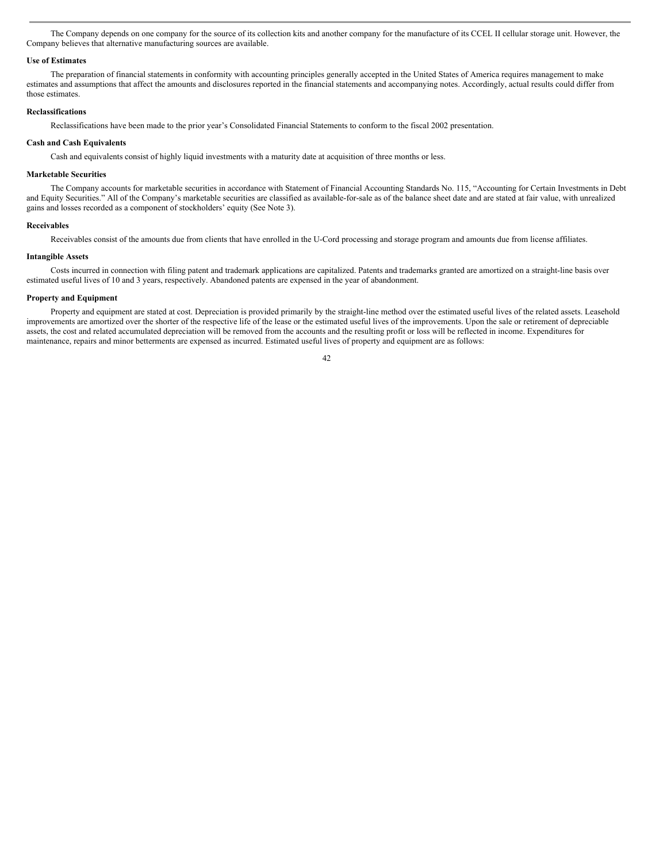The Company depends on one company for the source of its collection kits and another company for the manufacture of its CCEL II cellular storage unit. However, the Company believes that alternative manufacturing sources are available.

#### **Use of Estimates**

The preparation of financial statements in conformity with accounting principles generally accepted in the United States of America requires management to make estimates and assumptions that affect the amounts and disclosures reported in the financial statements and accompanying notes. Accordingly, actual results could differ from those estimates.

### **Reclassifications**

Reclassifications have been made to the prior year's Consolidated Financial Statements to conform to the fiscal 2002 presentation.

## **Cash and Cash Equivalents**

Cash and equivalents consist of highly liquid investments with a maturity date at acquisition of three months or less.

#### **Marketable Securities**

The Company accounts for marketable securities in accordance with Statement of Financial Accounting Standards No. 115, "Accounting for Certain Investments in Debt and Equity Securities." All of the Company's marketable securities are classified as available-for-sale as of the balance sheet date and are stated at fair value, with unrealized gains and losses recorded as a component of stockholders' equity (See Note 3).

#### **Receivables**

Receivables consist of the amounts due from clients that have enrolled in the U-Cord processing and storage program and amounts due from license affiliates.

## **Intangible Assets**

Costs incurred in connection with filing patent and trademark applications are capitalized. Patents and trademarks granted are amortized on a straight-line basis over estimated useful lives of 10 and 3 years, respectively. Abandoned patents are expensed in the year of abandonment.

## **Property and Equipment**

Property and equipment are stated at cost. Depreciation is provided primarily by the straight-line method over the estimated useful lives of the related assets. Leasehold improvements are amortized over the shorter of the respective life of the lease or the estimated useful lives of the improvements. Upon the sale or retirement of depreciable assets, the cost and related accumulated depreciation will be removed from the accounts and the resulting profit or loss will be reflected in income. Expenditures for maintenance, repairs and minor betterments are expensed as incurred. Estimated useful lives of property and equipment are as follows: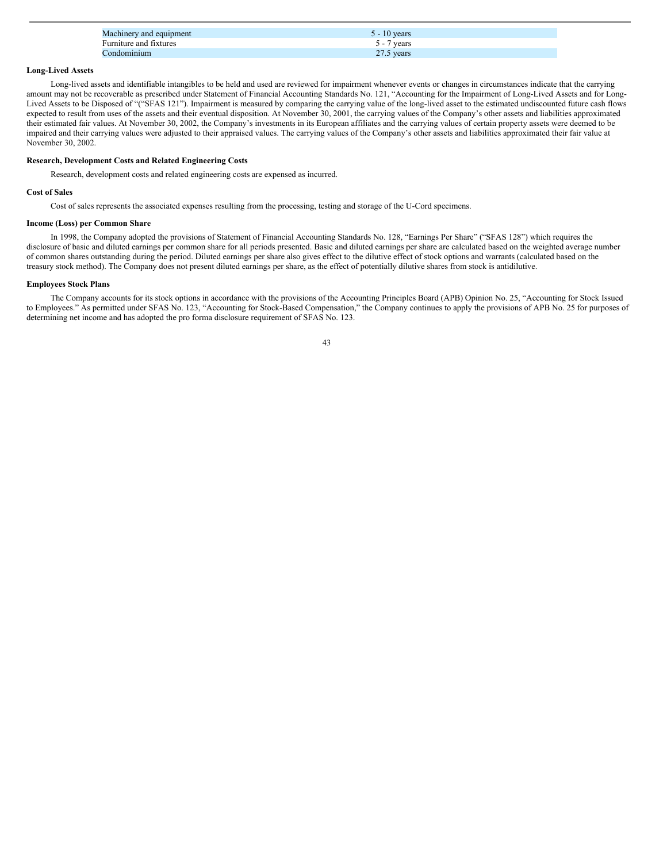| Machinery and equipment | 10 years     |
|-------------------------|--------------|
| Furniture and fixtures  | vears        |
| `ondominium             | $27.5$ years |

# **Long-Lived Assets**

Long-lived assets and identifiable intangibles to be held and used are reviewed for impairment whenever events or changes in circumstances indicate that the carrying amount may not be recoverable as prescribed under Statement of Financial Accounting Standards No. 121, "Accounting for the Impairment of Long-Lived Assets and for Long-Lived Assets to be Disposed of "("SFAS 121"). Impairment is measured by comparing the carrying value of the long-lived asset to the estimated undiscounted future cash flows expected to result from uses of the assets and their eventual disposition. At November 30, 2001, the carrying values of the Company's other assets and liabilities approximated their estimated fair values. At November 30, 2002, the Company's investments in its European affiliates and the carrying values of certain property assets were deemed to be impaired and their carrying values were adjusted to their appraised values. The carrying values of the Company's other assets and liabilities approximated their fair value at November 30, 2002.

## **Research, Development Costs and Related Engineering Costs**

Research, development costs and related engineering costs are expensed as incurred.

# **Cost of Sales**

Cost of sales represents the associated expenses resulting from the processing, testing and storage of the U-Cord specimens.

## **Income (Loss) per Common Share**

In 1998, the Company adopted the provisions of Statement of Financial Accounting Standards No. 128, "Earnings Per Share" ("SFAS 128") which requires the disclosure of basic and diluted earnings per common share for all periods presented. Basic and diluted earnings per share are calculated based on the weighted average number of common shares outstanding during the period. Diluted earnings per share also gives effect to the dilutive effect of stock options and warrants (calculated based on the treasury stock method). The Company does not present diluted earnings per share, as the effect of potentially dilutive shares from stock is antidilutive.

# **Employees Stock Plans**

The Company accounts for its stock options in accordance with the provisions of the Accounting Principles Board (APB) Opinion No. 25, "Accounting for Stock Issued to Employees." As permitted under SFAS No. 123, "Accounting for Stock-Based Compensation," the Company continues to apply the provisions of APB No. 25 for purposes of determining net income and has adopted the pro forma disclosure requirement of SFAS No. 123.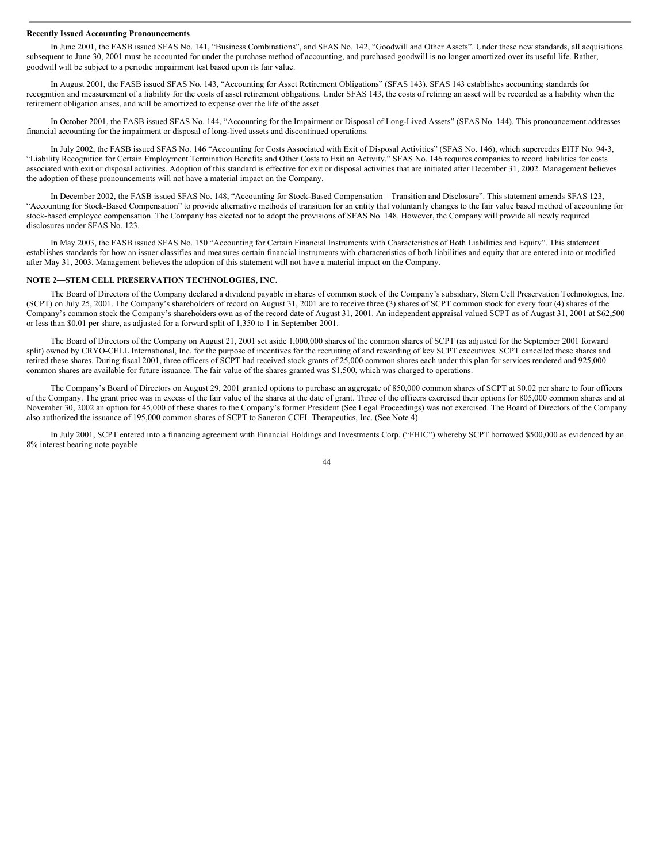#### **Recently Issued Accounting Pronouncements**

In June 2001, the FASB issued SFAS No. 141, "Business Combinations", and SFAS No. 142, "Goodwill and Other Assets". Under these new standards, all acquisitions subsequent to June 30, 2001 must be accounted for under the purchase method of accounting, and purchased goodwill is no longer amortized over its useful life. Rather, goodwill will be subject to a periodic impairment test based upon its fair value.

In August 2001, the FASB issued SFAS No. 143, "Accounting for Asset Retirement Obligations" (SFAS 143). SFAS 143 establishes accounting standards for recognition and measurement of a liability for the costs of asset retirement obligations. Under SFAS 143, the costs of retiring an asset will be recorded as a liability when the retirement obligation arises, and will be amortized to expense over the life of the asset.

In October 2001, the FASB issued SFAS No. 144, "Accounting for the Impairment or Disposal of Long-Lived Assets" (SFAS No. 144). This pronouncement addresses financial accounting for the impairment or disposal of long-lived assets and discontinued operations.

In July 2002, the FASB issued SFAS No. 146 "Accounting for Costs Associated with Exit of Disposal Activities" (SFAS No. 146), which supercedes EITF No. 94-3, "Liability Recognition for Certain Employment Termination Benefits and Other Costs to Exit an Activity." SFAS No. 146 requires companies to record liabilities for costs associated with exit or disposal activities. Adoption of this standard is effective for exit or disposal activities that are initiated after December 31, 2002. Management believes the adoption of these pronouncements will not have a material impact on the Company.

In December 2002, the FASB issued SFAS No. 148, "Accounting for Stock-Based Compensation – Transition and Disclosure". This statement amends SFAS 123, "Accounting for Stock-Based Compensation" to provide alternative methods of transition for an entity that voluntarily changes to the fair value based method of accounting for stock-based employee compensation. The Company has elected not to adopt the provisions of SFAS No. 148. However, the Company will provide all newly required disclosures under SFAS No. 123.

In May 2003, the FASB issued SFAS No. 150 "Accounting for Certain Financial Instruments with Characteristics of Both Liabilities and Equity". This statement establishes standards for how an issuer classifies and measures certain financial instruments with characteristics of both liabilities and equity that are entered into or modified after May 31, 2003. Management believes the adoption of this statement will not have a material impact on the Company.

## **NOTE 2—STEM CELL PRESERVATION TECHNOLOGIES, INC.**

The Board of Directors of the Company declared a dividend payable in shares of common stock of the Company's subsidiary, Stem Cell Preservation Technologies, Inc. (SCPT) on July 25, 2001. The Company's shareholders of record on August 31, 2001 are to receive three (3) shares of SCPT common stock for every four (4) shares of the Company's common stock the Company's shareholders own as of the record date of August 31, 2001. An independent appraisal valued SCPT as of August 31, 2001 at \$62,500 or less than \$0.01 per share, as adjusted for a forward split of 1,350 to 1 in September 2001.

The Board of Directors of the Company on August 21, 2001 set aside 1,000,000 shares of the common shares of SCPT (as adjusted for the September 2001 forward split) owned by CRYO-CELL International, Inc. for the purpose of incentives for the recruiting of and rewarding of key SCPT executives. SCPT cancelled these shares and retired these shares. During fiscal 2001, three officers of SCPT had received stock grants of 25,000 common shares each under this plan for services rendered and 925,000 common shares are available for future issuance. The fair value of the shares granted was \$1,500, which was charged to operations.

The Company's Board of Directors on August 29, 2001 granted options to purchase an aggregate of 850,000 common shares of SCPT at \$0.02 per share to four officers of the Company. The grant price was in excess of the fair value of the shares at the date of grant. Three of the officers exercised their options for 805,000 common shares and at November 30, 2002 an option for 45,000 of these shares to the Company's former President (See Legal Proceedings) was not exercised. The Board of Directors of the Company also authorized the issuance of 195,000 common shares of SCPT to Saneron CCEL Therapeutics, Inc. (See Note 4).

In July 2001, SCPT entered into a financing agreement with Financial Holdings and Investments Corp. ("FHIC") whereby SCPT borrowed \$500,000 as evidenced by an 8% interest bearing note payable

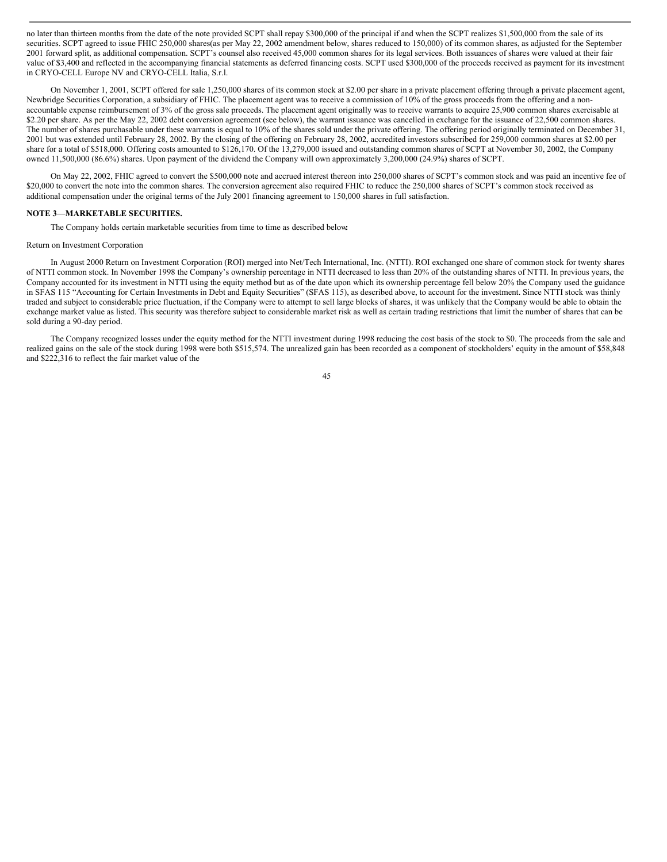no later than thirteen months from the date of the note provided SCPT shall repay \$300,000 of the principal if and when the SCPT realizes \$1,500,000 from the sale of its securities. SCPT agreed to issue FHIC 250,000 shares(as per May 22, 2002 amendment below, shares reduced to 150,000) of its common shares, as adjusted for the September 2001 forward split, as additional compensation. SCPT's counsel also received 45,000 common shares for its legal services. Both issuances of shares were valued at their fair value of \$3,400 and reflected in the accompanying financial statements as deferred financing costs. SCPT used \$300,000 of the proceeds received as payment for its investment in CRYO-CELL Europe NV and CRYO-CELL Italia, S.r.l.

On November 1, 2001, SCPT offered for sale 1,250,000 shares of its common stock at \$2.00 per share in a private placement offering through a private placement agent, Newbridge Securities Corporation, a subsidiary of FHIC. The placement agent was to receive a commission of 10% of the gross proceeds from the offering and a nonaccountable expense reimbursement of 3% of the gross sale proceeds. The placement agent originally was to receive warrants to acquire 25,900 common shares exercisable at \$2.20 per share. As per the May 22, 2002 debt conversion agreement (see below), the warrant issuance was cancelled in exchange for the issuance of 22,500 common shares. The number of shares purchasable under these warrants is equal to 10% of the shares sold under the private offering. The offering period originally terminated on December 31, 2001 but was extended until February 28, 2002. By the closing of the offering on February 28, 2002, accredited investors subscribed for 259,000 common shares at \$2.00 per share for a total of \$518,000. Offering costs amounted to \$126,170. Of the 13,279,000 issued and outstanding common shares of SCPT at November 30, 2002, the Company owned 11,500,000 (86.6%) shares. Upon payment of the dividend the Company will own approximately 3,200,000 (24.9%) shares of SCPT.

On May 22, 2002, FHIC agreed to convert the \$500,000 note and accrued interest thereon into 250,000 shares of SCPT's common stock and was paid an incentive fee of \$20,000 to convert the note into the common shares. The conversion agreement also required FHIC to reduce the 250,000 shares of SCPT's common stock received as additional compensation under the original terms of the July 2001 financing agreement to 150,000 shares in full satisfaction.

### **NOTE 3—MARKETABLE SECURITIES.**

The Company holds certain marketable securities from time to time as described below**:**

## Return on Investment Corporation

In August 2000 Return on Investment Corporation (ROI) merged into Net/Tech International, Inc. (NTTI). ROI exchanged one share of common stock for twenty shares of NTTI common stock. In November 1998 the Company's ownership percentage in NTTI decreased to less than 20% of the outstanding shares of NTTI. In previous years, the Company accounted for its investment in NTTI using the equity method but as of the date upon which its ownership percentage fell below 20% the Company used the guidance in SFAS 115 "Accounting for Certain Investments in Debt and Equity Securities" (SFAS 115), as described above, to account for the investment. Since NTTI stock was thinly traded and subject to considerable price fluctuation, if the Company were to attempt to sell large blocks of shares, it was unlikely that the Company would be able to obtain the exchange market value as listed. This security was therefore subject to considerable market risk as well as certain trading restrictions that limit the number of shares that can be sold during a 90-day period.

The Company recognized losses under the equity method for the NTTI investment during 1998 reducing the cost basis of the stock to \$0. The proceeds from the sale and realized gains on the sale of the stock during 1998 were both \$515,574. The unrealized gain has been recorded as a component of stockholders' equity in the amount of \$58,848 and \$222,316 to reflect the fair market value of the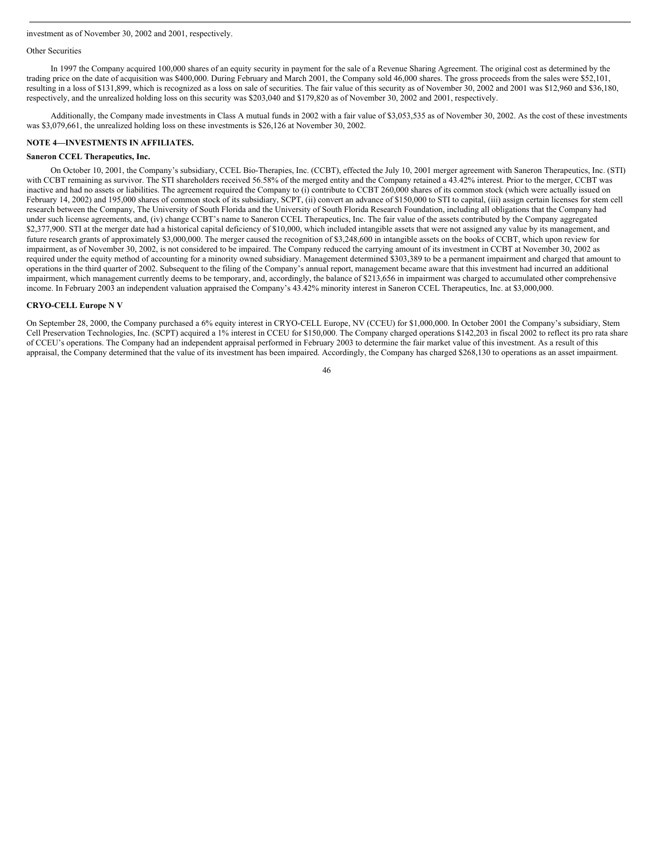#### Other Securities

In 1997 the Company acquired 100,000 shares of an equity security in payment for the sale of a Revenue Sharing Agreement. The original cost as determined by the trading price on the date of acquisition was \$400,000. During February and March 2001, the Company sold 46,000 shares. The gross proceeds from the sales were \$52,101, resulting in a loss of \$131,899, which is recognized as a loss on sale of securities. The fair value of this security as of November 30, 2002 and 2001 was \$12,960 and \$36,180, respectively, and the unrealized holding loss on this security was \$203,040 and \$179,820 as of November 30, 2002 and 2001, respectively.

Additionally, the Company made investments in Class A mutual funds in 2002 with a fair value of \$3,053,535 as of November 30, 2002. As the cost of these investments was \$3,079,661, the unrealized holding loss on these investments is \$26,126 at November 30, 2002.

## **NOTE 4—INVESTMENTS IN AFFILIATES.**

## **Saneron CCEL Therapeutics, Inc.**

On October 10, 2001, the Company's subsidiary, CCEL Bio-Therapies, Inc. (CCBT), effected the July 10, 2001 merger agreement with Saneron Therapeutics, Inc. (STI) with CCBT remaining as survivor. The STI shareholders received 56.58% of the merged entity and the Company retained a 43.42% interest. Prior to the merger, CCBT was inactive and had no assets or liabilities. The agreement required the Company to (i) contribute to CCBT 260,000 shares of its common stock (which were actually issued on February 14, 2002) and 195,000 shares of common stock of its subsidiary, SCPT, (ii) convert an advance of \$150,000 to STI to capital, (iii) assign certain licenses for stem cell research between the Company, The University of South Florida and the University of South Florida Research Foundation, including all obligations that the Company had under such license agreements, and, (iv) change CCBT's name to Saneron CCEL Therapeutics, Inc. The fair value of the assets contributed by the Company aggregated \$2,377,900. STI at the merger date had a historical capital deficiency of \$10,000, which included intangible assets that were not assigned any value by its management, and future research grants of approximately \$3,000,000. The merger caused the recognition of \$3,248,600 in intangible assets on the books of CCBT, which upon review for impairment, as of November 30, 2002, is not considered to be impaired. The Company reduced the carrying amount of its investment in CCBT at November 30, 2002 as required under the equity method of accounting for a minority owned subsidiary. Management determined \$303,389 to be a permanent impairment and charged that amount to operations in the third quarter of 2002. Subsequent to the filing of the Company's annual report, management became aware that this investment had incurred an additional impairment, which management currently deems to be temporary, and, accordingly, the balance of \$213,656 in impairment was charged to accumulated other comprehensive income. In February 2003 an independent valuation appraised the Company's 43.42% minority interest in Saneron CCEL Therapeutics, Inc. at \$3,000,000.

# **CRYO-CELL Europe N V**

On September 28, 2000, the Company purchased a 6% equity interest in CRYO-CELL Europe, NV (CCEU) for \$1,000,000. In October 2001 the Company's subsidiary, Stem Cell Preservation Technologies, Inc. (SCPT) acquired a 1% interest in CCEU for \$150,000. The Company charged operations \$142,203 in fiscal 2002 to reflect its pro rata share of CCEU's operations. The Company had an independent appraisal performed in February 2003 to determine the fair market value of this investment. As a result of this appraisal, the Company determined that the value of its investment has been impaired. Accordingly, the Company has charged \$268,130 to operations as an asset impairment.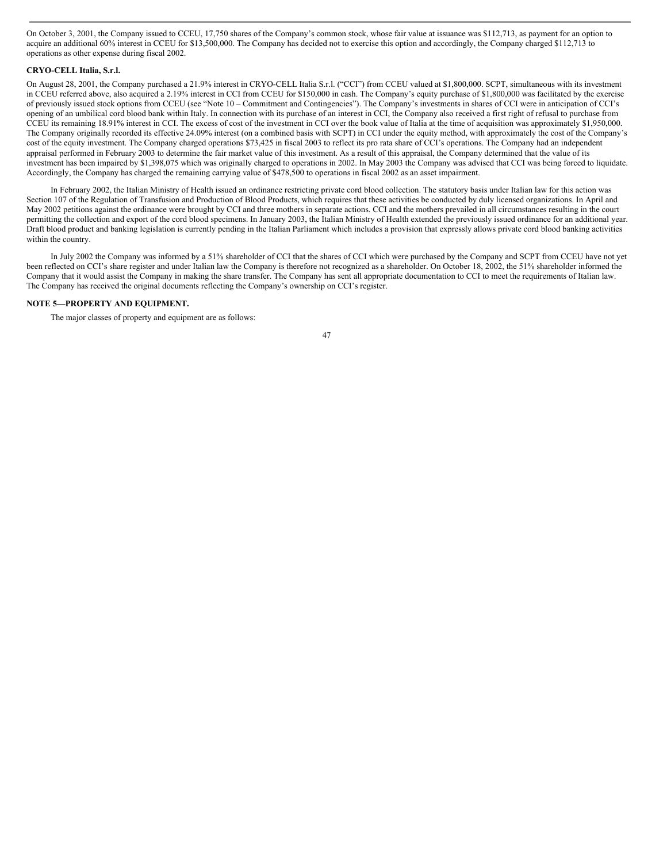On October 3, 2001, the Company issued to CCEU, 17,750 shares of the Company's common stock, whose fair value at issuance was \$112,713, as payment for an option to acquire an additional 60% interest in CCEU for \$13,500,000. The Company has decided not to exercise this option and accordingly, the Company charged \$112,713 to operations as other expense during fiscal 2002.

## **CRYO-CELL Italia, S.r.l.**

On August 28, 2001, the Company purchased a 21.9% interest in CRYO-CELL Italia S.r.l. ("CCI") from CCEU valued at \$1,800,000. SCPT, simultaneous with its investment in CCEU referred above, also acquired a 2.19% interest in CCI from CCEU for \$150,000 in cash. The Company's equity purchase of \$1,800,000 was facilitated by the exercise of previously issued stock options from CCEU (see "Note 10 – Commitment and Contingencies"). The Company's investments in shares of CCI were in anticipation of CCI's opening of an umbilical cord blood bank within Italy. In connection with its purchase of an interest in CCI, the Company also received a first right of refusal to purchase from CCEU its remaining 18.91% interest in CCI. The excess of cost of the investment in CCI over the book value of Italia at the time of acquisition was approximately \$1,950,000. The Company originally recorded its effective 24.09% interest (on a combined basis with SCPT) in CCI under the equity method, with approximately the cost of the Company's cost of the equity investment. The Company charged operations \$73,425 in fiscal 2003 to reflect its pro rata share of CCI's operations. The Company had an independent appraisal performed in February 2003 to determine the fair market value of this investment. As a result of this appraisal, the Company determined that the value of its investment has been impaired by \$1,398,075 which was originally charged to operations in 2002. In May 2003 the Company was advised that CCI was being forced to liquidate. Accordingly, the Company has charged the remaining carrying value of \$478,500 to operations in fiscal 2002 as an asset impairment.

In February 2002, the Italian Ministry of Health issued an ordinance restricting private cord blood collection. The statutory basis under Italian law for this action was Section 107 of the Regulation of Transfusion and Production of Blood Products, which requires that these activities be conducted by duly licensed organizations. In April and May 2002 petitions against the ordinance were brought by CCI and three mothers in separate actions. CCI and the mothers prevailed in all circumstances resulting in the court permitting the collection and export of the cord blood specimens. In January 2003, the Italian Ministry of Health extended the previously issued ordinance for an additional year. Draft blood product and banking legislation is currently pending in the Italian Parliament which includes a provision that expressly allows private cord blood banking activities within the country.

In July 2002 the Company was informed by a 51% shareholder of CCI that the shares of CCI which were purchased by the Company and SCPT from CCEU have not yet been reflected on CCI's share register and under Italian law the Company is therefore not recognized as a shareholder. On October 18, 2002, the 51% shareholder informed the Company that it would assist the Company in making the share transfer. The Company has sent all appropriate documentation to CCI to meet the requirements of Italian law. The Company has received the original documents reflecting the Company's ownership on CCI's register.

# **NOTE 5—PROPERTY AND EQUIPMENT.**

The major classes of property and equipment are as follows: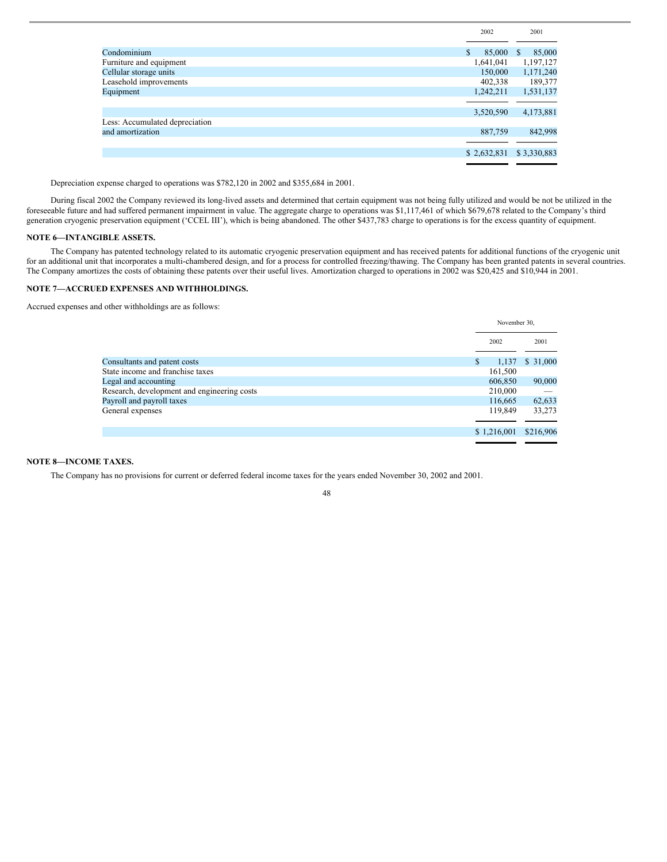|                                | 2002         | 2001                   |
|--------------------------------|--------------|------------------------|
|                                |              |                        |
| Condominium                    | \$<br>85,000 | 85,000<br><sup>S</sup> |
| Furniture and equipment        | 1,641,041    | 1,197,127              |
| Cellular storage units         | 150,000      | 1,171,240              |
| Leasehold improvements         | 402,338      | 189,377                |
| Equipment                      | 1.242.211    | 1,531,137              |
|                                |              |                        |
|                                |              |                        |
|                                | 3,520,590    | 4,173,881              |
| Less: Accumulated depreciation |              |                        |
| and amortization               | 887,759      | 842,998                |
|                                |              |                        |
|                                | \$2,632,831  | \$3,330,883            |

Depreciation expense charged to operations was \$782,120 in 2002 and \$355,684 in 2001.

During fiscal 2002 the Company reviewed its long-lived assets and determined that certain equipment was not being fully utilized and would be not be utilized in the foreseeable future and had suffered permanent impairment in value. The aggregate charge to operations was \$1,117,461 of which \$679,678 related to the Company's third generation cryogenic preservation equipment ('CCEL III'), which is being abandoned. The other \$437,783 charge to operations is for the excess quantity of equipment.

## **NOTE 6—INTANGIBLE ASSETS.**

The Company has patented technology related to its automatic cryogenic preservation equipment and has received patents for additional functions of the cryogenic unit for an additional unit that incorporates a multi-chambered design, and for a process for controlled freezing/thawing. The Company has been granted patents in several countries. The Company amortizes the costs of obtaining these patents over their useful lives. Amortization charged to operations in 2002 was \$20,425 and \$10,944 in 2001.

# **NOTE 7—ACCRUED EXPENSES AND WITHHOLDINGS.**

Accrued expenses and other withholdings are as follows:

|                                             | November 30. |           |
|---------------------------------------------|--------------|-----------|
|                                             | 2002         | 2001      |
| Consultants and patent costs                | S<br>1,137   | \$31,000  |
| State income and franchise taxes            | 161,500      |           |
| Legal and accounting                        | 606,850      | 90,000    |
| Research, development and engineering costs | 210,000      |           |
| Payroll and payroll taxes                   | 116,665      | 62,633    |
| General expenses                            | 119,849      | 33,273    |
|                                             |              |           |
|                                             | \$1,216,001  | \$216,906 |
|                                             |              |           |

# **NOTE 8—INCOME TAXES.**

The Company has no provisions for current or deferred federal income taxes for the years ended November 30, 2002 and 2001.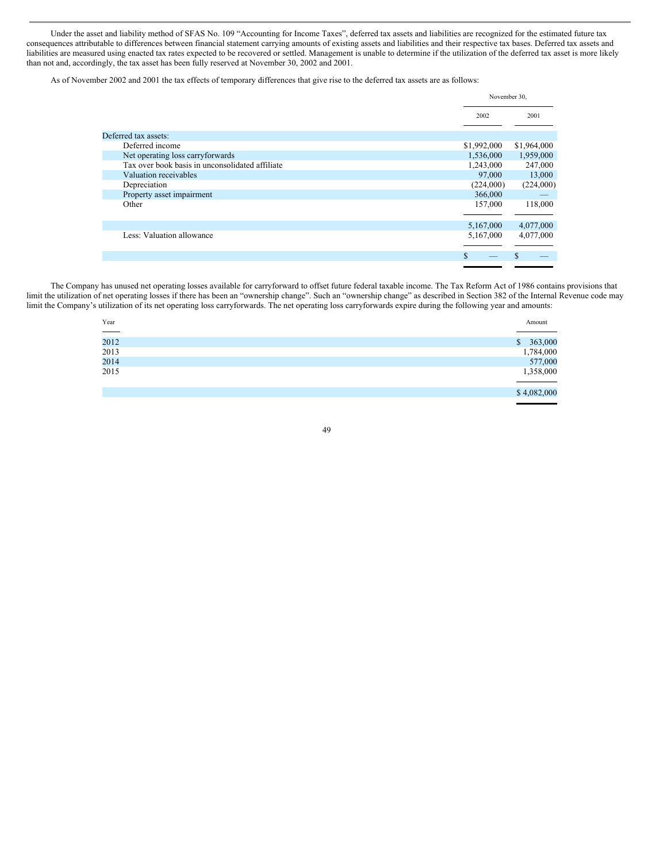Under the asset and liability method of SFAS No. 109 "Accounting for Income Taxes", deferred tax assets and liabilities are recognized for the estimated future tax consequences attributable to differences between financial statement carrying amounts of existing assets and liabilities and their respective tax bases. Deferred tax assets and liabilities are measured using enacted tax rates expected to be recovered or settled. Management is unable to determine if the utilization of the deferred tax asset is more likely than not and, accordingly, the tax asset has been fully reserved at November 30, 2002 and 2001.

As of November 2002 and 2001 the tax effects of temporary differences that give rise to the deferred tax assets are as follows:

|                                                 | November 30, |             |
|-------------------------------------------------|--------------|-------------|
|                                                 | 2002         | 2001        |
|                                                 |              |             |
| Deferred tax assets:                            |              |             |
| Deferred income                                 | \$1,992,000  | \$1,964,000 |
| Net operating loss carryforwards                | 1,536,000    | 1,959,000   |
| Tax over book basis in unconsolidated affiliate | 1,243,000    | 247,000     |
| Valuation receivables                           | 97,000       | 13,000      |
| Depreciation                                    | (224,000)    | (224,000)   |
| Property asset impairment                       | 366,000      |             |
| Other                                           | 157,000      | 118,000     |
|                                                 |              |             |
|                                                 | 5,167,000    | 4,077,000   |
| Less: Valuation allowance                       | 5,167,000    | 4,077,000   |
|                                                 |              |             |
|                                                 | S            |             |
|                                                 |              |             |

The Company has unused net operating losses available for carryforward to offset future federal taxable income. The Tax Reform Act of 1986 contains provisions that limit the utilization of net operating losses if there has been an "ownership change". Such an "ownership change" as described in Section 382 of the Internal Revenue code may limit the Company's utilization of its net operating loss carryforwards. The net operating loss carryforwards expire during the following year and amounts:

| Year                         |              | Amount      |
|------------------------------|--------------|-------------|
| <b>Contract Contract</b>     |              |             |
| 2012<br>2013<br>2014<br>2015 | $\mathbb{S}$ | 363,000     |
|                              |              | 1,784,000   |
|                              |              | 577,000     |
|                              |              | 1,358,000   |
|                              |              |             |
|                              |              | \$4,082,000 |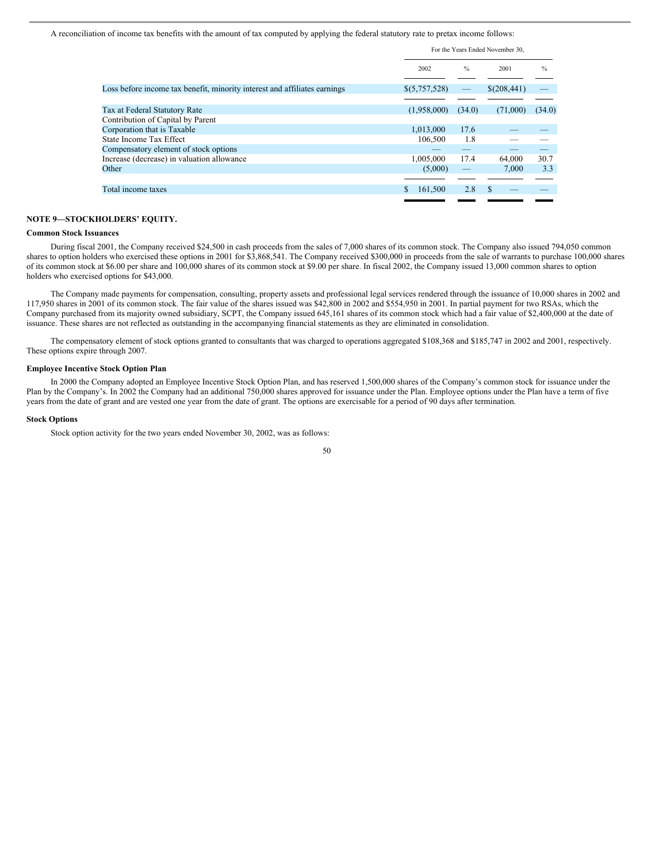A reconciliation of income tax benefits with the amount of tax computed by applying the federal statutory rate to pretax income follows:

|                                                                           | For the Years Ended November 30, |               |             |               |
|---------------------------------------------------------------------------|----------------------------------|---------------|-------------|---------------|
|                                                                           | 2002                             | $\frac{0}{0}$ | 2001        | $\frac{0}{0}$ |
| Loss before income tax benefit, minority interest and affiliates earnings | \$ (5,757,528)                   |               | \$(208,441) |               |
|                                                                           |                                  |               |             |               |
| Tax at Federal Statutory Rate                                             | (1,958,000)                      | (34.0)        | (71,000)    | (34.0)        |
| Contribution of Capital by Parent                                         |                                  |               |             |               |
| Corporation that is Taxable                                               | 1,013,000                        | 17.6          |             |               |
| State Income Tax Effect                                                   | 106,500                          | 1.8           |             |               |
| Compensatory element of stock options                                     |                                  |               |             |               |
| Increase (decrease) in valuation allowance                                | 1.005.000                        | 17.4          | 64,000      | 30.7          |
| Other                                                                     | (5,000)                          |               | 7.000       | 3.3           |
|                                                                           |                                  |               |             |               |
| Total income taxes                                                        | 161,500                          | 2.8           | \$          |               |
|                                                                           |                                  |               |             |               |

# **NOTE 9—STOCKHOLDERS' EQUITY.**

## **Common Stock Issuances**

During fiscal 2001, the Company received \$24,500 in cash proceeds from the sales of 7,000 shares of its common stock. The Company also issued 794,050 common shares to option holders who exercised these options in 2001 for \$3,868,541. The Company received \$300,000 in proceeds from the sale of warrants to purchase 100,000 shares of its common stock at \$6.00 per share and 100,000 shares of its common stock at \$9.00 per share. In fiscal 2002, the Company issued 13,000 common shares to option holders who exercised options for \$43,000.

The Company made payments for compensation, consulting, property assets and professional legal services rendered through the issuance of 10,000 shares in 2002 and 117,950 shares in 2001 of its common stock. The fair value of the shares issued was \$42,800 in 2002 and \$554,950 in 2001. In partial payment for two RSAs, which the Company purchased from its majority owned subsidiary, SCPT, the Company issued 645,161 shares of its common stock which had a fair value of \$2,400,000 at the date of issuance. These shares are not reflected as outstanding in the accompanying financial statements as they are eliminated in consolidation.

The compensatory element of stock options granted to consultants that was charged to operations aggregated \$108,368 and \$185,747 in 2002 and 2001, respectively. These options expire through 2007.

#### **Employee Incentive Stock Option Plan**

In 2000 the Company adopted an Employee Incentive Stock Option Plan, and has reserved 1,500,000 shares of the Company's common stock for issuance under the Plan by the Company's. In 2002 the Company had an additional 750,000 shares approved for issuance under the Plan. Employee options under the Plan have a term of five years from the date of grant and are vested one year from the date of grant. The options are exercisable for a period of 90 days after termination.

## **Stock Options**

Stock option activity for the two years ended November 30, 2002, was as follows: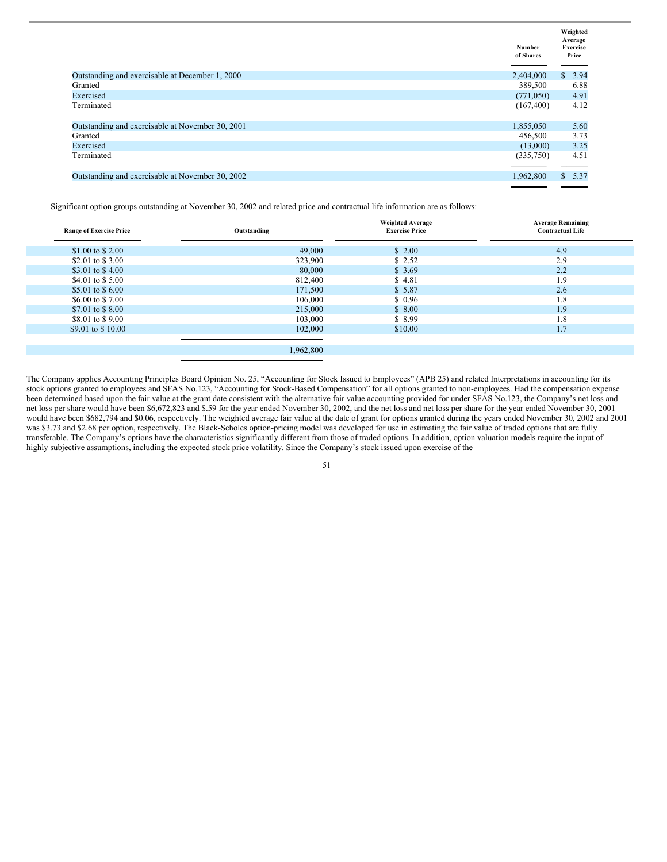|                                                  | <b>Number</b><br>of Shares | Weighted<br>Average<br><b>Exercise</b><br>Price |
|--------------------------------------------------|----------------------------|-------------------------------------------------|
| Outstanding and exercisable at December 1, 2000  | 2,404,000                  | \$3.94                                          |
| Granted                                          | 389,500                    | 6.88                                            |
| Exercised                                        | (771,050)                  | 4.91                                            |
| Terminated                                       | (167, 400)                 | 4.12                                            |
| Outstanding and exercisable at November 30, 2001 | 1,855,050                  | 5.60                                            |
| Granted                                          | 456,500                    | 3.73                                            |
| Exercised                                        | (13,000)                   | 3.25                                            |
| Terminated                                       | (335,750)                  | 4.51                                            |
| Outstanding and exercisable at November 30, 2002 | 1,962,800                  | \$5.37                                          |
|                                                  |                            |                                                 |

Significant option groups outstanding at November 30, 2002 and related price and contractual life information are as follows:

| <b>Range of Exercise Price</b> | Outstanding | <b>Weighted Average</b><br><b>Exercise Price</b> | <b>Average Remaining</b><br><b>Contractual Life</b> |
|--------------------------------|-------------|--------------------------------------------------|-----------------------------------------------------|
| \$1.00 to \$2.00               | 49,000      | \$2.00                                           | 4.9                                                 |
| \$2.01 to \$3.00               | 323,900     | \$2.52                                           | 2.9                                                 |
| \$3.01 to \$4.00               | 80,000      | \$3.69                                           | 2.2                                                 |
| \$4.01 to \$5.00               | 812,400     | \$4.81                                           | 1.9                                                 |
| \$5.01 to \$6.00               | 171,500     | \$5.87                                           | 2.6                                                 |
| \$6,00 to \$7,00               | 106,000     | \$0.96                                           | 1.8                                                 |
| \$7.01 to \$8.00               | 215,000     | \$8.00                                           | 1.9                                                 |
| \$8.01 to \$9.00               | 103,000     | \$8.99                                           | 1.8                                                 |
| \$9.01 to \$10.00              | 102,000     | \$10.00                                          | 1.7                                                 |
|                                |             |                                                  |                                                     |
|                                | 1,962,800   |                                                  |                                                     |

The Company applies Accounting Principles Board Opinion No. 25, "Accounting for Stock Issued to Employees" (APB 25) and related Interpretations in accounting for its stock options granted to employees and SFAS No.123, "Accounting for Stock-Based Compensation" for all options granted to non-employees. Had the compensation expense been determined based upon the fair value at the grant date consistent with the alternative fair value accounting provided for under SFAS No.123, the Company's net loss and net loss per share would have been \$6,672,823 and \$.59 for the year ended November 30, 2002, and the net loss and net loss per share for the year ended November 30, 2001 would have been \$682,794 and \$0.06, respectively. The weighted average fair value at the date of grant for options granted during the years ended November 30, 2002 and 2001 was \$3.73 and \$2.68 per option, respectively. The Black-Scholes option-pricing model was developed for use in estimating the fair value of traded options that are fully transferable. The Company's options have the characteristics significantly different from those of traded options. In addition, option valuation models require the input of highly subjective assumptions, including the expected stock price volatility. Since the Company's stock issued upon exercise of the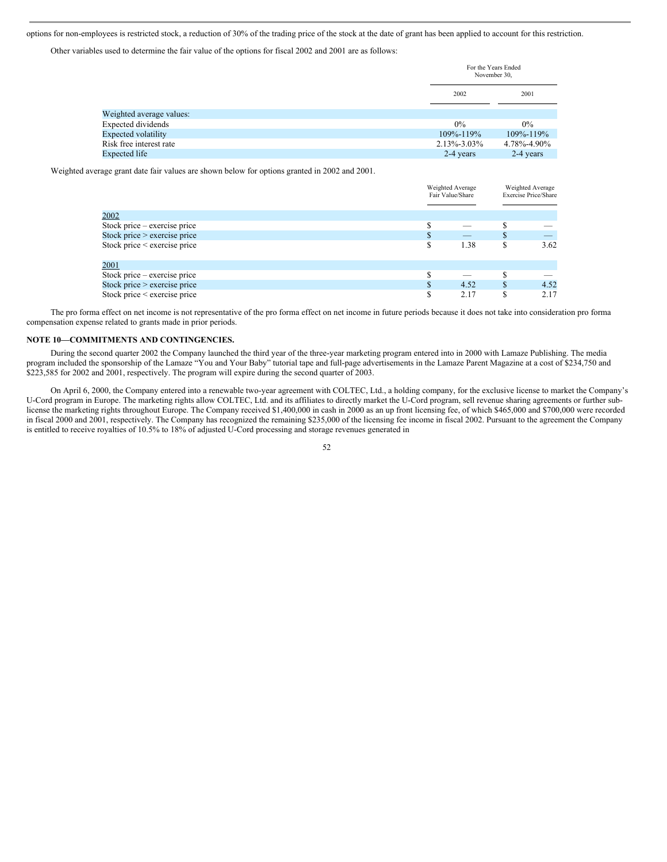options for non-employees is restricted stock, a reduction of 30% of the trading price of the stock at the date of grant has been applied to account for this restriction.

Other variables used to determine the fair value of the options for fiscal 2002 and 2001 are as follows:

|                            | For the Years Ended<br>November 30, |             |
|----------------------------|-------------------------------------|-------------|
|                            | 2002                                | 2001        |
| Weighted average values:   |                                     |             |
| Expected dividends         | $0\%$                               | $0\%$       |
| <b>Expected volatility</b> | 109%-119%                           | 109%-119%   |
| Risk free interest rate    | $2.13\% - 3.03\%$                   | 4.78%-4.90% |
| Expected life              | 2-4 years                           | 2-4 years   |

Weighted average grant date fair values are shown below for options granted in 2002 and 2001.

|                                | Weighted Average<br>Fair Value/Share |  | Weighted Average<br><b>Exercise Price/Share</b> |  |
|--------------------------------|--------------------------------------|--|-------------------------------------------------|--|
|                                |                                      |  |                                                 |  |
| 2002                           |                                      |  |                                                 |  |
| Stock price $-$ exercise price |                                      |  |                                                 |  |
| Stock price $>$ exercise price | _                                    |  |                                                 |  |
| Stock price < exercise price   | 1.38                                 |  | 3.62                                            |  |
| 2001                           |                                      |  |                                                 |  |
| Stock price – exercise price   |                                      |  |                                                 |  |
| Stock price $>$ exercise price | 4.52                                 |  | 4.52                                            |  |
|                                |                                      |  |                                                 |  |
| Stock price < exercise price   | 2.17                                 |  | 2.17                                            |  |

Weighted Average

 $W^{(1)}$  telectricity Average and

The pro forma effect on net income is not representative of the pro forma effect on net income in future periods because it does not take into consideration pro forma compensation expense related to grants made in prior periods.

# **NOTE 10—COMMITMENTS AND CONTINGENCIES.**

During the second quarter 2002 the Company launched the third year of the three-year marketing program entered into in 2000 with Lamaze Publishing. The media program included the sponsorship of the Lamaze "You and Your Baby" tutorial tape and full-page advertisements in the Lamaze Parent Magazine at a cost of \$234,750 and \$223,585 for 2002 and 2001, respectively. The program will expire during the second quarter of 2003.

On April 6, 2000, the Company entered into a renewable two-year agreement with COLTEC, Ltd., a holding company, for the exclusive license to market the Company's U-Cord program in Europe. The marketing rights allow COLTEC, Ltd. and its affiliates to directly market the U-Cord program, sell revenue sharing agreements or further sublicense the marketing rights throughout Europe. The Company received \$1,400,000 in cash in 2000 as an up front licensing fee, of which \$465,000 and \$700,000 were recorded in fiscal 2000 and 2001, respectively. The Company has recognized the remaining \$235,000 of the licensing fee income in fiscal 2002. Pursuant to the agreement the Company is entitled to receive royalties of 10.5% to 18% of adjusted U-Cord processing and storage revenues generated in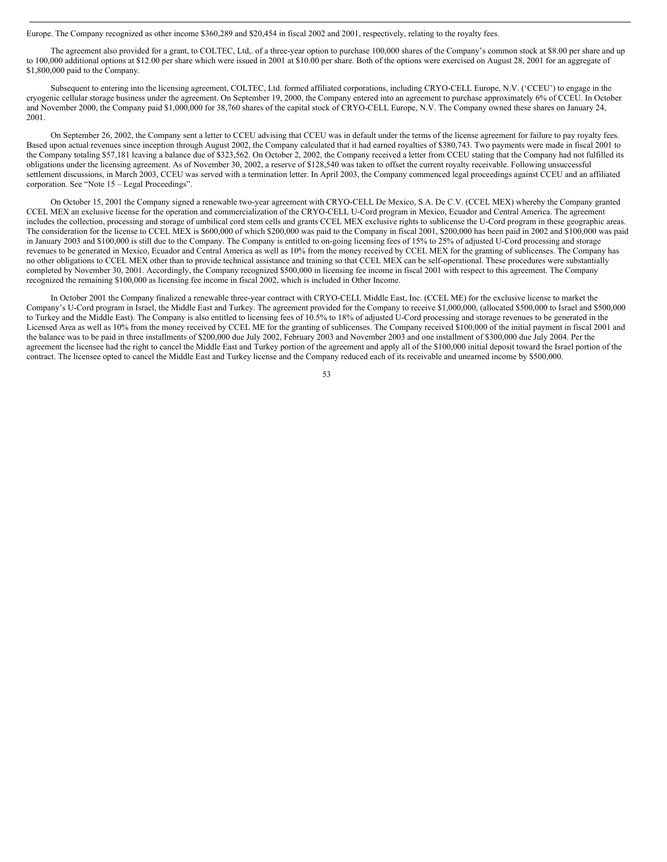Europe. The Company recognized as other income \$360,289 and \$20,454 in fiscal 2002 and 2001, respectively, relating to the royalty fees.

The agreement also provided for a grant, to COLTEC, Ltd,. of a three-year option to purchase 100,000 shares of the Company's common stock at \$8.00 per share and up to 100,000 additional options at \$12.00 per share which were issued in 2001 at \$10.00 per share. Both of the options were exercised on August 28, 2001 for an aggregate of \$1,800,000 paid to the Company.

Subsequent to entering into the licensing agreement, COLTEC, Ltd. formed affiliated corporations, including CRYO-CELL Europe, N.V. ('CCEU') to engage in the cryogenic cellular storage business under the agreement. On September 19, 2000, the Company entered into an agreement to purchase approximately 6% of CCEU. In October and November 2000, the Company paid \$1,000,000 for 38,760 shares of the capital stock of CRYO-CELL Europe, N.V. The Company owned these shares on January 24, 2001.

On September 26, 2002, the Company sent a letter to CCEU advising that CCEU was in default under the terms of the license agreement for failure to pay royalty fees. Based upon actual revenues since inception through August 2002, the Company calculated that it had earned royalties of \$380,743. Two payments were made in fiscal 2001 to the Company totaling \$57,181 leaving a balance due of \$323,562. On October 2, 2002, the Company received a letter from CCEU stating that the Company had not fulfilled its obligations under the licensing agreement. As of November 30, 2002, a reserve of \$128,540 was taken to offset the current royalty receivable. Following unsuccessful settlement discussions, in March 2003, CCEU was served with a termination letter. In April 2003, the Company commenced legal proceedings against CCEU and an affiliated corporation. See "Note 15 – Legal Proceedings".

On October 15, 2001 the Company signed a renewable two-year agreement with CRYO-CELL De Mexico, S.A. De C.V. (CCEL MEX) whereby the Company granted CCEL MEX an exclusive license for the operation and commercialization of the CRYO-CELL U-Cord program in Mexico, Ecuador and Central America. The agreement includes the collection, processing and storage of umbilical cord stem cells and grants CCEL MEX exclusive rights to sublicense the U-Cord program in these geographic areas. The consideration for the license to CCEL MEX is \$600,000 of which \$200,000 was paid to the Company in fiscal 2001, \$200,000 has been paid in 2002 and \$100,000 was paid in January 2003 and \$100,000 is still due to the Company. The Company is entitled to on-going licensing fees of 15% to 25% of adjusted U-Cord processing and storage revenues to be generated in Mexico, Ecuador and Central America as well as 10% from the money received by CCEL MEX for the granting of sublicenses. The Company has no other obligations to CCEL MEX other than to provide technical assistance and training so that CCEL MEX can be self-operational. These procedures were substantially completed by November 30, 2001. Accordingly, the Company recognized \$500,000 in licensing fee income in fiscal 2001 with respect to this agreement. The Company recognized the remaining \$100,000 as licensing fee income in fiscal 2002, which is included in Other Income.

In October 2001 the Company finalized a renewable three-year contract with CRYO-CELL Middle East, Inc. (CCEL ME) for the exclusive license to market the Company's U-Cord program in Israel, the Middle East and Turkey. The agreement provided for the Company to receive \$1,000,000, (allocated \$500,000 to Israel and \$500,000 to Turkey and the Middle East). The Company is also entitled to licensing fees of 10.5% to 18% of adjusted U-Cord processing and storage revenues to be generated in the Licensed Area as well as 10% from the money received by CCEL ME for the granting of sublicenses. The Company received \$100,000 of the initial payment in fiscal 2001 and the balance was to be paid in three installments of \$200,000 due July 2002, February 2003 and November 2003 and one installment of \$300,000 due July 2004. Per the agreement the licensee had the right to cancel the Middle East and Turkey portion of the agreement and apply all of the \$100,000 initial deposit toward the Israel portion of the contract. The licensee opted to cancel the Middle East and Turkey license and the Company reduced each of its receivable and unearned income by \$500,000.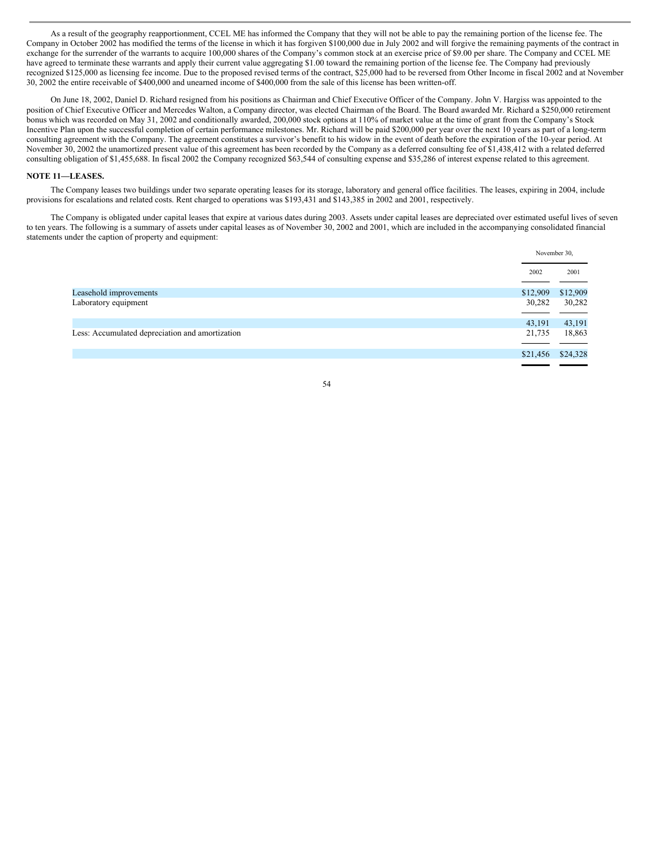As a result of the geography reapportionment, CCEL ME has informed the Company that they will not be able to pay the remaining portion of the license fee. The Company in October 2002 has modified the terms of the license in which it has forgiven \$100,000 due in July 2002 and will forgive the remaining payments of the contract in exchange for the surrender of the warrants to acquire 100,000 shares of the Company's common stock at an exercise price of \$9.00 per share. The Company and CCEL ME have agreed to terminate these warrants and apply their current value aggregating \$1.00 toward the remaining portion of the license fee. The Company had previously recognized \$125,000 as licensing fee income. Due to the proposed revised terms of the contract, \$25,000 had to be reversed from Other Income in fiscal 2002 and at November 30, 2002 the entire receivable of \$400,000 and unearned income of \$400,000 from the sale of this license has been written-off.

On June 18, 2002, Daniel D. Richard resigned from his positions as Chairman and Chief Executive Officer of the Company. John V. Hargiss was appointed to the position of Chief Executive Officer and Mercedes Walton, a Company director, was elected Chairman of the Board. The Board awarded Mr. Richard a \$250,000 retirement bonus which was recorded on May 31, 2002 and conditionally awarded, 200,000 stock options at 110% of market value at the time of grant from the Company's Stock Incentive Plan upon the successful completion of certain performance milestones. Mr. Richard will be paid \$200,000 per year over the next 10 years as part of a long-term consulting agreement with the Company. The agreement constitutes a survivor's benefit to his widow in the event of death before the expiration of the 10-year period. At November 30, 2002 the unamortized present value of this agreement has been recorded by the Company as a deferred consulting fee of \$1,438,412 with a related deferred consulting obligation of \$1,455,688. In fiscal 2002 the Company recognized \$63,544 of consulting expense and \$35,286 of interest expense related to this agreement.

#### **NOTE 11—LEASES.**

The Company leases two buildings under two separate operating leases for its storage, laboratory and general office facilities. The leases, expiring in 2004, include provisions for escalations and related costs. Rent charged to operations was \$193,431 and \$143,385 in 2002 and 2001, respectively.

The Company is obligated under capital leases that expire at various dates during 2003. Assets under capital leases are depreciated over estimated useful lives of seven to ten years. The following is a summary of assets under capital leases as of November 30, 2002 and 2001, which are included in the accompanying consolidated financial statements under the caption of property and equipment:

|                                                 |          | November 30, |
|-------------------------------------------------|----------|--------------|
|                                                 | 2002     | 2001         |
| Leasehold improvements                          | \$12,909 | \$12,909     |
| Laboratory equipment                            | 30,282   | 30,282       |
|                                                 |          |              |
|                                                 | 43,191   | 43,191       |
| Less: Accumulated depreciation and amortization | 21,735   | 18,863       |
|                                                 |          |              |
|                                                 | \$21,456 | \$24,328     |
|                                                 |          |              |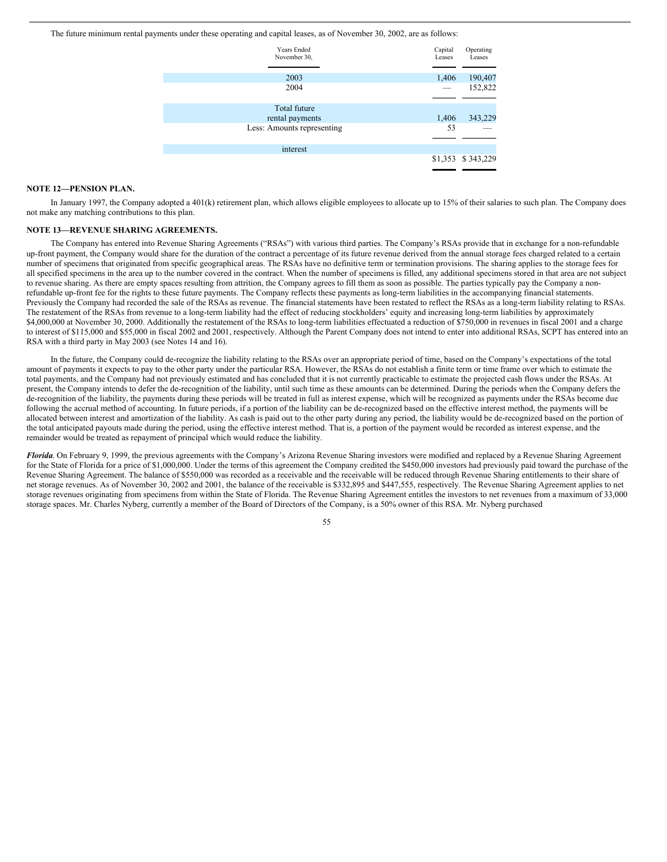The future minimum rental payments under these operating and capital leases, as of November 30, 2002, are as follows:

| <b>Years Ended</b><br>November 30, | Capital<br>Leases | Operating<br>Leases |
|------------------------------------|-------------------|---------------------|
|                                    |                   |                     |
| 2003                               | 1,406             | 190,407             |
| 2004                               |                   | 152,822             |
|                                    |                   |                     |
| Total future                       |                   |                     |
| rental payments                    | 1,406             | 343,229             |
| Less: Amounts representing         | 53                |                     |
|                                    |                   |                     |
| interest                           |                   |                     |
|                                    |                   | \$1,353 \$343,229   |
|                                    |                   |                     |

#### **NOTE 12—PENSION PLAN.**

In January 1997, the Company adopted a 401(k) retirement plan, which allows eligible employees to allocate up to 15% of their salaries to such plan. The Company does not make any matching contributions to this plan.

#### **NOTE 13—REVENUE SHARING AGREEMENTS.**

The Company has entered into Revenue Sharing Agreements ("RSAs") with various third parties. The Company's RSAs provide that in exchange for a non-refundable up-front payment, the Company would share for the duration of the contract a percentage of its future revenue derived from the annual storage fees charged related to a certain number of specimens that originated from specific geographical areas. The RSAs have no definitive term or termination provisions. The sharing applies to the storage fees for all specified specimens in the area up to the number covered in the contract. When the number of specimens is filled, any additional specimens stored in that area are not subject to revenue sharing. As there are empty spaces resulting from attrition, the Company agrees to fill them as soon as possible. The parties typically pay the Company a nonrefundable up-front fee for the rights to these future payments. The Company reflects these payments as long-term liabilities in the accompanying financial statements. Previously the Company had recorded the sale of the RSAs as revenue. The financial statements have been restated to reflect the RSAs as a long-term liability relating to RSAs. The restatement of the RSAs from revenue to a long-term liability had the effect of reducing stockholders' equity and increasing long-term liabilities by approximately \$4,000,000 at November 30, 2000. Additionally the restatement of the RSAs to long-term liabilities effectuated a reduction of \$750,000 in revenues in fiscal 2001 and a charge to interest of \$115,000 and \$55,000 in fiscal 2002 and 2001, respectively. Although the Parent Company does not intend to enter into additional RSAs, SCPT has entered into an RSA with a third party in May 2003 (see Notes 14 and 16).

In the future, the Company could de-recognize the liability relating to the RSAs over an appropriate period of time, based on the Company's expectations of the total amount of payments it expects to pay to the other party under the particular RSA. However, the RSAs do not establish a finite term or time frame over which to estimate the total payments, and the Company had not previously estimated and has concluded that it is not currently practicable to estimate the projected cash flows under the RSAs. At present, the Company intends to defer the de-recognition of the liability, until such time as these amounts can be determined. During the periods when the Company defers the de-recognition of the liability, the payments during these periods will be treated in full as interest expense, which will be recognized as payments under the RSAs become due following the accrual method of accounting. In future periods, if a portion of the liability can be de-recognized based on the effective interest method, the payments will be allocated between interest and amortization of the liability. As cash is paid out to the other party during any period, the liability would be de-recognized based on the portion of the total anticipated payouts made during the period, using the effective interest method. That is, a portion of the payment would be recorded as interest expense, and the remainder would be treated as repayment of principal which would reduce the liability.

*Florida*. On February 9, 1999, the previous agreements with the Company's Arizona Revenue Sharing investors were modified and replaced by a Revenue Sharing Agreement for the State of Florida for a price of \$1,000,000. Under the terms of this agreement the Company credited the \$450,000 investors had previously paid toward the purchase of the Revenue Sharing Agreement. The balance of \$550,000 was recorded as a receivable and the receivable will be reduced through Revenue Sharing entitlements to their share of net storage revenues. As of November 30, 2002 and 2001, the balance of the receivable is \$332,895 and \$447,555, respectively. The Revenue Sharing Agreement applies to net storage revenues originating from specimens from within the State of Florida. The Revenue Sharing Agreement entitles the investors to net revenues from a maximum of 33,000 storage spaces. Mr. Charles Nyberg, currently a member of the Board of Directors of the Company, is a 50% owner of this RSA. Mr. Nyberg purchased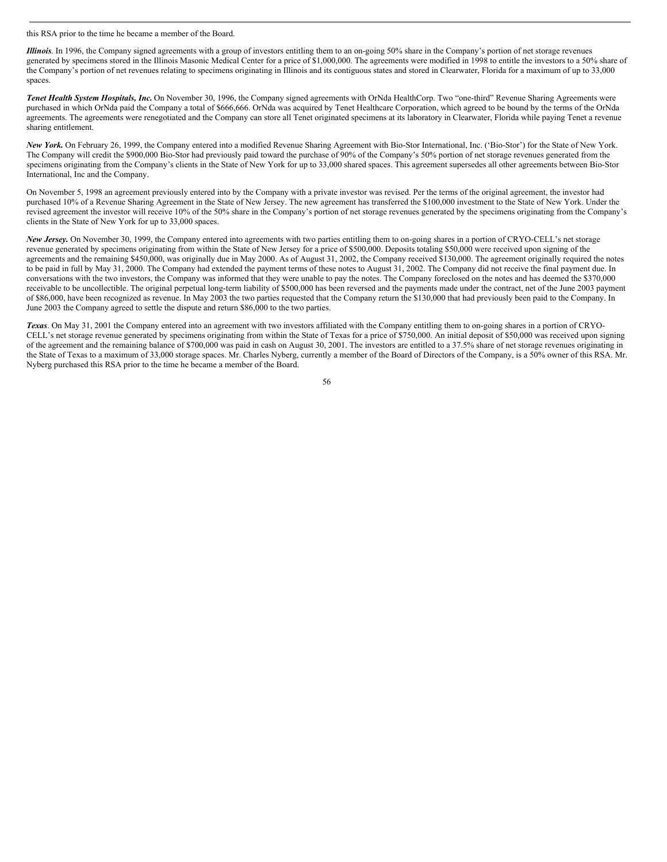#### this RSA prior to the time he became a member of the Board.

*Illinois*. In 1996, the Company signed agreements with a group of investors entitling them to an on-going 50% share in the Company's portion of net storage revenues generated by specimens stored in the Illinois Masonic Medical Center for a price of \$1,000,000. The agreements were modified in 1998 to entitle the investors to a 50% share of the Company's portion of net revenues relating to specimens originating in Illinois and its contiguous states and stored in Clearwater, Florida for a maximum of up to 33,000 spaces.

*Tenet Health System Hospitals, Inc.* On November 30, 1996, the Company signed agreements with OrNda HealthCorp. Two "one-third" Revenue Sharing Agreements were purchased in which OrNda paid the Company a total of \$666,666. OrNda was acquired by Tenet Healthcare Corporation, which agreed to be bound by the terms of the OrNda agreements. The agreements were renegotiated and the Company can store all Tenet originated specimens at its laboratory in Clearwater, Florida while paying Tenet a revenue sharing entitlement.

*New York.* On February 26, 1999, the Company entered into a modified Revenue Sharing Agreement with Bio-Stor International, Inc. ('Bio-Stor') for the State of New York. The Company will credit the \$900,000 Bio-Stor had previously paid toward the purchase of 90% of the Company's 50% portion of net storage revenues generated from the specimens originating from the Company's clients in the State of New York for up to 33,000 shared spaces. This agreement supersedes all other agreements between Bio-Stor International, Inc and the Company.

On November 5, 1998 an agreement previously entered into by the Company with a private investor was revised. Per the terms of the original agreement, the investor had purchased 10% of a Revenue Sharing Agreement in the State of New Jersey. The new agreement has transferred the \$100,000 investment to the State of New York. Under the revised agreement the investor will receive 10% of the 50% share in the Company's portion of net storage revenues generated by the specimens originating from the Company's clients in the State of New York for up to 33,000 spaces.

*New Jersey.* On November 30, 1999, the Company entered into agreements with two parties entitling them to on-going shares in a portion of CRYO-CELL's net storage revenue generated by specimens originating from within the State of New Jersey for a price of \$500,000. Deposits totaling \$50,000 were received upon signing of the agreements and the remaining \$450,000, was originally due in May 2000. As of August 31, 2002, the Company received \$130,000. The agreement originally required the notes to be paid in full by May 31, 2000. The Company had extended the payment terms of these notes to August 31, 2002. The Company did not receive the final payment due. In conversations with the two investors, the Company was informed that they were unable to pay the notes. The Company foreclosed on the notes and has deemed the \$370,000 receivable to be uncollectible. The original perpetual long-term liability of \$500,000 has been reversed and the payments made under the contract, net of the June 2003 payment of \$86,000, have been recognized as revenue. In May 2003 the two parties requested that the Company return the \$130,000 that had previously been paid to the Company. In June 2003 the Company agreed to settle the dispute and return \$86,000 to the two parties.

*Texas*. On May 31, 2001 the Company entered into an agreement with two investors affiliated with the Company entitling them to on-going shares in a portion of CRYO-CELL's net storage revenue generated by specimens originating from within the State of Texas for a price of \$750,000. An initial deposit of \$50,000 was received upon signing of the agreement and the remaining balance of \$700,000 was paid in cash on August 30, 2001. The investors are entitled to a 37.5% share of net storage revenues originating in the State of Texas to a maximum of 33,000 storage spaces. Mr. Charles Nyberg, currently a member of the Board of Directors of the Company, is a 50% owner of this RSA. Mr. Nyberg purchased this RSA prior to the time he became a member of the Board.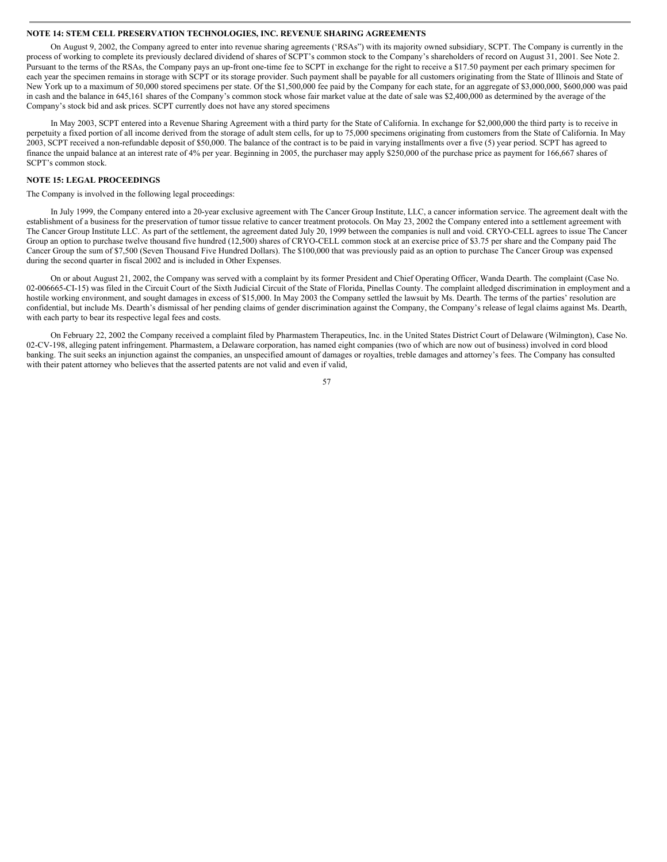# **NOTE 14: STEM CELL PRESERVATION TECHNOLOGIES, INC. REVENUE SHARING AGREEMENTS**

On August 9, 2002, the Company agreed to enter into revenue sharing agreements ('RSAs") with its majority owned subsidiary, SCPT. The Company is currently in the process of working to complete its previously declared dividend of shares of SCPT's common stock to the Company's shareholders of record on August 31, 2001. See Note 2. Pursuant to the terms of the RSAs, the Company pays an up-front one-time fee to SCPT in exchange for the right to receive a \$17.50 payment per each primary specimen for each year the specimen remains in storage with SCPT or its storage provider. Such payment shall be payable for all customers originating from the State of Illinois and State of New York up to a maximum of 50,000 stored specimens per state. Of the \$1,500,000 fee paid by the Company for each state, for an aggregate of \$3,000,000, \$600,000 was paid in cash and the balance in 645,161 shares of the Company's common stock whose fair market value at the date of sale was \$2,400,000 as determined by the average of the Company's stock bid and ask prices. SCPT currently does not have any stored specimens

In May 2003, SCPT entered into a Revenue Sharing Agreement with a third party for the State of California. In exchange for \$2,000,000 the third party is to receive in perpetuity a fixed portion of all income derived from the storage of adult stem cells, for up to 75,000 specimens originating from customers from the State of California. In May 2003, SCPT received a non-refundable deposit of \$50,000. The balance of the contract is to be paid in varying installments over a five (5) year period. SCPT has agreed to finance the unpaid balance at an interest rate of 4% per year. Beginning in 2005, the purchaser may apply \$250,000 of the purchase price as payment for 166,667 shares of SCPT's common stock.

# **NOTE 15: LEGAL PROCEEDINGS**

#### The Company is involved in the following legal proceedings:

In July 1999, the Company entered into a 20-year exclusive agreement with The Cancer Group Institute, LLC, a cancer information service. The agreement dealt with the establishment of a business for the preservation of tumor tissue relative to cancer treatment protocols. On May 23, 2002 the Company entered into a settlement agreement with The Cancer Group Institute LLC. As part of the settlement, the agreement dated July 20, 1999 between the companies is null and void. CRYO-CELL agrees to issue The Cancer Group an option to purchase twelve thousand five hundred (12,500) shares of CRYO-CELL common stock at an exercise price of \$3.75 per share and the Company paid The Cancer Group the sum of \$7,500 (Seven Thousand Five Hundred Dollars). The \$100,000 that was previously paid as an option to purchase The Cancer Group was expensed during the second quarter in fiscal 2002 and is included in Other Expenses.

On or about August 21, 2002, the Company was served with a complaint by its former President and Chief Operating Officer, Wanda Dearth. The complaint (Case No. 02-006665-CI-15) was filed in the Circuit Court of the Sixth Judicial Circuit of the State of Florida, Pinellas County. The complaint alledged discrimination in employment and a hostile working environment, and sought damages in excess of \$15,000. In May 2003 the Company settled the lawsuit by Ms. Dearth. The terms of the parties' resolution are confidential, but include Ms. Dearth's dismissal of her pending claims of gender discrimination against the Company, the Company's release of legal claims against Ms. Dearth, with each party to bear its respective legal fees and costs.

On February 22, 2002 the Company received a complaint filed by Pharmastem Therapeutics, Inc. in the United States District Court of Delaware (Wilmington), Case No. 02-CV-198, alleging patent infringement. Pharmastem, a Delaware corporation, has named eight companies (two of which are now out of business) involved in cord blood banking. The suit seeks an injunction against the companies, an unspecified amount of damages or royalties, treble damages and attorney's fees. The Company has consulted with their patent attorney who believes that the asserted patents are not valid and even if valid,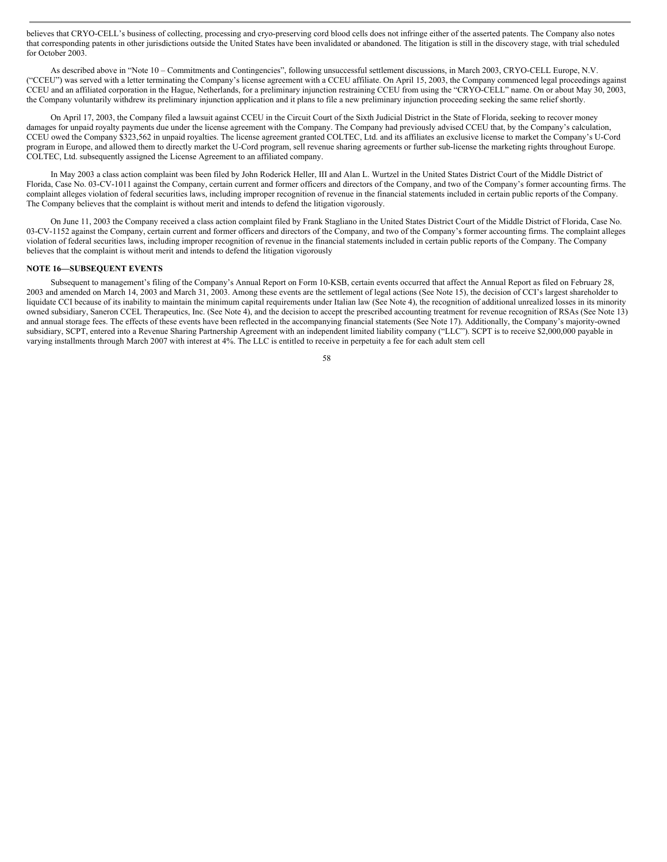believes that CRYO-CELL's business of collecting, processing and cryo-preserving cord blood cells does not infringe either of the asserted patents. The Company also notes that corresponding patents in other jurisdictions outside the United States have been invalidated or abandoned. The litigation is still in the discovery stage, with trial scheduled for October 2003.

As described above in "Note 10 – Commitments and Contingencies", following unsuccessful settlement discussions, in March 2003, CRYO-CELL Europe, N.V. ("CCEU") was served with a letter terminating the Company's license agreement with a CCEU affiliate. On April 15, 2003, the Company commenced legal proceedings against CCEU and an affiliated corporation in the Hague, Netherlands, for a preliminary injunction restraining CCEU from using the "CRYO-CELL" name. On or about May 30, 2003, the Company voluntarily withdrew its preliminary injunction application and it plans to file a new preliminary injunction proceeding seeking the same relief shortly.

On April 17, 2003, the Company filed a lawsuit against CCEU in the Circuit Court of the Sixth Judicial District in the State of Florida, seeking to recover money damages for unpaid royalty payments due under the license agreement with the Company. The Company had previously advised CCEU that, by the Company's calculation, CCEU owed the Company \$323,562 in unpaid royalties. The license agreement granted COLTEC, Ltd. and its affiliates an exclusive license to market the Company's U-Cord program in Europe, and allowed them to directly market the U-Cord program, sell revenue sharing agreements or further sub-license the marketing rights throughout Europe. COLTEC, Ltd. subsequently assigned the License Agreement to an affiliated company.

In May 2003 a class action complaint was been filed by John Roderick Heller, III and Alan L. Wurtzel in the United States District Court of the Middle District of Florida, Case No. 03-CV-1011 against the Company, certain current and former officers and directors of the Company, and two of the Company's former accounting firms. The complaint alleges violation of federal securities laws, including improper recognition of revenue in the financial statements included in certain public reports of the Company. The Company believes that the complaint is without merit and intends to defend the litigation vigorously.

On June 11, 2003 the Company received a class action complaint filed by Frank Stagliano in the United States District Court of the Middle District of Florida, Case No. 03-CV-1152 against the Company, certain current and former officers and directors of the Company, and two of the Company's former accounting firms. The complaint alleges violation of federal securities laws, including improper recognition of revenue in the financial statements included in certain public reports of the Company. The Company believes that the complaint is without merit and intends to defend the litigation vigorously

# **NOTE 16—SUBSEQUENT EVENTS**

Subsequent to management's filing of the Company's Annual Report on Form 10-KSB, certain events occurred that affect the Annual Report as filed on February 28, 2003 and amended on March 14, 2003 and March 31, 2003. Among these events are the settlement of legal actions (See Note 15), the decision of CCI's largest shareholder to liquidate CCI because of its inability to maintain the minimum capital requirements under Italian law (See Note 4), the recognition of additional unrealized losses in its minority owned subsidiary, Saneron CCEL Therapeutics, Inc. (See Note 4), and the decision to accept the prescribed accounting treatment for revenue recognition of RSAs (See Note 13) and annual storage fees. The effects of these events have been reflected in the accompanying financial statements (See Note 17). Additionally, the Company's majority-owned subsidiary, SCPT, entered into a Revenue Sharing Partnership Agreement with an independent limited liability company ("LLC"). SCPT is to receive \$2,000,000 payable in varying installments through March 2007 with interest at 4%. The LLC is entitled to receive in perpetuity a fee for each adult stem cell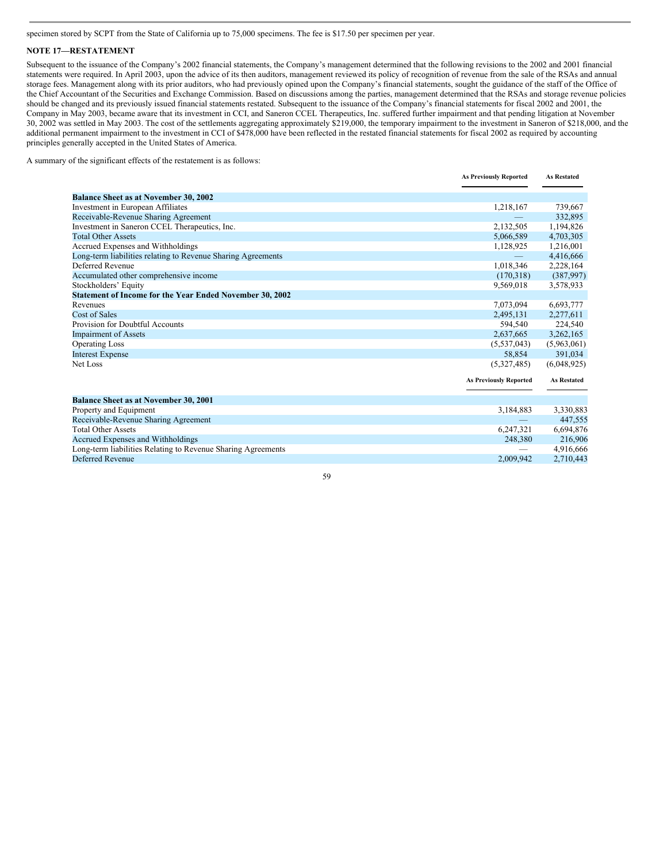specimen stored by SCPT from the State of California up to 75,000 specimens. The fee is \$17.50 per specimen per year.

#### **NOTE 17—RESTATEMENT**

Subsequent to the issuance of the Company's 2002 financial statements, the Company's management determined that the following revisions to the 2002 and 2001 financial statements were required. In April 2003, upon the advice of its then auditors, management reviewed its policy of recognition of revenue from the sale of the RSAs and annual storage fees. Management along with its prior auditors, who had previously opined upon the Company's financial statements, sought the guidance of the staff of the Office of the Chief Accountant of the Securities and Exchange Commission. Based on discussions among the parties, management determined that the RSAs and storage revenue policies should be changed and its previously issued financial statements restated. Subsequent to the issuance of the Company's financial statements for fiscal 2002 and 2001, the Company in May 2003, became aware that its investment in CCI, and Saneron CCEL Therapeutics, Inc. suffered further impairment and that pending litigation at November 30, 2002 was settled in May 2003. The cost of the settlements aggregating approximately \$219,000, the temporary impairment to the investment in Saneron of \$218,000, and the additional permanent impairment to the investment in CCI of \$478,000 have been reflected in the restated financial statements for fiscal 2002 as required by accounting principles generally accepted in the United States of America.

A summary of the significant effects of the restatement is as follows:

|                                                              | <b>As Previously Reported</b> | <b>As Restated</b> |
|--------------------------------------------------------------|-------------------------------|--------------------|
|                                                              |                               |                    |
| <b>Balance Sheet as at November 30, 2002</b>                 |                               |                    |
| Investment in European Affiliates                            | 1,218,167                     | 739,667            |
| Receivable-Revenue Sharing Agreement                         |                               | 332,895            |
| Investment in Saneron CCEL Therapeutics, Inc.                | 2,132,505                     | 1,194,826          |
| <b>Total Other Assets</b>                                    | 5,066,589                     | 4,703,305          |
| Accrued Expenses and Withholdings                            | 1,128,925                     | 1,216,001          |
| Long-term liabilities relating to Revenue Sharing Agreements |                               | 4,416,666          |
| Deferred Revenue                                             | 1,018,346                     | 2,228,164          |
| Accumulated other comprehensive income                       | (170,318)                     | (387,997)          |
| Stockholders' Equity                                         | 9,569,018                     | 3,578,933          |
| Statement of Income for the Year Ended November 30, 2002     |                               |                    |
| Revenues                                                     | 7,073,094                     | 6,693,777          |
| Cost of Sales                                                | 2,495,131                     | 2,277,611          |
| Provision for Doubtful Accounts                              | 594.540                       | 224,540            |
| <b>Impairment of Assets</b>                                  | 2,637,665                     | 3,262,165          |
| <b>Operating Loss</b>                                        | (5, 537, 043)                 | (5,963,061)        |
| <b>Interest Expense</b>                                      | 58,854                        | 391,034            |
| Net Loss                                                     | (5,327,485)                   | (6,048,925)        |
|                                                              | <b>As Previously Reported</b> | <b>As Restated</b> |
| Balance Sheet as at November 30, 2001                        |                               |                    |
| Property and Equipment                                       | 3,184,883                     | 3,330,883          |
| Receivable-Revenue Sharing Agreement                         |                               | 447,555            |
| <b>Total Other Assets</b>                                    | 6,247,321                     | 6,694,876          |
| Accrued Expenses and Withholdings                            | 248,380                       | 216,906            |
| Long-term liabilities Relating to Revenue Sharing Agreements |                               | 4,916,666          |
| Deferred Revenue                                             | 2.009.942                     | 2,710,443          |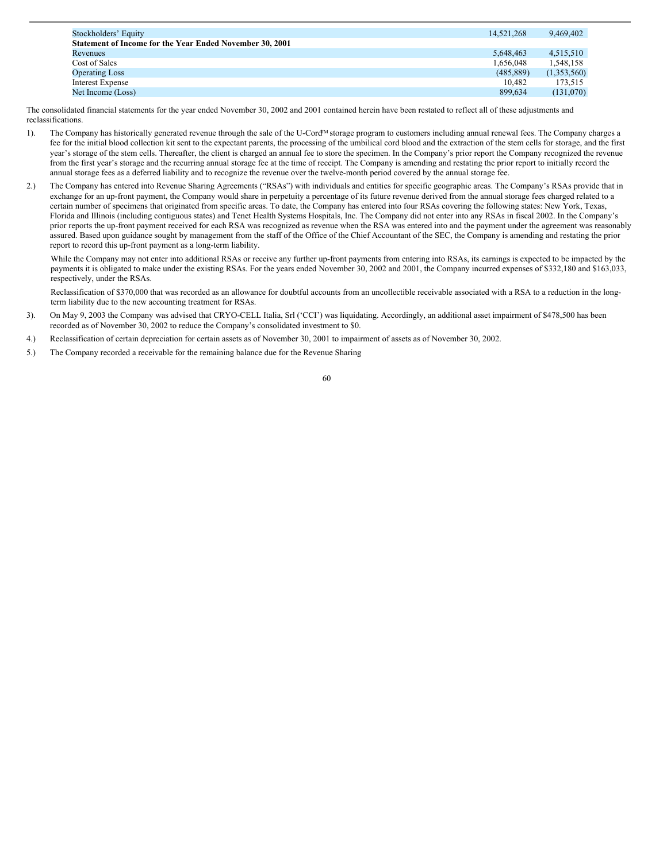| Stockholders' Equity                                     | 14.521.268 | 9.469.402   |
|----------------------------------------------------------|------------|-------------|
| Statement of Income for the Year Ended November 30, 2001 |            |             |
| Revenues                                                 | 5,648,463  | 4,515,510   |
| Cost of Sales                                            | 1,656,048  | 1,548,158   |
| <b>Operating Loss</b>                                    | (485, 889) | (1,353,560) |
| Interest Expense                                         | 10.482     | 173.515     |
| Net Income (Loss)                                        | 899.634    | (131,070)   |

The consolidated financial statements for the year ended November 30, 2002 and 2001 contained herein have been restated to reflect all of these adjustments and reclassifications.

- 1). The Company has historically generated revenue through the sale of the U-Cord<sup>M</sup> storage program to customers including annual renewal fees. The Company charges a fee for the initial blood collection kit sent to the expectant parents, the processing of the umbilical cord blood and the extraction of the stem cells for storage, and the first year's storage of the stem cells. Thereafter, the client is charged an annual fee to store the specimen. In the Company's prior report the Company recognized the revenue from the first year's storage and the recurring annual storage fee at the time of receipt. The Company is amending and restating the prior report to initially record the annual storage fees as a deferred liability and to recognize the revenue over the twelve-month period covered by the annual storage fee.
- 2.) The Company has entered into Revenue Sharing Agreements ("RSAs") with individuals and entities for specific geographic areas. The Company's RSAs provide that in exchange for an up-front payment, the Company would share in perpetuity a percentage of its future revenue derived from the annual storage fees charged related to a certain number of specimens that originated from specific areas. To date, the Company has entered into four RSAs covering the following states: New York, Texas, Florida and Illinois (including contiguous states) and Tenet Health Systems Hospitals, Inc. The Company did not enter into any RSAs in fiscal 2002. In the Company's prior reports the up-front payment received for each RSA was recognized as revenue when the RSA was entered into and the payment under the agreement was reasonably assured. Based upon guidance sought by management from the staff of the Office of the Chief Accountant of the SEC, the Company is amending and restating the prior report to record this up-front payment as a long-term liability.

While the Company may not enter into additional RSAs or receive any further up-front payments from entering into RSAs, its earnings is expected to be impacted by the payments it is obligated to make under the existing RSAs. For the years ended November 30, 2002 and 2001, the Company incurred expenses of \$332,180 and \$163,033, respectively, under the RSAs.

Reclassification of \$370,000 that was recorded as an allowance for doubtful accounts from an uncollectible receivable associated with a RSA to a reduction in the longterm liability due to the new accounting treatment for RSAs.

- 3). On May 9, 2003 the Company was advised that CRYO-CELL Italia, Srl ('CCI') was liquidating. Accordingly, an additional asset impairment of \$478,500 has been recorded as of November 30, 2002 to reduce the Company's consolidated investment to \$0.
- 4.) Reclassification of certain depreciation for certain assets as of November 30, 2001 to impairment of assets as of November 30, 2002.
- 5.) The Company recorded a receivable for the remaining balance due for the Revenue Sharing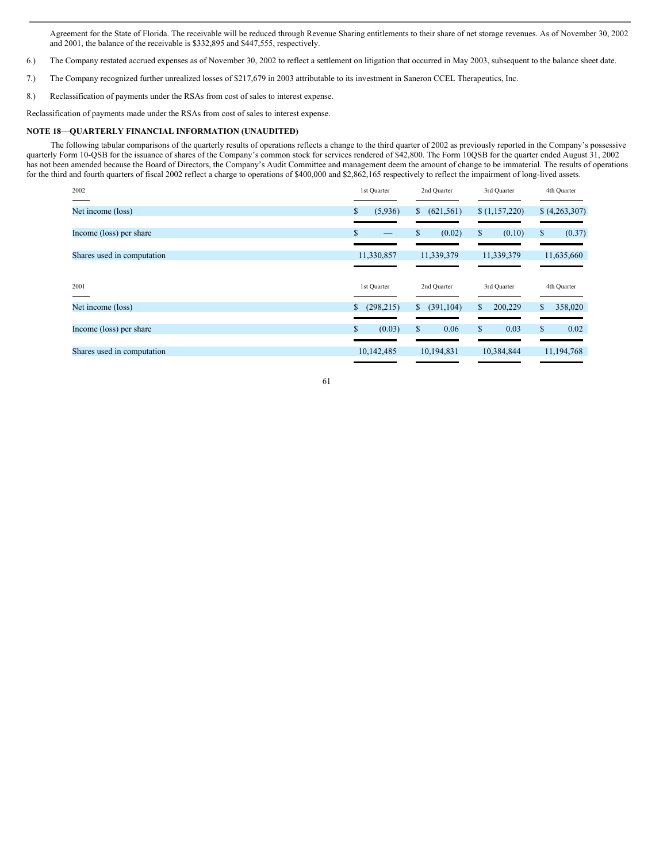Agreement for the State of Florida. The receivable will be reduced through Revenue Sharing entitlements to their share of net storage revenues. As of November 30, 2002 and 2001, the balance of the receivable is \$332,895 and \$447,555, respectively.

- 6.) The Company restated accrued expenses as of November 30, 2002 to reflect a settlement on litigation that occurred in May 2003, subsequent to the balance sheet date.
- 7.) The Company recognized further unrealized losses of \$217,679 in 2003 attributable to its investment in Saneron CCEL Therapeutics, Inc.
- 8.) Reclassification of payments under the RSAs from cost of sales to interest expense.

Reclassification of payments made under the RSAs from cost of sales to interest expense.

## **NOTE 18—QUARTERLY FINANCIAL INFORMATION (UNAUDITED)**

The following tabular comparisons of the quarterly results of operations reflects a change to the third quarter of 2002 as previously reported in the Company's possessive quarterly Form 10-QSB for the issuance of shares of the Company's common stock for services rendered of \$42,800. The Form 10QSB for the quarter ended August 31, 2002 has not been amended because the Board of Directors, the Company's Audit Committee and management deem the amount of change to be immaterial. The results of operations for the third and fourth quarters of fiscal 2002 reflect a charge to operations of \$400,000 and \$2,862,165 respectively to reflect the impairment of long-lived assets.

| 2002                       | 1st Quarter      | 2nd Quarter      | 3rd Quarter   | 4th Quarter   |
|----------------------------|------------------|------------------|---------------|---------------|
| Net income (loss)          | (5,936)          | (621, 561)<br>\$ | (1,157,220)   | (4,263,307)   |
| Income (loss) per share    | $\mathbb{S}$     | \$<br>(0.02)     | (0.10)<br>\$  | (0.37)<br>\$  |
| Shares used in computation | 11,330,857       | 11,339,379       | 11,339,379    | 11,635,660    |
| 2001                       | 1st Quarter      | 2nd Quarter      | 3rd Quarter   | 4th Quarter   |
| Net income (loss)          | (298, 215)<br>S. | (391, 104)<br>S. | 200,229<br>S. | 358,020<br>\$ |
| Income (loss) per share    | (0.03)<br>\$     | \$<br>0.06       | 0.03<br>\$    | \$<br>0.02    |
|                            |                  |                  |               |               |

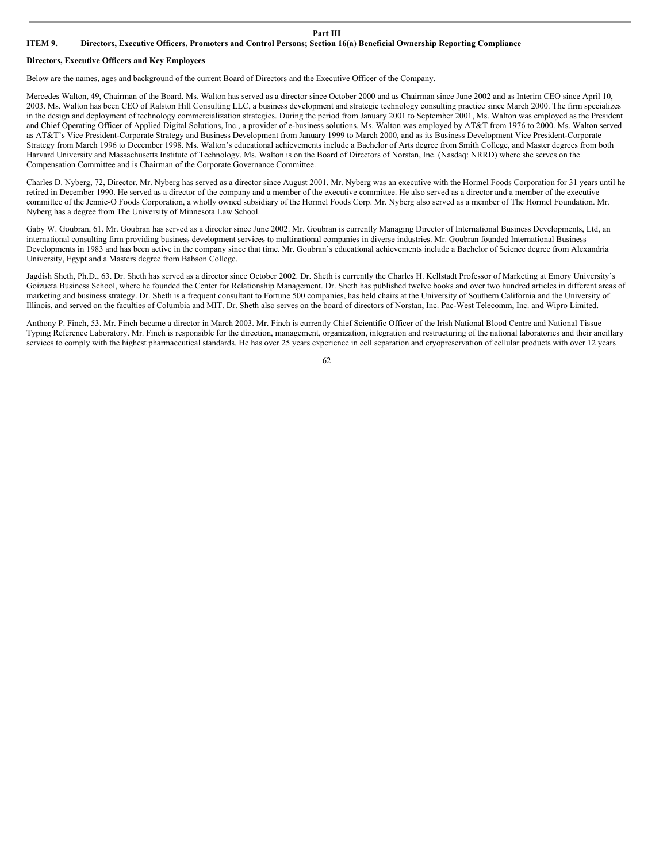#### **Part III**

# ITEM 9. Directors, Executive Officers, Promoters and Control Persons; Section 16(a) Beneficial Ownership Reporting Compliance

## **Directors, Executive Officers and Key Employees**

Below are the names, ages and background of the current Board of Directors and the Executive Officer of the Company.

Mercedes Walton, 49, Chairman of the Board. Ms. Walton has served as a director since October 2000 and as Chairman since June 2002 and as Interim CEO since April 10, 2003. Ms. Walton has been CEO of Ralston Hill Consulting LLC, a business development and strategic technology consulting practice since March 2000. The firm specializes in the design and deployment of technology commercialization strategies. During the period from January 2001 to September 2001, Ms. Walton was employed as the President and Chief Operating Officer of Applied Digital Solutions, Inc., a provider of e-business solutions. Ms. Walton was employed by AT&T from 1976 to 2000. Ms. Walton served as AT&T's Vice President-Corporate Strategy and Business Development from January 1999 to March 2000, and as its Business Development Vice President-Corporate Strategy from March 1996 to December 1998. Ms. Walton's educational achievements include a Bachelor of Arts degree from Smith College, and Master degrees from both Harvard University and Massachusetts Institute of Technology. Ms. Walton is on the Board of Directors of Norstan, Inc. (Nasdaq: NRRD) where she serves on the Compensation Committee and is Chairman of the Corporate Governance Committee.

Charles D. Nyberg, 72, Director. Mr. Nyberg has served as a director since August 2001. Mr. Nyberg was an executive with the Hormel Foods Corporation for 31 years until he retired in December 1990. He served as a director of the company and a member of the executive committee. He also served as a director and a member of the executive committee of the Jennie-O Foods Corporation, a wholly owned subsidiary of the Hormel Foods Corp. Mr. Nyberg also served as a member of The Hormel Foundation. Mr. Nyberg has a degree from The University of Minnesota Law School.

Gaby W. Goubran, 61. Mr. Goubran has served as a director since June 2002. Mr. Goubran is currently Managing Director of International Business Developments, Ltd, an international consulting firm providing business development services to multinational companies in diverse industries. Mr. Goubran founded International Business Developments in 1983 and has been active in the company since that time. Mr. Goubran's educational achievements include a Bachelor of Science degree from Alexandria University, Egypt and a Masters degree from Babson College.

Jagdish Sheth, Ph.D., 63. Dr. Sheth has served as a director since October 2002. Dr. Sheth is currently the Charles H. Kellstadt Professor of Marketing at Emory University's Goizueta Business School, where he founded the Center for Relationship Management. Dr. Sheth has published twelve books and over two hundred articles in different areas of marketing and business strategy. Dr. Sheth is a frequent consultant to Fortune 500 companies, has held chairs at the University of Southern California and the University of Illinois, and served on the faculties of Columbia and MIT. Dr. Sheth also serves on the board of directors of Norstan, Inc. Pac-West Telecomm, Inc. and Wipro Limited.

Anthony P. Finch, 53. Mr. Finch became a director in March 2003. Mr. Finch is currently Chief Scientific Officer of the Irish National Blood Centre and National Tissue Typing Reference Laboratory. Mr. Finch is responsible for the direction, management, organization, integration and restructuring of the national laboratories and their ancillary services to comply with the highest pharmaceutical standards. He has over 25 years experience in cell separation and cryopreservation of cellular products with over 12 years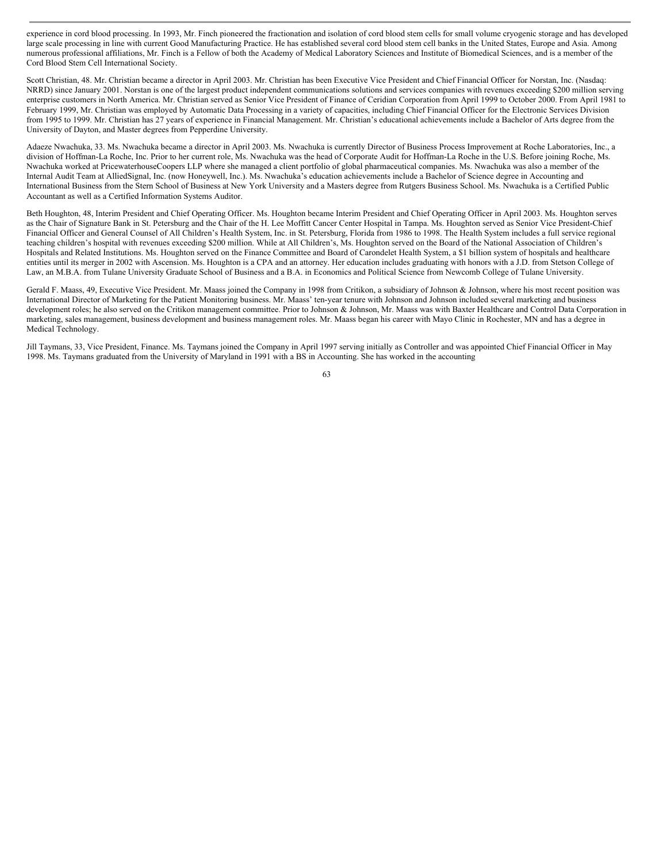experience in cord blood processing. In 1993, Mr. Finch pioneered the fractionation and isolation of cord blood stem cells for small volume cryogenic storage and has developed large scale processing in line with current Good Manufacturing Practice. He has established several cord blood stem cell banks in the United States, Europe and Asia. Among numerous professional affiliations, Mr. Finch is a Fellow of both the Academy of Medical Laboratory Sciences and Institute of Biomedical Sciences, and is a member of the Cord Blood Stem Cell International Society.

Scott Christian, 48. Mr. Christian became a director in April 2003. Mr. Christian has been Executive Vice President and Chief Financial Officer for Norstan, Inc. (Nasdaq: NRRD) since January 2001. Norstan is one of the largest product independent communications solutions and services companies with revenues exceeding \$200 million serving enterprise customers in North America. Mr. Christian served as Senior Vice President of Finance of Ceridian Corporation from April 1999 to October 2000. From April 1981 to February 1999, Mr. Christian was employed by Automatic Data Processing in a variety of capacities, including Chief Financial Officer for the Electronic Services Division from 1995 to 1999. Mr. Christian has 27 years of experience in Financial Management. Mr. Christian's educational achievements include a Bachelor of Arts degree from the University of Dayton, and Master degrees from Pepperdine University.

Adaeze Nwachuka, 33. Ms. Nwachuka became a director in April 2003. Ms. Nwachuka is currently Director of Business Process Improvement at Roche Laboratories, Inc., a division of Hoffman-La Roche, Inc. Prior to her current role, Ms. Nwachuka was the head of Corporate Audit for Hoffman-La Roche in the U.S. Before joining Roche, Ms. Nwachuka worked at PricewaterhouseCoopers LLP where she managed a client portfolio of global pharmaceutical companies. Ms. Nwachuka was also a member of the Internal Audit Team at AlliedSignal, Inc. (now Honeywell, Inc.). Ms. Nwachuka's education achievements include a Bachelor of Science degree in Accounting and International Business from the Stern School of Business at New York University and a Masters degree from Rutgers Business School. Ms. Nwachuka is a Certified Public Accountant as well as a Certified Information Systems Auditor.

Beth Houghton, 48, Interim President and Chief Operating Officer. Ms. Houghton became Interim President and Chief Operating Officer in April 2003. Ms. Houghton serves as the Chair of Signature Bank in St. Petersburg and the Chair of the H. Lee Moffitt Cancer Center Hospital in Tampa. Ms. Houghton served as Senior Vice President-Chief Financial Officer and General Counsel of All Children's Health System, Inc. in St. Petersburg, Florida from 1986 to 1998. The Health System includes a full service regional teaching children's hospital with revenues exceeding \$200 million. While at All Children's, Ms. Houghton served on the Board of the National Association of Children's Hospitals and Related Institutions. Ms. Houghton served on the Finance Committee and Board of Carondelet Health System, a \$1 billion system of hospitals and healthcare entities until its merger in 2002 with Ascension. Ms. Houghton is a CPA and an attorney. Her education includes graduating with honors with a J.D. from Stetson College of Law, an M.B.A. from Tulane University Graduate School of Business and a B.A. in Economics and Political Science from Newcomb College of Tulane University.

Gerald F. Maass, 49, Executive Vice President. Mr. Maass joined the Company in 1998 from Critikon, a subsidiary of Johnson & Johnson, where his most recent position was International Director of Marketing for the Patient Monitoring business. Mr. Maass' ten-year tenure with Johnson and Johnson included several marketing and business development roles; he also served on the Critikon management committee. Prior to Johnson & Johnson, Mr. Maass was with Baxter Healthcare and Control Data Corporation in marketing, sales management, business development and business management roles. Mr. Maass began his career with Mayo Clinic in Rochester, MN and has a degree in Medical Technology.

Jill Taymans, 33, Vice President, Finance. Ms. Taymans joined the Company in April 1997 serving initially as Controller and was appointed Chief Financial Officer in May 1998. Ms. Taymans graduated from the University of Maryland in 1991 with a BS in Accounting. She has worked in the accounting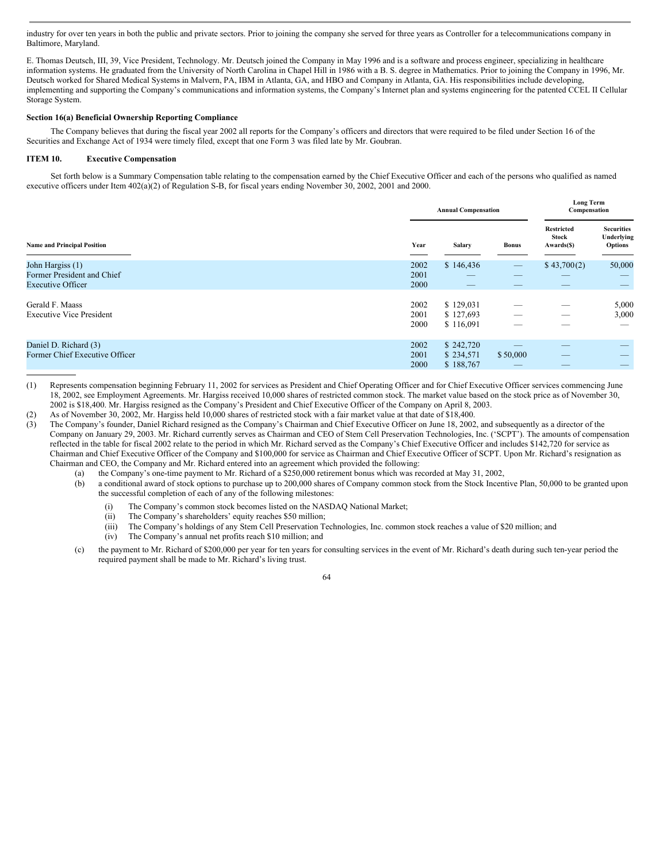industry for over ten years in both the public and private sectors. Prior to joining the company she served for three years as Controller for a telecommunications company in Baltimore, Maryland.

E. Thomas Deutsch, III, 39, Vice President, Technology. Mr. Deutsch joined the Company in May 1996 and is a software and process engineer, specializing in healthcare information systems. He graduated from the University of North Carolina in Chapel Hill in 1986 with a B. S. degree in Mathematics. Prior to joining the Company in 1996, Mr. Deutsch worked for Shared Medical Systems in Malvern, PA, IBM in Atlanta, GA, and HBO and Company in Atlanta, GA. His responsibilities include developing, implementing and supporting the Company's communications and information systems, the Company's Internet plan and systems engineering for the patented CCEL II Cellular Storage System.

# **Section 16(a) Beneficial Ownership Reporting Compliance**

The Company believes that during the fiscal year 2002 all reports for the Company's officers and directors that were required to be filed under Section 16 of the Securities and Exchange Act of 1934 were timely filed, except that one Form 3 was filed late by Mr. Goubran.

### **ITEM 10. Executive Compensation**

Set forth below is a Summary Compensation table relating to the compensation earned by the Chief Executive Officer and each of the persons who qualified as named executive officers under Item 402(a)(2) of Regulation S-B, for fiscal years ending November 30, 2002, 2001 and 2000.

|                                                                            |                      | <b>Annual Compensation</b>                 |                                                      |                                                 | <b>Long Term</b><br>Compensation                  |  |
|----------------------------------------------------------------------------|----------------------|--------------------------------------------|------------------------------------------------------|-------------------------------------------------|---------------------------------------------------|--|
| <b>Name and Principal Position</b>                                         | Year                 | <b>Salary</b>                              | <b>Bonus</b>                                         | <b>Restricted</b><br><b>Stock</b><br>Awards(\$) | <b>Securities</b><br>Underlying<br><b>Options</b> |  |
| John Hargiss (1)<br>Former President and Chief<br><b>Executive Officer</b> | 2002<br>2001<br>2000 | \$146,436<br>_<br>$\qquad \qquad - \qquad$ | $\overline{\phantom{m}}$<br>$\overline{\phantom{a}}$ | \$43,700(2)<br>_<br>$\qquad \qquad - \qquad$    | 50,000<br>$\hspace{0.1mm}-\hspace{0.1mm}$         |  |
| Gerald F. Maass<br><b>Executive Vice President</b>                         | 2002<br>2001<br>2000 | \$129,031<br>\$127,693<br>\$116,091        | -<br>_                                               | _<br>_                                          | 5,000<br>3,000<br>_                               |  |
| Daniel D. Richard (3)<br>Former Chief Executive Officer                    | 2002<br>2001<br>2000 | \$242,720<br>\$234,571<br>\$188,767        | \$50,000                                             | _                                               | --<br>$-$                                         |  |

(1) Represents compensation beginning February 11, 2002 for services as President and Chief Operating Officer and for Chief Executive Officer services commencing June 18, 2002, see Employment Agreements. Mr. Hargiss received 10,000 shares of restricted common stock. The market value based on the stock price as of November 30, 2002 is \$18,400. Mr. Hargiss resigned as the Company's President and Chief Executive Officer of the Company on April 8, 2003.

(2) As of November 30, 2002, Mr. Hargiss held 10,000 shares of restricted stock with a fair market value at that date of \$18,400.

(3) The Company's founder, Daniel Richard resigned as the Company's Chairman and Chief Executive Officer on June 18, 2002, and subsequently as a director of the Company on January 29, 2003. Mr. Richard currently serves as Chairman and CEO of Stem Cell Preservation Technologies, Inc. ('SCPT'). The amounts of compensation reflected in the table for fiscal 2002 relate to the period in which Mr. Richard served as the Company's Chief Executive Officer and includes \$142,720 for service as Chairman and Chief Executive Officer of the Company and \$100,000 for service as Chairman and Chief Executive Officer of SCPT. Upon Mr. Richard's resignation as Chairman and CEO, the Company and Mr. Richard entered into an agreement which provided the following:

(a) the Company's one-time payment to Mr. Richard of a \$250,000 retirement bonus which was recorded at May 31, 2002,

- (b) a conditional award of stock options to purchase up to 200,000 shares of Company common stock from the Stock Incentive Plan, 50,000 to be granted upon the successful completion of each of any of the following milestones:
	- (i) The Company's common stock becomes listed on the NASDAQ National Market;
	- (ii) The Company's shareholders' equity reaches \$50 million;
	- (iii) The Company's holdings of any Stem Cell Preservation Technologies, Inc. common stock reaches a value of \$20 million; and
	- (iv) The Company's annual net profits reach \$10 million; and
- (c) the payment to Mr. Richard of \$200,000 per year for ten years for consulting services in the event of Mr. Richard's death during such ten-year period the required payment shall be made to Mr. Richard's living trust.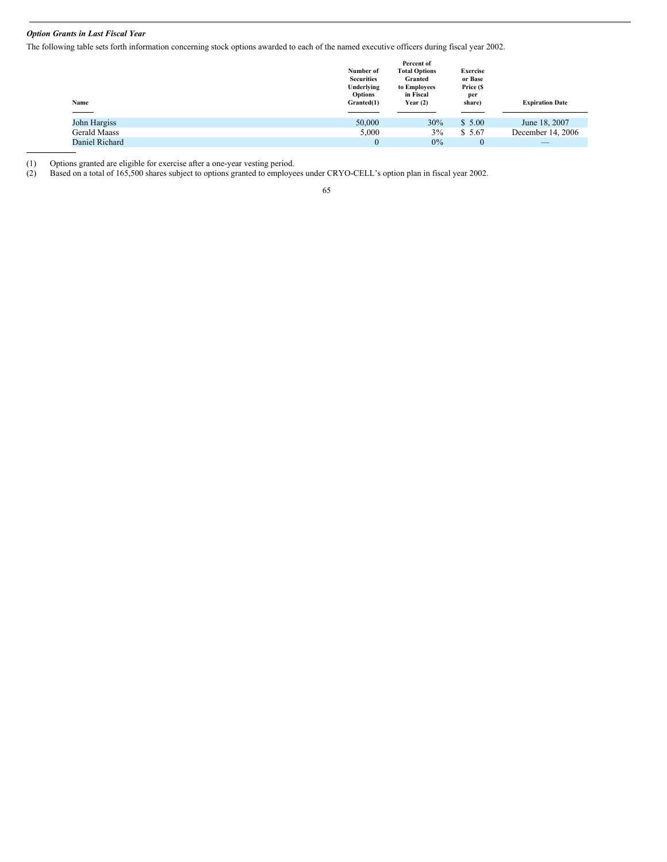# *Option Grants in Last Fiscal Year*

The following table sets forth information concerning stock options awarded to each of the named executive officers during fiscal year 2002.

| Name<br>____        | Number of<br><b>Securities</b><br>Underlying<br><b>Options</b><br>Granted(1) | Percent of<br><b>Total Options</b><br>Granted<br>to Employees<br>in Fiscal<br>Year $(2)$ | <b>Exercise</b><br>or Base<br>Price (\$<br>per<br>share) | <b>Expiration Date</b> |
|---------------------|------------------------------------------------------------------------------|------------------------------------------------------------------------------------------|----------------------------------------------------------|------------------------|
| John Hargiss        | 50,000                                                                       | 30%                                                                                      | \$5.00                                                   | June 18, 2007          |
|                     |                                                                              |                                                                                          |                                                          |                        |
| <b>Gerald Maass</b> | 5,000                                                                        | $3\%$                                                                                    | \$ 5.67                                                  | December 14, 2006      |
| Daniel Richard      | $\mathbf{0}$                                                                 | $0\%$                                                                                    | $\mathbf{0}$                                             | _                      |

(1) Options granted are eligible for exercise after a one-year vesting period.

(2) Based on a total of 165,500 shares subject to options granted to employees under CRYO-CELL's option plan in fiscal year 2002.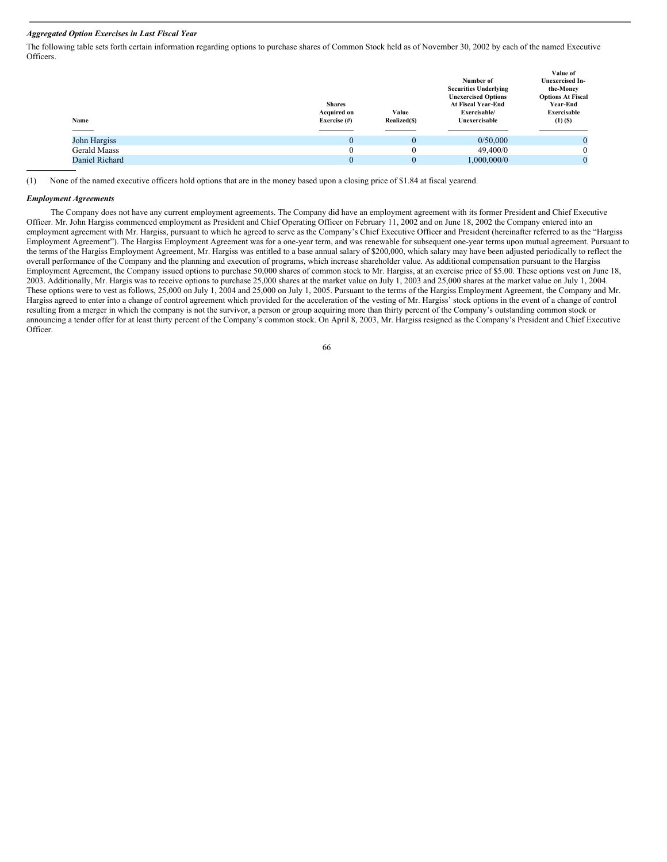## *Aggregated Option Exercises in Last Fiscal Year*

The following table sets forth certain information regarding options to purchase shares of Common Stock held as of November 30, 2002 by each of the named Executive Officers.

| Name                | <b>Shares</b><br><b>Acquired on</b><br>Exercise $(\#)$ | Value<br>Realized(\$) | Number of<br><b>Securities Underlying</b><br><b>Unexercised Options</b><br><b>At Fiscal Year-End</b><br>Exercisable/<br>Unexercisable | Value of<br><b>Unexercised In-</b><br>the-Money<br><b>Options At Fiscal</b><br>Year-End<br>Exercisable<br>$(1)$ $(S)$ |
|---------------------|--------------------------------------------------------|-----------------------|---------------------------------------------------------------------------------------------------------------------------------------|-----------------------------------------------------------------------------------------------------------------------|
| John Hargiss        | $\Omega$                                               | $\mathbf{0}$          | 0/50,000                                                                                                                              | $\mathbf{0}$                                                                                                          |
| <b>Gerald Maass</b> | $\theta$                                               | 0                     | 49,400/0                                                                                                                              | 0                                                                                                                     |
| Daniel Richard      | $\Omega$                                               | 0                     | 1,000,000/0                                                                                                                           | $\theta$                                                                                                              |

(1) None of the named executive officers hold options that are in the money based upon a closing price of \$1.84 at fiscal yearend.

#### *Employment Agreements*

The Company does not have any current employment agreements. The Company did have an employment agreement with its former President and Chief Executive Officer. Mr. John Hargiss commenced employment as President and Chief Operating Officer on February 11, 2002 and on June 18, 2002 the Company entered into an employment agreement with Mr. Hargiss, pursuant to which he agreed to serve as the Company's Chief Executive Officer and President (hereinafter referred to as the "Hargiss Employment Agreement"). The Hargiss Employment Agreement was for a one-year term, and was renewable for subsequent one-year terms upon mutual agreement. Pursuant to the terms of the Hargiss Employment Agreement, Mr. Hargiss was entitled to a base annual salary of \$200,000, which salary may have been adjusted periodically to reflect the overall performance of the Company and the planning and execution of programs, which increase shareholder value. As additional compensation pursuant to the Hargiss Employment Agreement, the Company issued options to purchase 50,000 shares of common stock to Mr. Hargiss, at an exercise price of \$5.00. These options vest on June 18, 2003. Additionally, Mr. Hargis was to receive options to purchase 25,000 shares at the market value on July 1, 2003 and 25,000 shares at the market value on July 1, 2004. These options were to vest as follows, 25,000 on July 1, 2004 and 25,000 on July 1, 2005. Pursuant to the terms of the Hargiss Employment Agreement, the Company and Mr. Hargiss agreed to enter into a change of control agreement which provided for the acceleration of the vesting of Mr. Hargiss' stock options in the event of a change of control resulting from a merger in which the company is not the survivor, a person or group acquiring more than thirty percent of the Company's outstanding common stock or announcing a tender offer for at least thirty percent of the Company's common stock. On April 8, 2003, Mr. Hargiss resigned as the Company's President and Chief Executive Officer.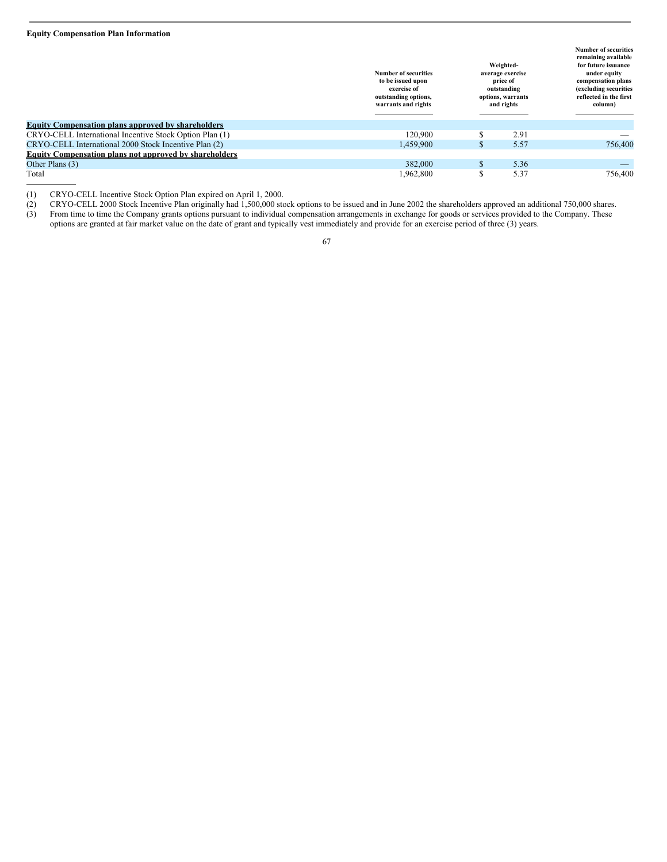# **Equity Compensation Plan Information**

|                                                               | <b>Number of securities</b><br>to be issued upon<br>exercise of<br>outstanding options,<br>warrants and rights |     | Weighted-<br>average exercise<br>price of<br>outstanding<br>options, warrants<br>and rights | <b>Number of securities</b><br>remaining available<br>for future issuance<br>under equity<br>compensation plans<br>(excluding securities<br>reflected in the first<br>column) |
|---------------------------------------------------------------|----------------------------------------------------------------------------------------------------------------|-----|---------------------------------------------------------------------------------------------|-------------------------------------------------------------------------------------------------------------------------------------------------------------------------------|
| <b>Equity Compensation plans approved by shareholders</b>     |                                                                                                                |     |                                                                                             |                                                                                                                                                                               |
| CRYO-CELL International Incentive Stock Option Plan (1)       | 120,900                                                                                                        |     | 2.91                                                                                        |                                                                                                                                                                               |
| CRYO-CELL International 2000 Stock Incentive Plan (2)         | 1,459,900                                                                                                      | Эħ. | 5.57                                                                                        | 756,400                                                                                                                                                                       |
| <b>Equity Compensation plans not approved by shareholders</b> |                                                                                                                |     |                                                                                             |                                                                                                                                                                               |
| Other Plans (3)                                               | 382,000                                                                                                        |     | 5.36                                                                                        |                                                                                                                                                                               |
| Total                                                         | 1,962,800                                                                                                      |     | 5.37                                                                                        | 756,400                                                                                                                                                                       |

(2) CRYO-CELL 2000 Stock Incentive Plan originally had 1,500,000 stock options to be issued and in June 2002 the shareholders approved an additional 750,000 shares.

(1) CRYO-CELL Incentive Stock Option Plan expired on April 1, 2000.<br>
(2) CRYO-CELL 2000 Stock Incentive Plan originally had 1,500,000 sto<br>
(3) From time to time the Company grants options pursuant to individual (3) From time to time the Company grants options pursuant to individual compensation arrangements in exchange for goods or services provided to the Company. These options are granted at fair market value on the date of grant and typically vest immediately and provide for an exercise period of three (3) years.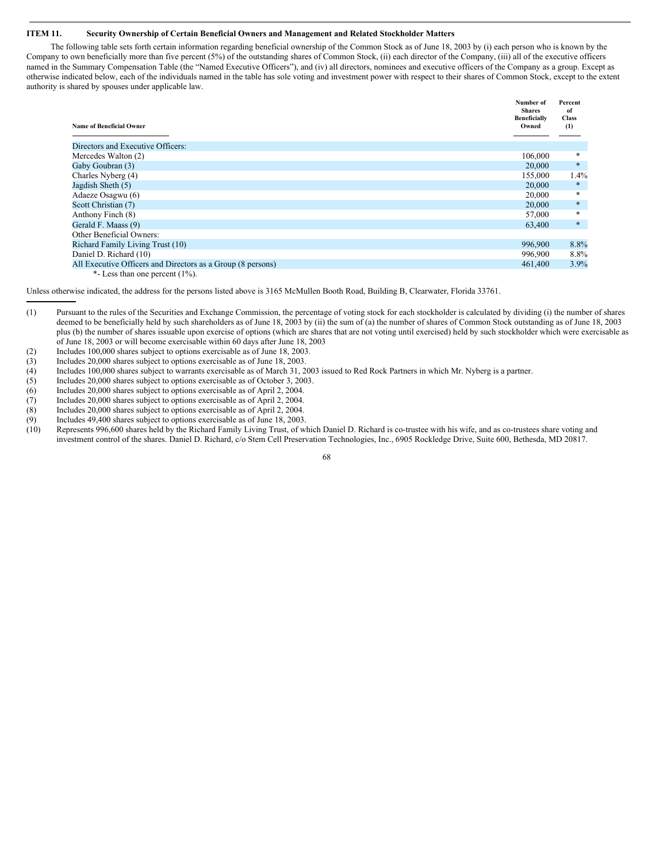## **ITEM 11. Security Ownership of Certain Beneficial Owners and Management and Related Stockholder Matters**

The following table sets forth certain information regarding beneficial ownership of the Common Stock as of June 18, 2003 by (i) each person who is known by the Company to own beneficially more than five percent (5%) of the outstanding shares of Common Stock, (ii) each director of the Company, (iii) all of the executive officers named in the Summary Compensation Table (the "Named Executive Officers"), and (iv) all directors, nominees and executive officers of the Company as a group. Except as otherwise indicated below, each of the individuals named in the table has sole voting and investment power with respect to their shares of Common Stock, except to the extent authority is shared by spouses under applicable law.

| <b>Name of Beneficial Owner</b>                             | Number of<br><b>Shares</b><br><b>Beneficially</b><br>Owned | Percent<br>of<br><b>Class</b><br>(1) |
|-------------------------------------------------------------|------------------------------------------------------------|--------------------------------------|
| Directors and Executive Officers:                           |                                                            |                                      |
| Mercedes Walton (2)                                         | 106,000                                                    | *                                    |
| Gaby Goubran (3)                                            | 20,000                                                     | $\ast$                               |
| Charles Nyberg (4)                                          | 155,000                                                    | 1.4%                                 |
| Jagdish Sheth (5)                                           | 20,000                                                     | $\ast$                               |
| Adaeze Osagwu (6)                                           | 20,000                                                     | *                                    |
| Scott Christian (7)                                         | 20,000                                                     | $\ast$                               |
| Anthony Finch (8)                                           | 57,000                                                     | *                                    |
| Gerald F. Maass (9)                                         | 63,400                                                     | $*$                                  |
| Other Beneficial Owners:                                    |                                                            |                                      |
| <b>Richard Family Living Trust (10)</b>                     | 996,900                                                    | 8.8%                                 |
| Daniel D. Richard (10)                                      | 996,900                                                    | $8.8\%$                              |
| All Executive Officers and Directors as a Group (8 persons) | 461,400                                                    | 3.9%                                 |
| *- Less than one percent $(1\%)$ .                          |                                                            |                                      |

Unless otherwise indicated, the address for the persons listed above is 3165 McMullen Booth Road, Building B, Clearwater, Florida 33761.

- (2) Includes 100,000 shares subject to options exercisable as of June 18, 2003.
- (3) Includes 20,000 shares subject to options exercisable as of June 18, 2003.<br>(4) Includes 100,000 shares subject to warrants exercisable as of March 31, 2
- (4) Includes 100,000 shares subject to warrants exercisable as of March 31, 2003 issued to Red Rock Partners in which Mr. Nyberg is a partner.
- (5) Includes 20,000 shares subject to options exercisable as of October 3, 2003.
- (6) Includes 20,000 shares subject to options exercisable as of April 2, 2004.
- Includes 20,000 shares subject to options exercisable as of April 2, 2004.
- (8) Includes 20,000 shares subject to options exercisable as of April 2, 2004.
- (9) Includes 49,400 shares subject to options exercisable as of June 18, 2003.
- Represents 996,600 shares held by the Richard Family Living Trust, of which Daniel D. Richard is co-trustee with his wife, and as co-trustees share voting and investment control of the shares. Daniel D. Richard, c/o Stem Cell Preservation Technologies, Inc., 6905 Rockledge Drive, Suite 600, Bethesda, MD 20817.

<sup>(1)</sup> Pursuant to the rules of the Securities and Exchange Commission, the percentage of voting stock for each stockholder is calculated by dividing (i) the number of shares deemed to be beneficially held by such shareholders as of June 18, 2003 by (ii) the sum of (a) the number of shares of Common Stock outstanding as of June 18, 2003 plus (b) the number of shares issuable upon exercise of options (which are shares that are not voting until exercised) held by such stockholder which were exercisable as of June 18, 2003 or will become exercisable within 60 days after June 18, 2003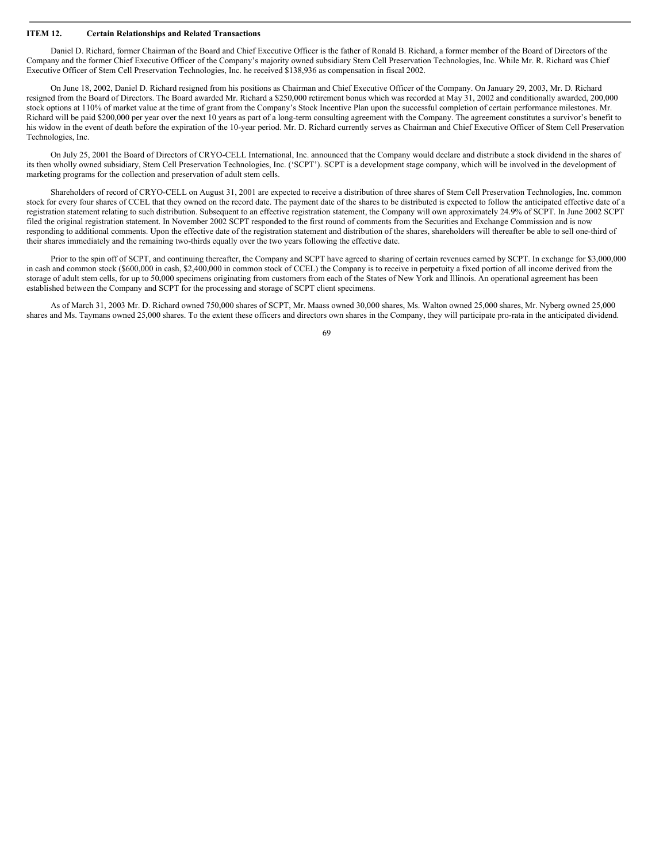## **ITEM 12. Certain Relationships and Related Transactions**

Daniel D. Richard, former Chairman of the Board and Chief Executive Officer is the father of Ronald B. Richard, a former member of the Board of Directors of the Company and the former Chief Executive Officer of the Company's majority owned subsidiary Stem Cell Preservation Technologies, Inc. While Mr. R. Richard was Chief Executive Officer of Stem Cell Preservation Technologies, Inc. he received \$138,936 as compensation in fiscal 2002.

On June 18, 2002, Daniel D. Richard resigned from his positions as Chairman and Chief Executive Officer of the Company. On January 29, 2003, Mr. D. Richard resigned from the Board of Directors. The Board awarded Mr. Richard a \$250,000 retirement bonus which was recorded at May 31, 2002 and conditionally awarded, 200,000 stock options at 110% of market value at the time of grant from the Company's Stock Incentive Plan upon the successful completion of certain performance milestones. Mr. Richard will be paid \$200,000 per year over the next 10 years as part of a long-term consulting agreement with the Company. The agreement constitutes a survivor's benefit to his widow in the event of death before the expiration of the 10-year period. Mr. D. Richard currently serves as Chairman and Chief Executive Officer of Stem Cell Preservation Technologies, Inc.

On July 25, 2001 the Board of Directors of CRYO-CELL International, Inc. announced that the Company would declare and distribute a stock dividend in the shares of its then wholly owned subsidiary, Stem Cell Preservation Technologies, Inc. ('SCPT'). SCPT is a development stage company, which will be involved in the development of marketing programs for the collection and preservation of adult stem cells.

Shareholders of record of CRYO-CELL on August 31, 2001 are expected to receive a distribution of three shares of Stem Cell Preservation Technologies, Inc. common stock for every four shares of CCEL that they owned on the record date. The payment date of the shares to be distributed is expected to follow the anticipated effective date of a registration statement relating to such distribution. Subsequent to an effective registration statement, the Company will own approximately 24.9% of SCPT. In June 2002 SCPT filed the original registration statement. In November 2002 SCPT responded to the first round of comments from the Securities and Exchange Commission and is now responding to additional comments. Upon the effective date of the registration statement and distribution of the shares, shareholders will thereafter be able to sell one-third of their shares immediately and the remaining two-thirds equally over the two years following the effective date.

Prior to the spin off of SCPT, and continuing thereafter, the Company and SCPT have agreed to sharing of certain revenues earned by SCPT. In exchange for \$3,000,000 in cash and common stock (\$600,000 in cash, \$2,400,000 in common stock of CCEL) the Company is to receive in perpetuity a fixed portion of all income derived from the storage of adult stem cells, for up to 50,000 specimens originating from customers from each of the States of New York and Illinois. An operational agreement has been established between the Company and SCPT for the processing and storage of SCPT client specimens.

As of March 31, 2003 Mr. D. Richard owned 750,000 shares of SCPT, Mr. Maass owned 30,000 shares, Ms. Walton owned 25,000 shares, Mr. Nyberg owned 25,000 shares and Ms. Taymans owned 25,000 shares. To the extent these officers and directors own shares in the Company, they will participate pro-rata in the anticipated dividend.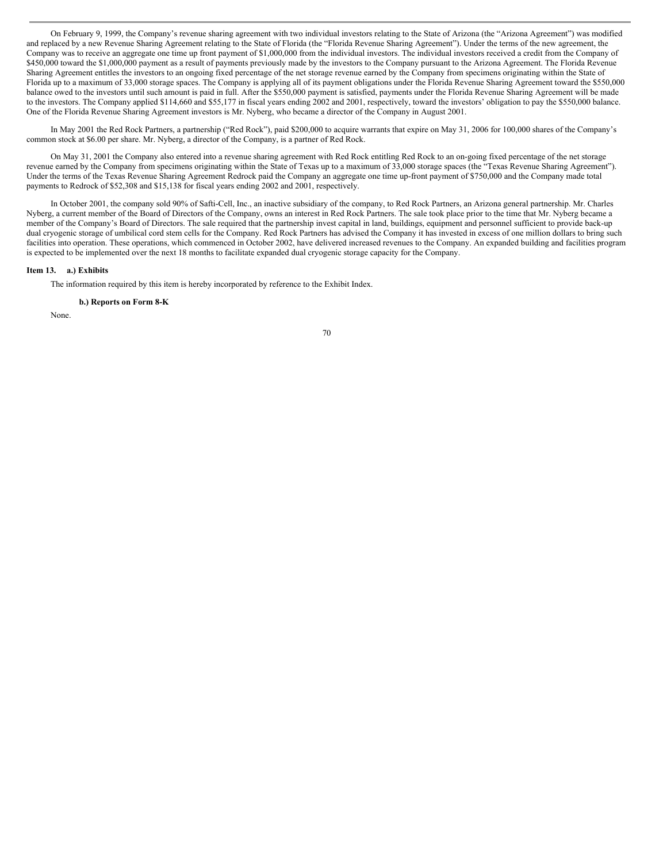On February 9, 1999, the Company's revenue sharing agreement with two individual investors relating to the State of Arizona (the "Arizona Agreement") was modified and replaced by a new Revenue Sharing Agreement relating to the State of Florida (the "Florida Revenue Sharing Agreement"). Under the terms of the new agreement, the Company was to receive an aggregate one time up front payment of \$1,000,000 from the individual investors. The individual investors received a credit from the Company of \$450,000 toward the \$1,000,000 payment as a result of payments previously made by the investors to the Company pursuant to the Arizona Agreement. The Florida Revenue Sharing Agreement entitles the investors to an ongoing fixed percentage of the net storage revenue earned by the Company from specimens originating within the State of Florida up to a maximum of 33,000 storage spaces. The Company is applying all of its payment obligations under the Florida Revenue Sharing Agreement toward the \$550,000 balance owed to the investors until such amount is paid in full. After the \$550,000 payment is satisfied, payments under the Florida Revenue Sharing Agreement will be made to the investors. The Company applied \$114,660 and \$55,177 in fiscal years ending 2002 and 2001, respectively, toward the investors' obligation to pay the \$550,000 balance. One of the Florida Revenue Sharing Agreement investors is Mr. Nyberg, who became a director of the Company in August 2001.

In May 2001 the Red Rock Partners, a partnership ("Red Rock"), paid \$200,000 to acquire warrants that expire on May 31, 2006 for 100,000 shares of the Company's common stock at \$6.00 per share. Mr. Nyberg, a director of the Company, is a partner of Red Rock.

On May 31, 2001 the Company also entered into a revenue sharing agreement with Red Rock entitling Red Rock to an on-going fixed percentage of the net storage revenue earned by the Company from specimens originating within the State of Texas up to a maximum of 33,000 storage spaces (the "Texas Revenue Sharing Agreement"). Under the terms of the Texas Revenue Sharing Agreement Redrock paid the Company an aggregate one time up-front payment of \$750,000 and the Company made total payments to Redrock of \$52,308 and \$15,138 for fiscal years ending 2002 and 2001, respectively.

In October 2001, the company sold 90% of Safti-Cell, Inc., an inactive subsidiary of the company, to Red Rock Partners, an Arizona general partnership. Mr. Charles Nyberg, a current member of the Board of Directors of the Company, owns an interest in Red Rock Partners. The sale took place prior to the time that Mr. Nyberg became a member of the Company's Board of Directors. The sale required that the partnership invest capital in land, buildings, equipment and personnel sufficient to provide back-up dual cryogenic storage of umbilical cord stem cells for the Company. Red Rock Partners has advised the Company it has invested in excess of one million dollars to bring such facilities into operation. These operations, which commenced in October 2002, have delivered increased revenues to the Company. An expanded building and facilities program is expected to be implemented over the next 18 months to facilitate expanded dual cryogenic storage capacity for the Company.

# **Item 13. a.) Exhibits**

The information required by this item is hereby incorporated by reference to the Exhibit Index.

#### **b.) Reports on Form 8-K**

None.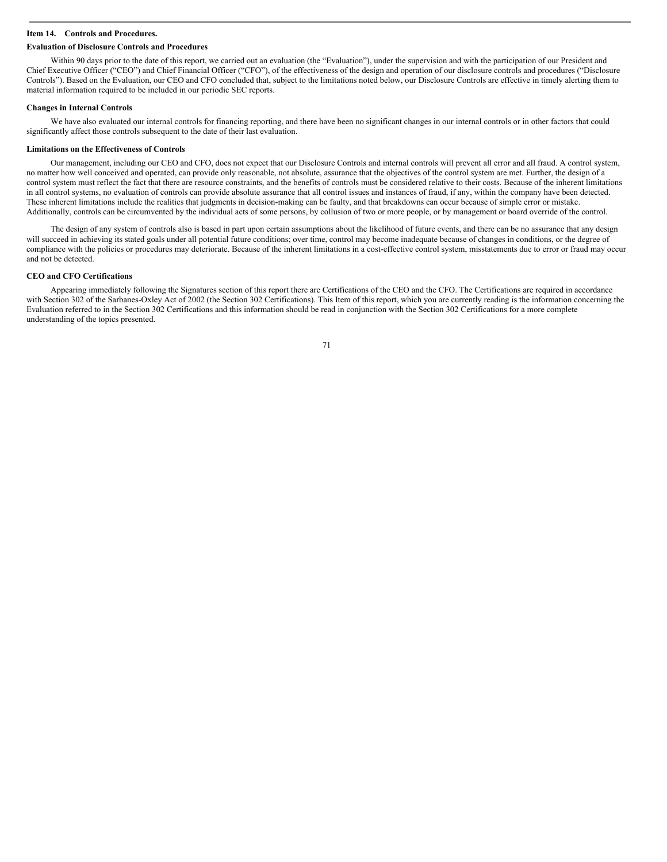#### **Item 14. Controls and Procedures.**

# **Evaluation of Disclosure Controls and Procedures**

Within 90 days prior to the date of this report, we carried out an evaluation (the "Evaluation"), under the supervision and with the participation of our President and Chief Executive Officer ("CEO") and Chief Financial Officer ("CFO"), of the effectiveness of the design and operation of our disclosure controls and procedures ("Disclosure Controls"). Based on the Evaluation, our CEO and CFO concluded that, subject to the limitations noted below, our Disclosure Controls are effective in timely alerting them to material information required to be included in our periodic SEC reports.

#### **Changes in Internal Controls**

We have also evaluated our internal controls for financing reporting, and there have been no significant changes in our internal controls or in other factors that could significantly affect those controls subsequent to the date of their last evaluation.

## **Limitations on the Effectiveness of Controls**

Our management, including our CEO and CFO, does not expect that our Disclosure Controls and internal controls will prevent all error and all fraud. A control system, no matter how well conceived and operated, can provide only reasonable, not absolute, assurance that the objectives of the control system are met. Further, the design of a control system must reflect the fact that there are resource constraints, and the benefits of controls must be considered relative to their costs. Because of the inherent limitations in all control systems, no evaluation of controls can provide absolute assurance that all control issues and instances of fraud, if any, within the company have been detected. These inherent limitations include the realities that judgments in decision-making can be faulty, and that breakdowns can occur because of simple error or mistake. Additionally, controls can be circumvented by the individual acts of some persons, by collusion of two or more people, or by management or board override of the control.

The design of any system of controls also is based in part upon certain assumptions about the likelihood of future events, and there can be no assurance that any design will succeed in achieving its stated goals under all potential future conditions; over time, control may become inadequate because of changes in conditions, or the degree of compliance with the policies or procedures may deteriorate. Because of the inherent limitations in a cost-effective control system, misstatements due to error or fraud may occur and not be detected.

#### **CEO and CFO Certifications**

Appearing immediately following the Signatures section of this report there are Certifications of the CEO and the CFO. The Certifications are required in accordance with Section 302 of the Sarbanes-Oxley Act of 2002 (the Section 302 Certifications). This Item of this report, which you are currently reading is the information concerning the Evaluation referred to in the Section 302 Certifications and this information should be read in conjunction with the Section 302 Certifications for a more complete understanding of the topics presented.

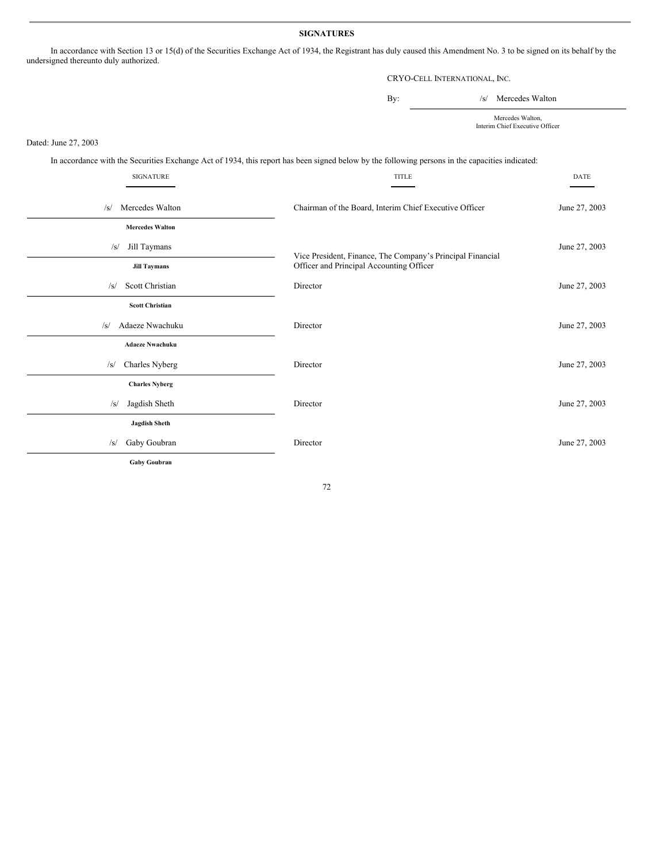# **SIGNATURES**

In accordance with Section 13 or 15(d) of the Securities Exchange Act of 1934, the Registrant has duly caused this Amendment No. 3 to be signed on its behalf by the undersigned thereunto duly authorized.

# CRYO-CELL INTERNATIONAL, INC.

By:  $/s/$  Mercedes Walton

Mercedes Walton, Interim Chief Executive Officer

Dated: June 27, 2003

In accordance with the Securities Exchange Act of 1934, this report has been signed below by the following persons in the capacities indicated:

| SIGNATURE                                        | <b>TITLE</b>                                                                                           | <b>DATE</b>   |
|--------------------------------------------------|--------------------------------------------------------------------------------------------------------|---------------|
| Mercedes Walton<br>/s/<br><b>Mercedes Walton</b> | Chairman of the Board, Interim Chief Executive Officer                                                 | June 27, 2003 |
| Jill Taymans<br>/s/<br><b>Jill Taymans</b>       | Vice President, Finance, The Company's Principal Financial<br>Officer and Principal Accounting Officer | June 27, 2003 |
| Scott Christian<br>/s/                           | Director                                                                                               | June 27, 2003 |
| <b>Scott Christian</b>                           |                                                                                                        |               |
| Adaeze Nwachuku<br>/s/<br><b>Adaeze Nwachuku</b> | Director                                                                                               | June 27, 2003 |
| Charles Nyberg<br>$\sqrt{s}$                     | Director                                                                                               | June 27, 2003 |
| <b>Charles Nyberg</b>                            |                                                                                                        |               |
| Jagdish Sheth<br>$\sqrt{s}$                      | Director                                                                                               | June 27, 2003 |
| <b>Jagdish Sheth</b>                             |                                                                                                        |               |
| Gaby Goubran<br>$\sqrt{s}$                       | Director                                                                                               | June 27, 2003 |
| Gaby Goubran                                     |                                                                                                        |               |

72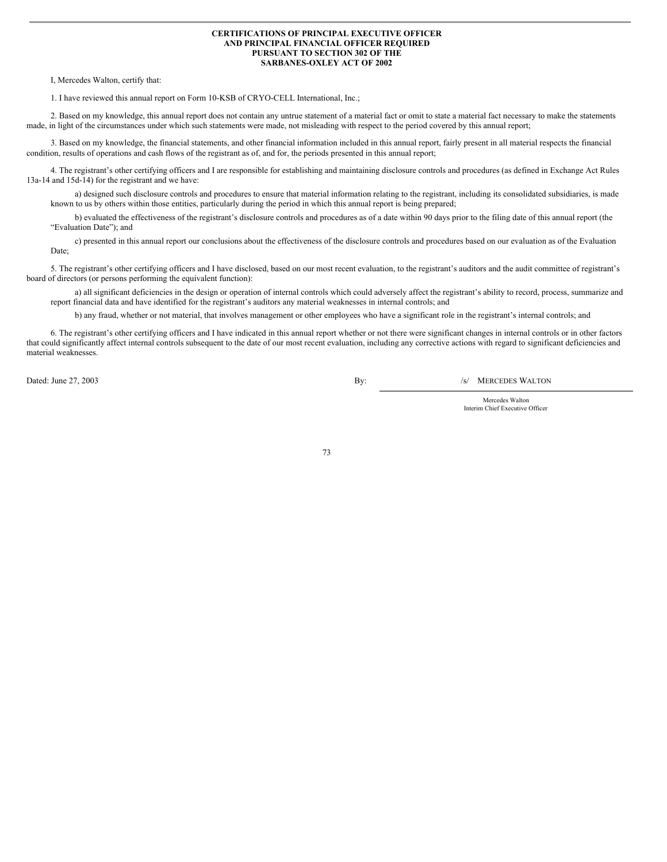### **CERTIFICATIONS OF PRINCIPAL EXECUTIVE OFFICER AND PRINCIPAL FINANCIAL OFFICER REQUIRED PURSUANT TO SECTION 302 OF THE SARBANES-OXLEY ACT OF 2002**

I, Mercedes Walton, certify that:

1. I have reviewed this annual report on Form 10-KSB of CRYO-CELL International, Inc.;

2. Based on my knowledge, this annual report does not contain any untrue statement of a material fact or omit to state a material fact necessary to make the statements made, in light of the circumstances under which such statements were made, not misleading with respect to the period covered by this annual report;

3. Based on my knowledge, the financial statements, and other financial information included in this annual report, fairly present in all material respects the financial condition, results of operations and cash flows of the registrant as of, and for, the periods presented in this annual report;

4. The registrant's other certifying officers and I are responsible for establishing and maintaining disclosure controls and procedures (as defined in Exchange Act Rules 13a-14 and 15d-14) for the registrant and we have:

a) designed such disclosure controls and procedures to ensure that material information relating to the registrant, including its consolidated subsidiaries, is made known to us by others within those entities, particularly during the period in which this annual report is being prepared;

b) evaluated the effectiveness of the registrant's disclosure controls and procedures as of a date within 90 days prior to the filing date of this annual report (the "Evaluation Date"); and

c) presented in this annual report our conclusions about the effectiveness of the disclosure controls and procedures based on our evaluation as of the Evaluation Date;

5. The registrant's other certifying officers and I have disclosed, based on our most recent evaluation, to the registrant's auditors and the audit committee of registrant's board of directors (or persons performing the equivalent function):

a) all significant deficiencies in the design or operation of internal controls which could adversely affect the registrant's ability to record, process, summarize and report financial data and have identified for the registrant's auditors any material weaknesses in internal controls; and

b) any fraud, whether or not material, that involves management or other employees who have a significant role in the registrant's internal controls; and

6. The registrant's other certifying officers and I have indicated in this annual report whether or not there were significant changes in internal controls or in other factors that could significantly affect internal controls subsequent to the date of our most recent evaluation, including any corrective actions with regard to significant deficiencies and material weaknesses.

Dated: June 27, 2003 **By:** /s/ MERCEDES WALTON

Mercedes Walton Interim Chief Executive Officer

73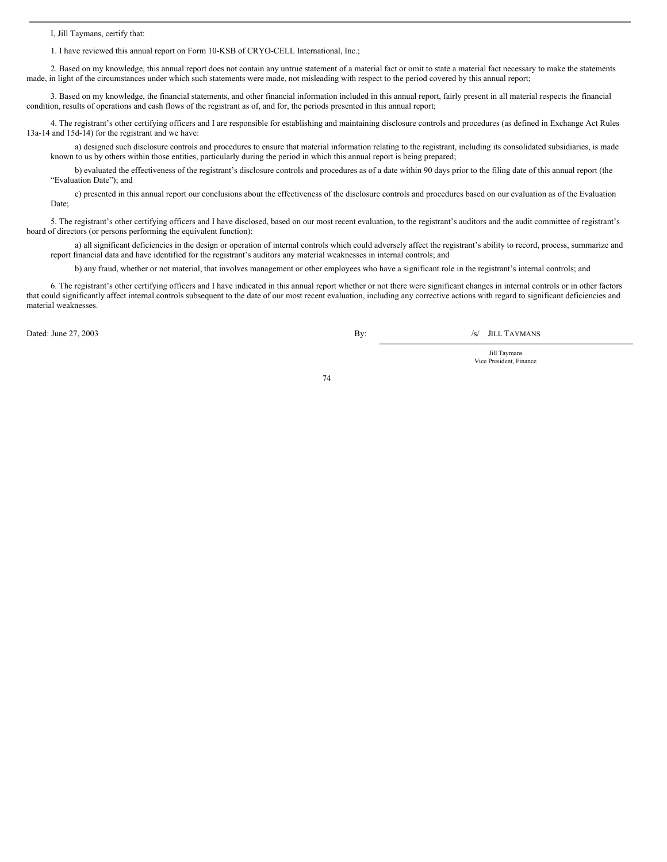I, Jill Taymans, certify that:

1. I have reviewed this annual report on Form 10-KSB of CRYO-CELL International, Inc.;

2. Based on my knowledge, this annual report does not contain any untrue statement of a material fact or omit to state a material fact necessary to make the statements made, in light of the circumstances under which such statements were made, not misleading with respect to the period covered by this annual report;

3. Based on my knowledge, the financial statements, and other financial information included in this annual report, fairly present in all material respects the financial condition, results of operations and cash flows of the registrant as of, and for, the periods presented in this annual report;

4. The registrant's other certifying officers and I are responsible for establishing and maintaining disclosure controls and procedures (as defined in Exchange Act Rules 13a-14 and 15d-14) for the registrant and we have:

a) designed such disclosure controls and procedures to ensure that material information relating to the registrant, including its consolidated subsidiaries, is made known to us by others within those entities, particularly during the period in which this annual report is being prepared;

b) evaluated the effectiveness of the registrant's disclosure controls and procedures as of a date within 90 days prior to the filing date of this annual report (the "Evaluation Date"); and

c) presented in this annual report our conclusions about the effectiveness of the disclosure controls and procedures based on our evaluation as of the Evaluation Date;

5. The registrant's other certifying officers and I have disclosed, based on our most recent evaluation, to the registrant's auditors and the audit committee of registrant's board of directors (or persons performing the equivalent function):

a) all significant deficiencies in the design or operation of internal controls which could adversely affect the registrant's ability to record, process, summarize and report financial data and have identified for the registrant's auditors any material weaknesses in internal controls; and

b) any fraud, whether or not material, that involves management or other employees who have a significant role in the registrant's internal controls; and

6. The registrant's other certifying officers and I have indicated in this annual report whether or not there were significant changes in internal controls or in other factors that could significantly affect internal controls subsequent to the date of our most recent evaluation, including any corrective actions with regard to significant deficiencies and material weaknesses.

Dated: June 27, 2003 **By:** /s/ JILL TAYMANS

Jill Taymans Vice President, Finance

74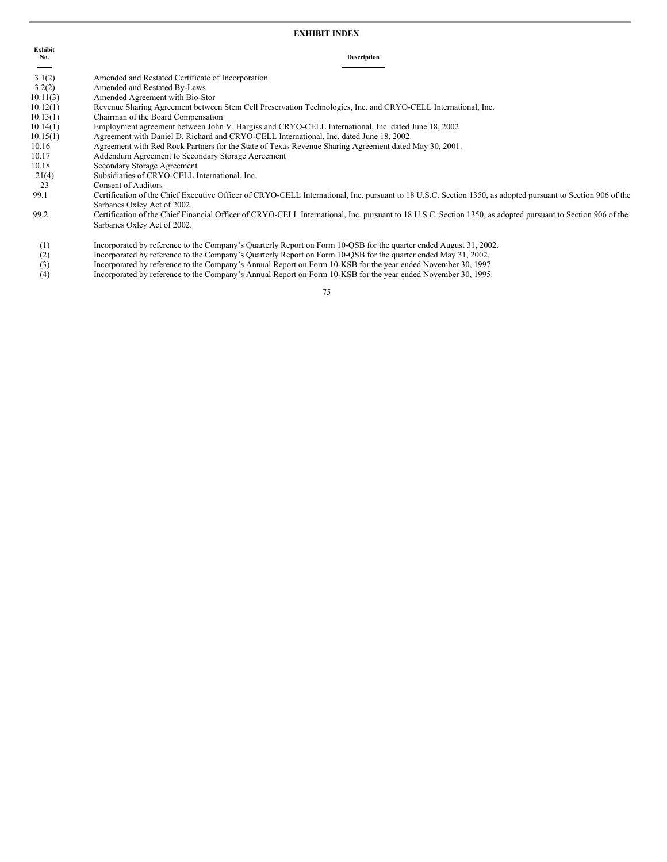### **EXHIBIT INDEX**

| No. | Description |
|-----|-------------|
|-----|-------------|

- 3.2(2) Amended and Restated By-Laws 10.11(3) Amended Agreement with Bio-Stor
- 10.12(1) Revenue Sharing Agreement between Stem Cell Preservation Technologies, Inc. and CRYO-CELL International, Inc.
- 10.13(1) Chairman of the Board Compensation
- 10.14(1) Employment agreement between John V. Hargiss and CRYO-CELL International, Inc. dated June 18, 2002
- 10.15(1) Agreement with Daniel D. Richard and CRYO-CELL International, Inc. dated June 18, 2002.
- 10.16 Agreement with Red Rock Partners for the State of Texas Revenue Sharing Agreement dated May 30, 2001.
- 10.17 Addendum Agreement to Secondary Storage Agreement
- 10.18 Secondary Storage Agreement
- 21(4) Subsidiaries of CRYO-CELL International, Inc.
- 23 Consent of Auditors
- 99.1 Certification of the Chief Executive Officer of CRYO-CELL International, Inc. pursuant to 18 U.S.C. Section 1350, as adopted pursuant to Section 906 of the Sarbanes Oxley Act of 2002.
- 99.2 Certification of the Chief Financial Officer of CRYO-CELL International, Inc. pursuant to 18 U.S.C. Section 1350, as adopted pursuant to Section 906 of the Sarbanes Oxley Act of 2002.
- (1) Incorporated by reference to the Company's Quarterly Report on Form 10-QSB for the quarter ended August 31, 2002.
- (2) Incorporated by reference to the Company's Quarterly Report on Form 10-QSB for the quarter ended May 31, 2002.<br>Incorporated by reference to the Company's Annual Report on Form 10-KSB for the year ended November 30, 199
- Incorporated by reference to the Company's Annual Report on Form 10-KSB for the year ended November 30, 1997.
- (4) Incorporated by reference to the Company's Annual Report on Form 10-KSB for the year ended November 30, 1995.

75

**Exhibit**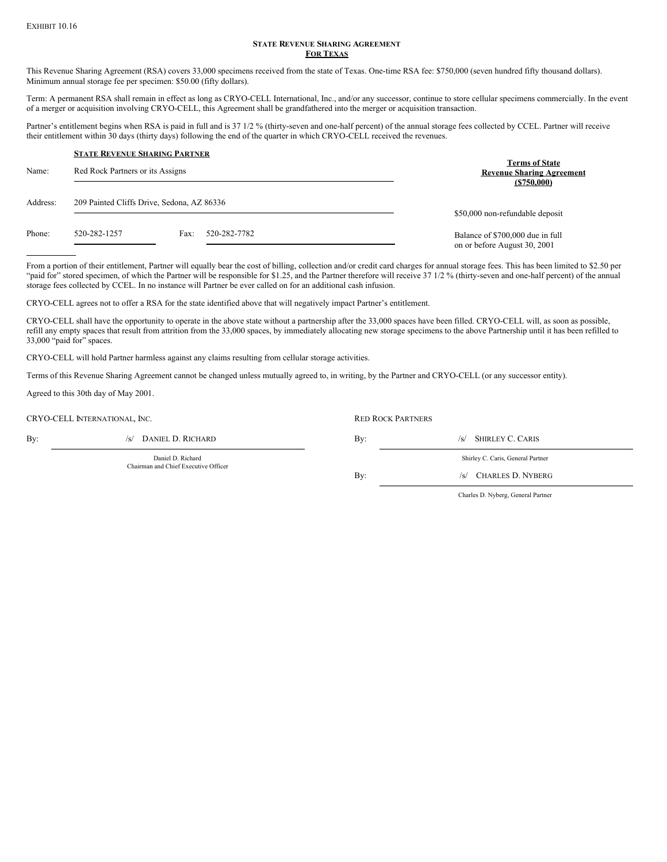### **STATE REVENUE SHARING AGREEMENT FOR TEXAS**

This Revenue Sharing Agreement (RSA) covers 33,000 specimens received from the state of Texas. One-time RSA fee: \$750,000 (seven hundred fifty thousand dollars). Minimum annual storage fee per specimen: \$50.00 (fifty dollars).

Term: A permanent RSA shall remain in effect as long as CRYO-CELL International, Inc., and/or any successor, continue to store cellular specimens commercially. In the event of a merger or acquisition involving CRYO-CELL, this Agreement shall be grandfathered into the merger or acquisition transaction.

Partner's entitlement begins when RSA is paid in full and is 37 1/2 % (thirty-seven and one-half percent) of the annual storage fees collected by CCEL. Partner will receive their entitlement within 30 days (thirty days) following the end of the quarter in which CRYO-CELL received the revenues.

| Name:    | <b>STATE REVENUE SHARING PARTNER</b><br>Red Rock Partners or its Assigns |                      | <b>Terms of State</b><br><b>Revenue Sharing Agreement</b><br>(S750,000) |
|----------|--------------------------------------------------------------------------|----------------------|-------------------------------------------------------------------------|
| Address: | 209 Painted Cliffs Drive, Sedona, AZ 86336                               |                      | \$50,000 non-refundable deposit                                         |
| Phone:   | 520-282-1257                                                             | 520-282-7782<br>Fax: | Balance of \$700,000 due in full<br>on or before August 30, 2001        |

From a portion of their entitlement, Partner will equally bear the cost of billing, collection and/or credit card charges for annual storage fees. This has been limited to \$2.50 per "paid for" stored specimen, of which the Partner will be responsible for \$1.25, and the Partner therefore will receive 37 1/2 % (thirty-seven and one-half percent) of the annual storage fees collected by CCEL. In no instance will Partner be ever called on for an additional cash infusion.

CRYO-CELL agrees not to offer a RSA for the state identified above that will negatively impact Partner's entitlement.

CRYO-CELL shall have the opportunity to operate in the above state without a partnership after the 33,000 spaces have been filled. CRYO-CELL will, as soon as possible, refill any empty spaces that result from attrition from the 33,000 spaces, by immediately allocating new storage specimens to the above Partnership until it has been refilled to 33,000 "paid for" spaces.

CRYO-CELL will hold Partner harmless against any claims resulting from cellular storage activities.

Terms of this Revenue Sharing Agreement cannot be changed unless mutually agreed to, in writing, by the Partner and CRYO-CELL (or any successor entity).

Agreed to this 30th day of May 2001.

**CRYO-CELL INTERNATIONAL, INC.** The control of the control of the ROCK PARTNERS RED ROCK PARTNERS

Daniel D. Richard Chairman and Chief Executive Officer

By: /s/ DANIEL D. RICHARD By: /s/ SHIRLEY C. CARIS Shirley C. Caris, General Partner By: /s/ CHARLES D. NYBERG

Charles D. Nyberg, General Partner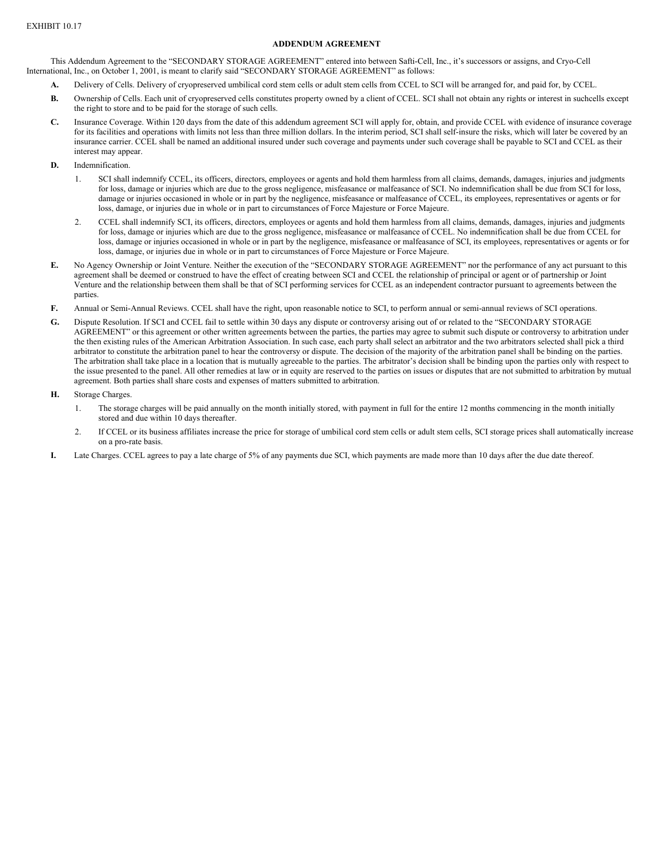## **ADDENDUM AGREEMENT**

This Addendum Agreement to the "SECONDARY STORAGE AGREEMENT" entered into between Safti-Cell, Inc., it's successors or assigns, and Cryo-Cell International, Inc., on October 1, 2001, is meant to clarify said "SECONDARY STORAGE AGREEMENT" as follows:

- **A.** Delivery of Cells. Delivery of cryopreserved umbilical cord stem cells or adult stem cells from CCEL to SCI will be arranged for, and paid for, by CCEL.
- **B.** Ownership of Cells. Each unit of cryopreserved cells constitutes property owned by a client of CCEL. SCI shall not obtain any rights or interest in suchcells except the right to store and to be paid for the storage of such cells.
- **C.** Insurance Coverage. Within 120 days from the date of this addendum agreement SCI will apply for, obtain, and provide CCEL with evidence of insurance coverage for its facilities and operations with limits not less than three million dollars. In the interim period, SCI shall self-insure the risks, which will later be covered by an insurance carrier. CCEL shall be named an additional insured under such coverage and payments under such coverage shall be payable to SCI and CCEL as their interest may appear.
- **D.** Indemnification.
	- 1. SCI shall indemnify CCEL, its officers, directors, employees or agents and hold them harmless from all claims, demands, damages, injuries and judgments for loss, damage or injuries which are due to the gross negligence, misfeasance or malfeasance of SCI. No indemnification shall be due from SCI for loss, damage or injuries occasioned in whole or in part by the negligence, misfeasance or malfeasance of CCEL, its employees, representatives or agents or for loss, damage, or injuries due in whole or in part to circumstances of Force Majesture or Force Majeure.
	- 2. CCEL shall indemnify SCI, its officers, directors, employees or agents and hold them harmless from all claims, demands, damages, injuries and judgments for loss, damage or injuries which are due to the gross negligence, misfeasance or malfeasance of CCEL. No indemnification shall be due from CCEL for loss, damage or injuries occasioned in whole or in part by the negligence, misfeasance or malfeasance of SCI, its employees, representatives or agents or for loss, damage, or injuries due in whole or in part to circumstances of Force Majesture or Force Majeure.
- **E.** No Agency Ownership or Joint Venture. Neither the execution of the "SECONDARY STORAGE AGREEMENT" nor the performance of any act pursuant to this agreement shall be deemed or construed to have the effect of creating between SCI and CCEL the relationship of principal or agent or of partnership or Joint Venture and the relationship between them shall be that of SCI performing services for CCEL as an independent contractor pursuant to agreements between the parties.
- **F.** Annual or Semi-Annual Reviews. CCEL shall have the right, upon reasonable notice to SCI, to perform annual or semi-annual reviews of SCI operations.
- **G.** Dispute Resolution. If SCI and CCEL fail to settle within 30 days any dispute or controversy arising out of or related to the "SECONDARY STORAGE AGREEMENT" or this agreement or other written agreements between the parties, the parties may agree to submit such dispute or controversy to arbitration under the then existing rules of the American Arbitration Association. In such case, each party shall select an arbitrator and the two arbitrators selected shall pick a third arbitrator to constitute the arbitration panel to hear the controversy or dispute. The decision of the majority of the arbitration panel shall be binding on the parties. The arbitration shall take place in a location that is mutually agreeable to the parties. The arbitrator's decision shall be binding upon the parties only with respect to the issue presented to the panel. All other remedies at law or in equity are reserved to the parties on issues or disputes that are not submitted to arbitration by mutual agreement. Both parties shall share costs and expenses of matters submitted to arbitration.
- **H.** Storage Charges.
	- 1. The storage charges will be paid annually on the month initially stored, with payment in full for the entire 12 months commencing in the month initially stored and due within 10 days thereafter.
	- 2. If CCEL or its business affiliates increase the price for storage of umbilical cord stem cells or adult stem cells, SCI storage prices shall automatically increase on a pro-rate basis.
- **I.** Late Charges. CCEL agrees to pay a late charge of 5% of any payments due SCI, which payments are made more than 10 days after the due date thereof.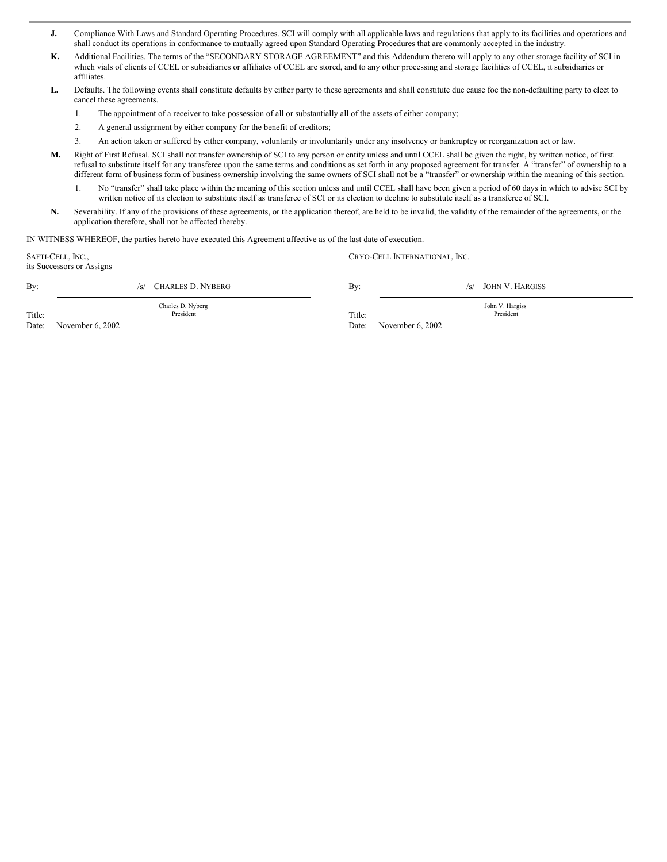- **J.** Compliance With Laws and Standard Operating Procedures. SCI will comply with all applicable laws and regulations that apply to its facilities and operations and shall conduct its operations in conformance to mutually agreed upon Standard Operating Procedures that are commonly accepted in the industry.
- **K.** Additional Facilities. The terms of the "SECONDARY STORAGE AGREEMENT" and this Addendum thereto will apply to any other storage facility of SCI in which vials of clients of CCEL or subsidiaries or affiliates of CCEL are stored, and to any other processing and storage facilities of CCEL, it subsidiaries or affiliates.
- **L.** Defaults. The following events shall constitute defaults by either party to these agreements and shall constitute due cause foe the non-defaulting party to elect to cancel these agreements.
	- 1. The appointment of a receiver to take possession of all or substantially all of the assets of either company;
	- 2. A general assignment by either company for the benefit of creditors;
	- 3. An action taken or suffered by either company, voluntarily or involuntarily under any insolvency or bankruptcy or reorganization act or law.
- **M.** Right of First Refusal. SCI shall not transfer ownership of SCI to any person or entity unless and until CCEL shall be given the right, by written notice, of first refusal to substitute itself for any transferee upon the same terms and conditions as set forth in any proposed agreement for transfer. A "transfer" of ownership to a different form of business form of business ownership involving the same owners of SCI shall not be a "transfer" or ownership within the meaning of this section.
	- 1. No "transfer" shall take place within the meaning of this section unless and until CCEL shall have been given a period of 60 days in which to advise SCI by written notice of its election to substitute itself as transferee of SCI or its election to decline to substitute itself as a transferee of SCI.
- **N.** Severability. If any of the provisions of these agreements, or the application thereof, are held to be invalid, the validity of the remainder of the agreements, or the application therefore, shall not be affected thereby.

IN WITNESS WHEREOF, the parties hereto have executed this Agreement affective as of the last date of execution.

|                 | SAFTI-CELL, INC.,<br>its Successors or Assigns     | CRYO-CELL INTERNATIONAL, INC. |                                                  |  |
|-----------------|----------------------------------------------------|-------------------------------|--------------------------------------------------|--|
| By:             | <b>CHARLES D. NYBERG</b><br>/S/                    | By:                           | JOHN V. HARGISS<br>/S/                           |  |
| Title:<br>Date: | Charles D. Nyberg<br>President<br>November 6, 2002 | Title:<br>Date:               | John V. Hargiss<br>President<br>November 6, 2002 |  |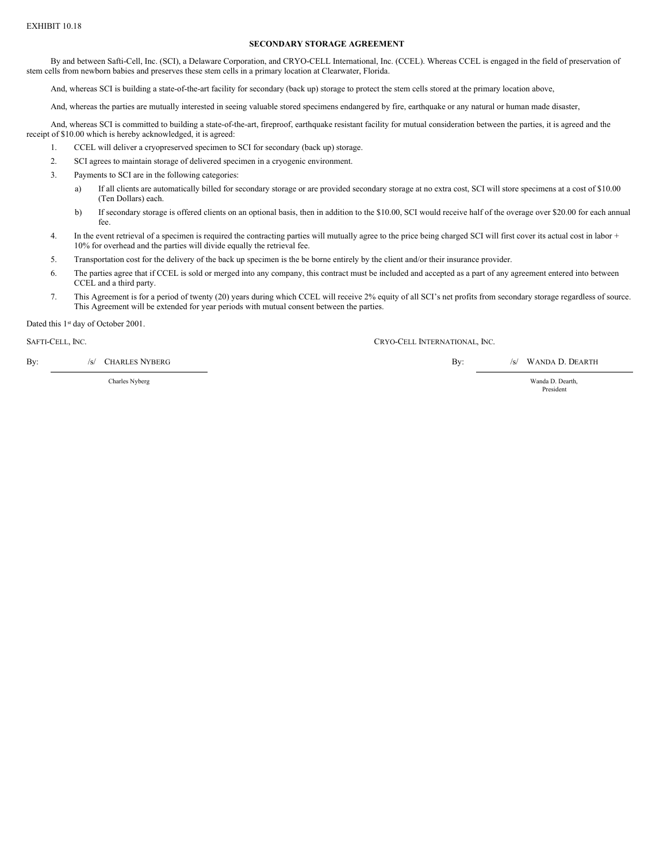# EXHIBIT 10.18

### **SECONDARY STORAGE AGREEMENT**

By and between Safti-Cell, Inc. (SCI), a Delaware Corporation, and CRYO-CELL International, Inc. (CCEL). Whereas CCEL is engaged in the field of preservation of stem cells from newborn babies and preserves these stem cells in a primary location at Clearwater, Florida.

And, whereas SCI is building a state-of-the-art facility for secondary (back up) storage to protect the stem cells stored at the primary location above,

And, whereas the parties are mutually interested in seeing valuable stored specimens endangered by fire, earthquake or any natural or human made disaster,

And, whereas SCI is committed to building a state-of-the-art, fireproof, earthquake resistant facility for mutual consideration between the parties, it is agreed and the receipt of \$10.00 which is hereby acknowledged, it is agreed:

- 1. CCEL will deliver a cryopreserved specimen to SCI for secondary (back up) storage.
- 2. SCI agrees to maintain storage of delivered specimen in a cryogenic environment.
- 3. Payments to SCI are in the following categories:
	- a) If all clients are automatically billed for secondary storage or are provided secondary storage at no extra cost, SCI will store specimens at a cost of \$10.00 (Ten Dollars) each.
	- b) If secondary storage is offered clients on an optional basis, then in addition to the \$10.00, SCI would receive half of the overage over \$20.00 for each annual fee.
- 4. In the event retrieval of a specimen is required the contracting parties will mutually agree to the price being charged SCI will first cover its actual cost in labor + 10% for overhead and the parties will divide equally the retrieval fee.
- 5. Transportation cost for the delivery of the back up specimen is the be borne entirely by the client and/or their insurance provider.
- 6. The parties agree that if CCEL is sold or merged into any company, this contract must be included and accepted as a part of any agreement entered into between CCEL and a third party.
- 7. This Agreement is for a period of twenty (20) years during which CCEL will receive 2% equity of all SCI's net profits from secondary storage regardless of source. This Agreement will be extended for year periods with mutual consent between the parties.

Dated this 1<sup>st</sup> day of October 2001.

SAFTI-CELL, INC. CRYO-CELL INTERNATIONAL, INC.

By: /s/ CHARLES NYBERG BY: /s/ WANDA D. DEARTH

Charles Nyberg Wanda D. Dearth,

President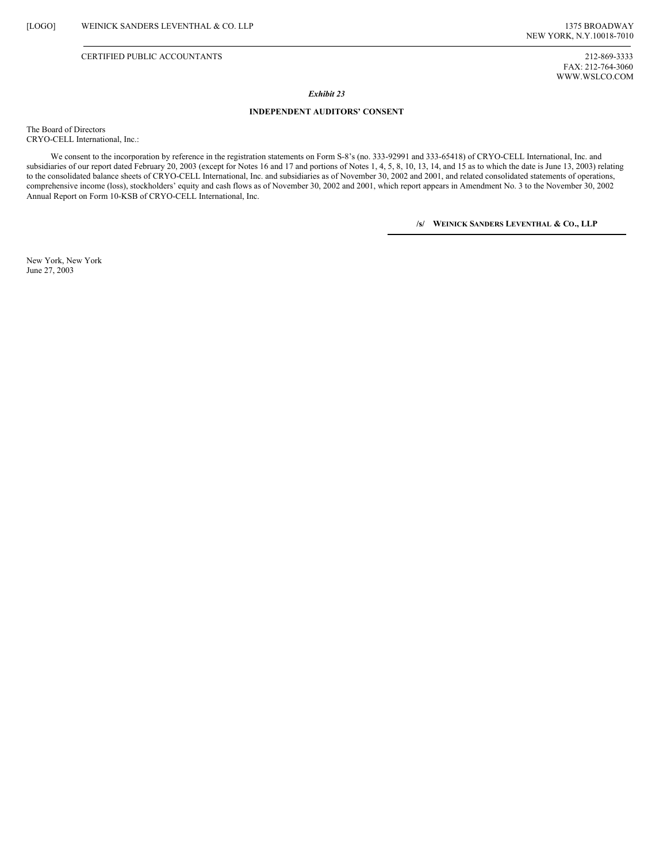### CERTIFIED PUBLIC ACCOUNTANTS 212-869-3333

FAX: 212-764-3060 WWW.WSLCO.COM

### *Exhibit 23*

### **INDEPENDENT AUDITORS' CONSENT**

The Board of Directors CRYO-CELL International, Inc.:

We consent to the incorporation by reference in the registration statements on Form S-8's (no. 333-92991 and 333-65418) of CRYO-CELL International, Inc. and subsidiaries of our report dated February 20, 2003 (except for Notes 16 and 17 and portions of Notes 1, 4, 5, 8, 10, 13, 14, and 15 as to which the date is June 13, 2003) relating to the consolidated balance sheets of CRYO-CELL International, Inc. and subsidiaries as of November 30, 2002 and 2001, and related consolidated statements of operations, comprehensive income (loss), stockholders' equity and cash flows as of November 30, 2002 and 2001, which report appears in Amendment No. 3 to the November 30, 2002 Annual Report on Form 10-KSB of CRYO-CELL International, Inc.

**/s/ WEINICK SANDERS LEVENTHAL & CO., LLP**

New York, New York June 27, 2003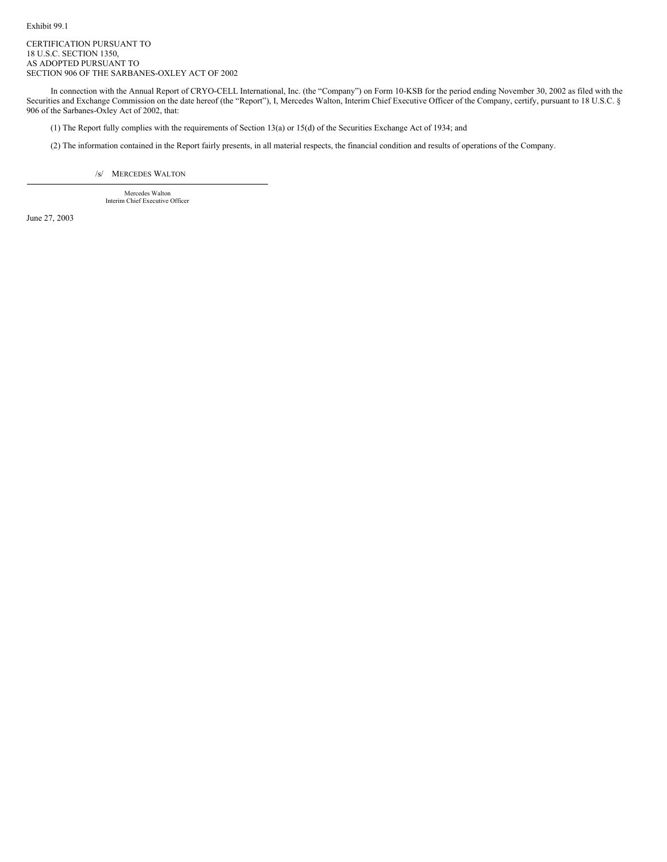Exhibit 99.1

CERTIFICATION PURSUANT TO 18 U.S.C. SECTION 1350, AS ADOPTED PURSUANT TO SECTION 906 OF THE SARBANES-OXLEY ACT OF 2002

In connection with the Annual Report of CRYO-CELL International, Inc. (the "Company") on Form 10-KSB for the period ending November 30, 2002 as filed with the Securities and Exchange Commission on the date hereof (the "Report"), I, Mercedes Walton, Interim Chief Executive Officer of the Company, certify, pursuant to 18 U.S.C. § 906 of the Sarbanes-Oxley Act of 2002, that:

(1) The Report fully complies with the requirements of Section 13(a) or 15(d) of the Securities Exchange Act of 1934; and

(2) The information contained in the Report fairly presents, in all material respects, the financial condition and results of operations of the Company.

/s/ MERCEDES WALTON

Mercedes Walton Interim Chief Executive Officer

June 27, 2003